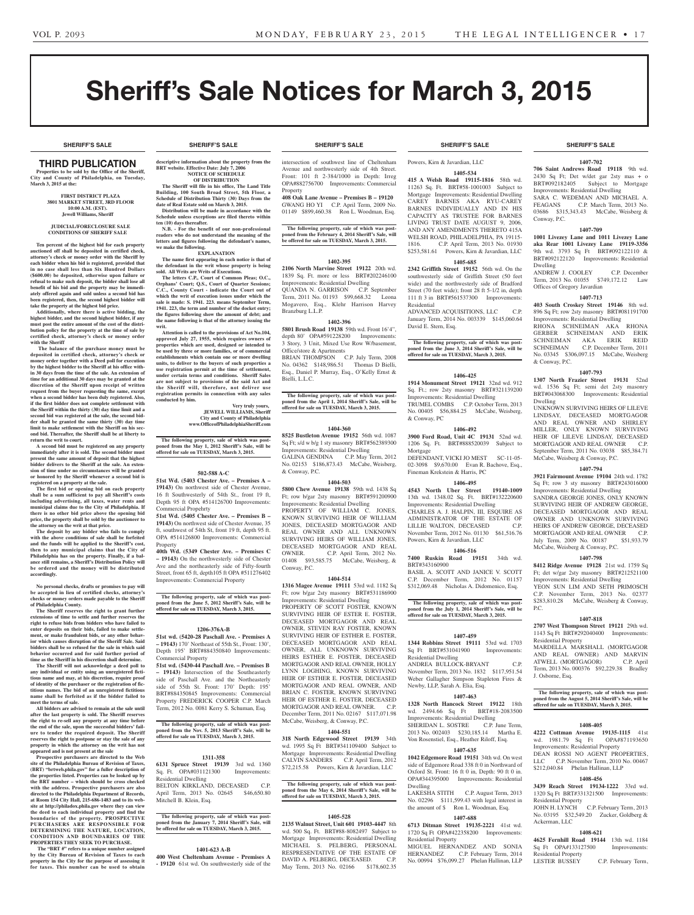# Sheriff's Sale Notices for March 3, 2015

**SHERIFF'S SALE SHERIFF'S SALE SHERIFF'S SALE SHERIFF'S SALE SHERIFF'S SALE**

# THIRD PUBLICATION

**Properties to be sold by the Office of the Sheriff, City and County of Philadelphia, on Tuesday, March 3, 2015 at the:** 

#### **First District Plaza 3801 Market Street, 3rd Floor 10:00 A.M. (EST). Jewell Williams, Sheriff**

#### **JUDICIAL/FORECLOSURE SALE CONDITIONS OF SHERIFF SALE**

**Ten percent of the highest bid for each property auctioned off shall be deposited in certified check, attorney's check or money order with the Sheriff by each bidder when his bid is registered, provided that in no case shall less than Six Hundred Dollars (\$600.00) be deposited, otherwise upon failure or refusal to make such deposit, the bidder shall lose all benefit of his bid and the property may be immediately offered again and sold unless a second bid has been registered, then, the second highest bidder will take the property at the highest bid price.**

**Additionally, where there is active bidding, the highest bidder, and the second highest bidder, if any must post the entire amount of the cost of the distribution policy for the property at the time of sale by certified check, attorney's check or money order with the Sheriff**

 **The balance of the purchase money must be deposited in certified check, attorney's check or money order together with a Deed poll for execution by the highest bidder to the Sheriff at his office within 30 days from the time of the sale. An extension of time for an additional 30 days may be granted at the discretion of the Sheriff upon receipt of written request from the buyer requesting the same, except when a second bidder has been duly registered. Also, if the first bidder does not complete settlement with the Sheriff within the thirty (30) day time limit and a second bid was registered at the sale, the second bidder shall be granted the same thirty (30) day time limit to make settlement with the Sheriff on his second bid. Thereafter, the Sheriff shall be at liberty to return the writ to court.**

**A second bid must be registered on any property immediately after it is sold. The second bidder must present the same amount of deposit that the highest bidder delivers to the Sheriff at the sale. An exten-sion of time under no circumstances will be granted or honored by the Sheriff whenever a second bid is registered on a property at the sale.** 

**The first bid or opening bid on each property shall be a sum sufficient to pay all Sheriff's costs including advertising, all taxes, water rents and municipal claims due to the City of Philadelphia. If there is no other bid price above the opening bid price, the property shall be sold by the auctioneer to the attorney on the writ at that price. The deposit by any bidder who fails to comply** 

**with the above conditions of sale shall be forfeited and the funds will be applied to the Sheriff's cost, then to any municipal claims that the City of Philadelphia has on the property. Finally, if a bal-ance still remains, a Sheriff's Distribution Policy will be ordered and the money will be distributed accordingly.**

**No personal checks, drafts or promises to pay will be accepted in lieu of certified checks, attorney's checks or money orders made payable to the Sheriff of Philadelphia County.**

**The Sheriff reserves the right to grant further extensions of time to settle and further reserves the right to refuse bids from bidders who have failed to enter deposits on their bids, failed to make settlement, or make fraudulent bids, or any other behavior which causes disruption of the Sheriff Sale. Said bidders shall be so refused for the sale in which said behavior occurred and for said further period of time as the Sheriff in his discretion shall determine.**

**The Sheriff will not acknowledge a deed poll to any individual or entity using an unregistered fictitious name and may, at his discretion, require proof of identity of the purchaser or the registration of fictitious names. The bid of an unregistered fictitious name shall be forfeited as if the bidder failed to meet the terms of sale.**

**All bidders are advised to remain at the sale until after the last property is sold. The Sheriff reserves the right to re-sell any property at any time before the end of the sale, upon the successful bidders' failure to tender the required deposit. The Sheriff reserves the right to postpone or stay the sale of any property in which the attorney on the writ has not appeared and is not present at the sale**

**Prospective purchasers are directed to the Web site of the Philadelphia Bureau of Revision of Taxes, (BRT) "brtweb.phila.gov" for a fuller description of the properties listed. Properties can be looked up by the BRT number – which should be cross checked with the address. Prospective purchasers are also directed to the Philadelphia Department of Records, at Room 154 City Hall, 215-686-1483 and to its web-site at http://philadox.phila.gov where they can view the deed to each individual property and find the boundaries of the property. PROSPECTIVE PURCHASERS ARE RESPONSIBLE FOR DETERMINING THE NATURE, LOCATION, CONDITION AND BOUNDARIES OF THE PROPERTIES THEY SEEK TO PURCHASE.**

 **The "BRT #" refers to a unique number assigned by the City Bureau of Revision of Taxes to each property in the City for the purpose of assessing it for taxes. This number can be used to obtain** 

**descriptive information about the property from the BRT** website. Effective Date: July 7, 20 **NOTICE OF SCHEDULE OF DISTRIBUTION**

**The Sheriff will file in his office, The Land Title Building, 100 South Broad Street, 5th Floor, a Schedule of Distribution Thirty (30) Days from the date of Real Estate sold on March 3, 2015.**

**Distribution will be made in accordance with the Schedule unless exceptions are filed thereto within ten (10) days thereafter.**

**N.B.** - For the benefit of our non-profession **readers who do not understand the meaning of the letters and figures following the defendant's names, we make the following.**

#### **EXPLANATION**

**The name first appearing in each notice is that of the defendant in the writ whose property is being sold. All Writs are Writs of Executions. The letters C.P., Court of Common Pleas; O.C.,** 

**Orphans' Court; Q.S., Court of Quarter Sessions; C.C., County Court - indicate the Court out of which the writ of execution issues under which the sale is made: S. 1941. 223. means September Term, 1941. 223, the term and number of the docket entry; the figures following show the amount of debt; and the name following is that of the attorney issuing the writ.**

**Attention is called to the provisions of Act No.104, approved July 27, 1955, which requires owners of**  perties which are used, designed or intended to **be used by three or more families, or of commercial establishments which contain one or more dwelling**  units, to deliver to the buyers of such properties a **use registration permit at the time of settlement, under certain terms and conditions. Sheriff Sales are not subject to provisions of the said Act and the Sheriff will, therefore, not deliver use registration permits in connection with any sales conducted by him.**

> **Very truly yours, JEWELL WILLIAMS, Sheriff City and County of Philadelphia www.OfficeofPhiladelphiaSheriff.com**

**The following property, sale of which was post-poned from the May 1, 2012 Sheriff's Sale, will be offered for sale on TUESDAY, March 3, 2015.**

### **502-588 A-C**

**51st Wd. (5403 Chester Ave. – Premises A – 19143)** On northwest side of Chester Avenue, 16 ft Southwesterly of 54th St., front 19 ft, Depth 95 ft OPA #514126700 Improvements: Commercial Propehrty

**51st Wd. (5405 Chester Ave. – Premises B – 19143)** On northwest side of Chester Avenue, 35 ft, southwest of 54th St, front 19 ft, depth 95 ft. OPA #514126800 Improvements: Commercial Property

**40th Wd. (5349 Chester Ave. – Premises C – 19143)** On the northwesterly side of Chester Ave and the northeasterly side of Fifty-fourth Street, front 65 ft, depth105 ft OPA #511276402 Improvements: Commercial Property

**The following property, sale of which was post-poned from the June 5, 2012 Sheriff's Sale, will be offered for sale on TUESDAY, March 3, 2015.**

#### **1206-376A-B**

**51st wd. (5420-28 Paschall Ave. - Premises A – 19143)** 170' Northeast of 55th St., Front: 130', Depth 195' BRT#884350840 Improvements: Commercial Property

**51st wd. (5430-44 Paschall Ave. – Premises B – 19143)** Intersection of the Southeasterly side of Paschall Ave. and the Northeasterly side of 55th St. Front: 170' Depth: 195' BRT#884350845 Improvements: Commercial Property FREDERICK COOPER C.P. March Term, 2012 No. 0081 Kerry S. Schuman, Esq.

#### **The following property, sale of which was postponed from the Nov. 5, 2013 Sheriff's Sale, will be offered for sale on TUESDAY, March 3, 2015.**

**1311-358**

**6131 Spruce Street 19139** 3rd wd. 1360 Sq. Ft. OPA#031121300 Improvements: Residential Dwelling BELTON KIRKLAND, DECEASED C.P. April Term, 2013 No. 02645 \$46,650.80 Mitchell B. Klein, Esq.

**The following property, sale of which was postponed from the January 7, 2014 Sheriff's Sale, will be offered for sale on TUESDAY, March 3, 2015.**

#### **1401-623 A-B**

**400 West Cheltenham Avenue - Premises A - 19120** 61st wd. On southwesterly side of the

intersection of southwest line of Cheltenham Avenue and northwesterly side of 4th Street. Front: 101 ft 2-384/1000 in Depth: Irreg OPA#882756700 Improvements: Commercial Property

**408 Oak Lane Avenue – Premises B – 19120** GWANG HO YI C.P. April Term, 2009 No. 01149 \$899,460.38 Ron L. Woodman, Esq.

**The following property, sale of which was postponed from the February 4, 2014 Sheriff's Sale, will be offered for sale on TUESDAY, March 3, 2015.**

### **1402-395**

**2106 North Marvine Street 19122** 20th wd. 1839 Sq. Ft. more or less BRT#202246100 Improvements: Residential Dwelling QUANDA N. GARRISON C.P. September Term, 2011 No. 01193 \$99,668.32 Leona Mogavero, Esq., Klehr Harrison Harvey Branzburg L.L.P.

#### **1402-396**

**5801 Brush Road 19138** 59th wd. Front 16'4", depth 80' OPA#591228200 Improvements: 3 Story, 3 Unit, Mixed Use Row W/basement, Office/store & Apartments BRIAN THOMPSON C.P. July Term, 2008

No. 04362 \$148,986.51 Thomas D Bielli, Esq., Daniel P. Murray, Esq., O'Kelly Ernst & Bielli, L.L.C.

**The following property, sale of which was post-poned from the April 1, 2014 Sheriff's Sale, will be offered for sale on TUESDAY, March 3, 2015.**

#### **1404-360**

**8525 Bustleton Avenue 19152** 56th wd. 1087 Sq Ft; s/d w b/g 1 sty masonry BRT#562389300 Improvements: Residential Dwelling GALINA GENDINA C.P. May Term, 2012 No. 02153 \$186,873.43 McCabe, Weisberg, & Conway, P.C.

#### **1404-503**

**5800 Chew Avenue 19138** 59th wd. 1438 Sq Ft; row b/gar 2sty masonry BRT#591200900 Improvements: Residential Dwelling PROPERTY OF WILLIAM C. JONES, KNOWN SURVIVING HEIR OF WILLIAM JONES, DECEASED MORTGAGOR AND REAL OWNER AND ALL UNKNOWN SURVIVING HEIRS OF WILLIAM JONES, DECEASED MORTGAGOR AND REAL OWNER. C.P. April Term, 2012 No. 01408 \$93,585.75 McCabe, Weisberg, & Conway, P.C.

# **1404-514**

**1316 Magee Avenue 19111** 53rd wd. 1182 Sq Ft; row b/gar 2sty masonry BRT#531186900 Improvements: Residential Dwelling PROPERTY OF SCOTT FOSTER, KNOWN SURVIVING HEIR OF ESTER E. FOSTER, DECEASED MORTGAGOR AND REAL OWNER, STEVEN RAY FOSTER, KNOWN SURVIVING HEIR OF ESTHER E. FOSTER, DECEASED MORTGAGOR AND REAL OWNER, ALL UNKNOWN SURVIVING HEIRS ESTHER E. FOSTER, DECEASED MORTGAGOR AND REAL OWNER, HOLLY LYNN LOGHING, KNOWN SURVIVING HEIR OF ESTHER E. FOSTER, DECEASED MORTGAGOR AND REAL OWNER, AND BRIAN C. FOSTER, KNOWN SURVIVING HEIR OF ESTHER E. FOSTER, DECEASED MORTGAGOR AND REAL OWNER. C.P. December Term, 2011 No. 02167 \$117,071.98 McCabe, Weisberg, & Conway, P.C.

# **1404-551**

**318 North Edgewood Street 19139** 34th wd. 1995 Sq Ft BRT#341109400 Subject to Mortgage Improvements: Residential Dwelling CALVIN SANDERS C.P. April Term, 2012 \$72,215.58 Powers, Kirn & Javardian, LLC

**The following property, sale of which was postponed from the May 6, 2014 Sheriff's Sale, will be offered for sale on TUESDAY, March 3, 2015.**

#### **1405-528**

**2135 Walnut Street, Unit 601 19103-4447** 8th wd. 500 Sq. Ft. BRT#88-8082497 Subject to Mortgage Improvements: Residential Dwelling MICHAEL S. PELBERG, PERSONAL RESPRESENTATIVE OF THE ESTATE OF DAVID A. PELBERG, DECEASED. C.P. May Term, 2013 No. 02166 \$178,602.35

**SHERIFF'S SALE SHERIFF'S SALE SHERIFF'S SALE SHERIFF'S SALE SHERIFF'S SALE**

Powers, Kirn & Javardian, LLC

### **1405-534**

**415 A Welsh Road 19115-1816** 58th wd. 11263 Sq. Ft. BRT#58-1001003 Subject to Mortgage Improvements: Residential Dwelling CAREY BARNES AKA RYU-CAREY BARNES INDIVIDUALLY AND IN HIS CAPACITY AS TRUSTEE FOR BARNES LIVING TRUST DATE AUGUST 9, 2006, AND ANY AMENDMENTS THERETO 415A WELSH ROAD, PHILADELPHIA, PA 19115- 1816. C.P. April Term, 2013 No. 01930 \$253,581.61 Powers, Kirn & Javardian, LLC

# **1405-685**

**2342 Griffith Street 19152** 56th wd. On the southwesterly side of Griffith Street (50 feet wide) and the northwesterly side of Bradford Street (70 feet wide); front 28 ft 5-1/2 in, depth 111 ft 3 in BRT#561537300 Improvements: Residential ADVANCED ACQUISITIONS, LLC C.P.

January Term, 2014 No. 003339 \$145,060.64 David E. Stern, Esq.

**The following property, sale of which was postponed from the June 3, 2014 Sheriff's Sale, will be offered for sale on TUESDAY, March 3, 2015.**

#### **1406-425**

**1914 Monument Street 19121** 32nd wd. 912 Sq. Ft.; row 2sty masonry BRT#321139200 Improvements: Residential Dwelling TRUMEL COMBS C.P. October Term, 2013 No. 00405 \$56,884.25 McCabe, Weisberg, & Conway, PC

# **1406-492**

**3900 Ford Road, Unit 4C 19131** 52nd wd. 1206 Sq. Ft. BRT#888520039 Subject to Mortgage DEFENDANT, VICKI JO MEST SC-11-05-

02-3098 \$9,670.00 Evan R. Bachove, Esq., Fineman Krekstein & Harris, PC

# **1406-495**

**4543 North Uber Street 19140-1009**  13th wd. 1348.02 Sq. Ft. BRT#132220600 Improvements: Residential Dwelling CHARLES A. J. HALPIN, III, ESQUIRE AS ADMINISTRATOR OF THE ESTATE OF LILLIE WALTON, DECEASED C.P. November Term, 2012 No. 01130 \$61,516.76 Powers, Kirn & Javardian, LLC

# **1406-516**

**7400 Ruskin Road 19151** 34th wd. BRT#343160900 BASIL A. SCOTT AND JANICE V. SCOTT C.P. December Term, 2012 No. 01157 \$312,069.48 Nicholas A. Didomenico, Esq.

**The following property, sale of which was postponed from the July 1, 2014 Sheriff's Sale, will be offered for sale on TUESDAY, March 3, 2015.**

#### **1407-459**

**1344 Robbins Street 19111** 53rd wd. 1703 Sq Ft BRT#531041900 Improvements: Residential Dwelling ANDREA BULLOCK-BRYANT C.P.

November Term, 2013 No. 1832 \$117,951.54 Weber Gallagher Simpson Stapleton Fires & Newby, LLP, Sarah A. Elia, Esq.

### **1407-463**

**1328 North Hancock Street 19122** 18th wd. 2494.66 Sq Ft BRT#18-2083500 Improvements: Residential Dwelling SHERIDAN L. SOSTRE C.P. June Term, 2013 No. 002403 \$230,185.14 Martha E. Von Rosenstiel, Esq., Heather Riloff, Esq.

### **1407-635**

**1042 Edgemore Road 19151** 34th wd. On west side of Edgemore Road 338 ft 0 in Northward of Oxford St. Front: 16 ft 0 in, Depth: 90 ft 0 in. OPA#344395000 Improvements: Residential Dwelling<br>LAKESHA STITH C.P. August Term, 2013

No. 02296 \$111,599.43 with legal interest in the amount of  $\$  Ron L. Woodman, Esq.

# **1407-688**

**6713 Ditman Street 19135-2221** 41st wd. 1720 Sq Ft OPA#422358200 Improvements: Residential Property MIGUEL HERNANDEZ AND SONIA HERNANDEZ C.P. February Term, 2014 No. 00994 \$76,099.27 Phelan Hallinan, LLP

#### **1407-702**

**706 Saint Andrews Road 19118** 9th wd. 2430 Sq Ft; Det w/det gar 2sty mas + o Subject to Mortgage Improvements: Residential Dwelling SARA C. WEDEMAN AND MICHAEL A. FEAGANS C.P. March Term, 2013 No. 03686 \$315,343.43 McCabe, Weisberg & Conway, P.C.

#### **1407-709**

**1001 Livezey Lane and 1011 Livezey Lane aka Rear 1001 Livezey Lane 19119-3356**  9th wd. 3793 Sq Ft BRT#092122110 & BRT#092122120 Improvements: Residential Dwelling

ANDREW J. COOLEY C.P. December Term, 2013 No. 01055 \$749,172.12 Law Offices of Gregory Javardian **1407-713**

**403 South Croskey Street 19146** 8th wd. 896 Sq Ft; row 2sty masonry BRT#081191700 Improvements: Residential Dwelling RHONA SCHNEIMAN AKA RHONA GERBER SCHNEIMAN AND ERIK SCHNEIMAN AKA ERIK REID<br>SCHNEIMAN C.P. December Term, 2011

No. 03345 \$306,097.15 McCabe, Weisberg

**1407-793 1307 North Frazier Street 19131** 52nd wd. 1536 Sq Ft: semi det 2sty masonry BRT#043068300 Improvements: Residential

UNKNOWN SURVIVING HEIRS OF LILEVE LINDSAY, DECEASED MORTGAGOR AND REAL OWNER AND SHIRLEY MILLER, ONLY KNOWN SURVIVING HEIR OF LILEVE LINDSAY, DECEASED MORTGAGOR AND REAL OWNER C.P. September Term, 2011 No. 03038 \$85,384.71 McCabe, Weisberg & Conway, P.C.

**1407-794 3921 Fairmount Avenue 19104** 24th wd. 1782 Sq Ft; row 3 sty masonry BRT#243016000 Improvements: Residential Dwelling SANDRA GEORGE JONES, ONLY KNOWN SURVIVING HEIR OF ANDREW GEORGE, DECEASED MORTGAGOR AND REAL OWNER AND UNKNOWN SURVIVING HEIRS OF ANDREW GEORGE, DECEASED MORTGAGOR AND REAL OWNER C.P. July Term, 2009 No. 00187 \$51,933.79 McCabe, Weisberg & Conway, P.C. **1407-798 8412 Ridge Avenue 19128** 21st wd. 1759 Sq Ft; det w/gar 2sty masonry BRT#212521100 Improvements: Residential Dwelling YEON SUN LIM AND SETH PRIMOSCH C.P. November Term, 2013 No. 02377 \$283,810.28 McCabe, Weisberg & Conway,

**1407-818 2707 West Thompson Street 19121** 29th wd. 1143 Sq Ft BRT#292040400 Improvements:

MARDELLA MARSHALL (MORTGAGOR AND REAL OWNER) AND MARVIN ATWELL (MORTGAGOR) C.P. April Term, 2013 No. 000376 \$92,229.38 Bradley

**The following property, sale of which was post-poned from the August 5, 2014 Sheriff's Sale, will be offered for sale on TUESDAY, March 3, 2015.**

**1408-405 4222 Cottman Avenue 19135-1115** 41st

JOHN H. LYNCH C.P. February Term, 2013 No. 03195 \$32,549.20 Zucker, Goldberg &

**1408-621 4625 Fernhill Road 19144** 13th wd. 1184

LESTER BUSSEY C.P. February Term,

& Conway, P.C.

Dwelling

P.C.

Residential Property

J. Osborne, Esq.

wd. 1981.79 Sq Ft Improvements: Residential Property DEAN ROSSI NO AGENT PROPERTIES, LLC C.P. November Term, 2010 No. 0046<sup>7</sup> \$212,040.84 Phelan Hallinan, LLP **1408-456 3439 Reach Street 19134-1222** 33rd wd. 1320 Sq Ft BRT#331321500 Improvements:

Residential Property

Sq Ft OPA#133127500 Residential Property

Ackerman, LLC

C.P. December Term, 2011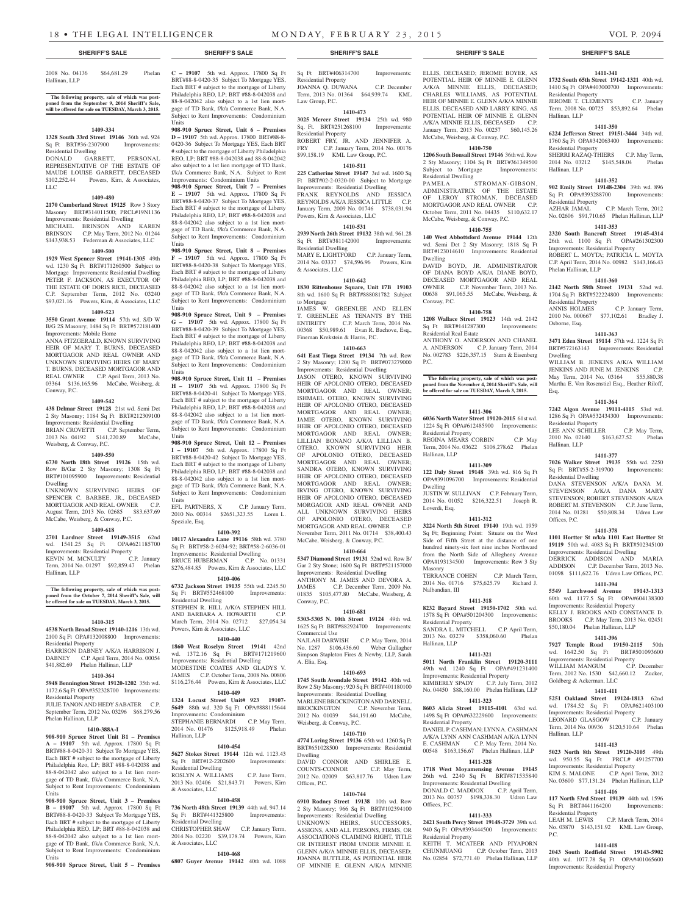#### 2008 No. 04136 \$64,681.29 Phelan Hallinan, LLP

**The following property, sale of which was post-poned from the September 9, 2014 Sheriff's Sale, will be offered for sale on TUESDAY, March 3, 2015.**

#### **1409-334**

**1328 South 33rd Street 19146** 36th wd. 924 Sq Ft BRT#36-2307900 Improvements: Residential Dwelling DONALD GARRETT, PERSONAL

REPRESENTATIVE OF THE ESTATE OF MAUDE LOUISE GARRETT, DECEASED \$102,252.44 Powers, Kirn, & Associates, LLC

# **1409-480**

**2170 Cumberland Street 19125** Row 3 Story Masonry BRT#314011500: PRCL#19N1136 Improvements: Residential Dwelling MICHAEL BRINSON AND KAREN BRINSON C.P. May Term, 2012 No. 01244 \$143,938.53 Federman & Associates, LLC

#### **1409-500**

**1929 West Spencer Street 19141-1305** 49th wd. 1230 Sq Ft BRT#171260500 Subject to Mortgage Improvements: Residential Dwelling PETER F. JACKSON, AS EXECUTOR OF THE ESTATE OF DORIS RICE, DECEASED C.P. September Term, 2012 No. 03240 \$93,021.16 Powers, Kirn, & Associates, LLC

#### **1409-523**

**3550 Grant Avenue 19114** 57th wd. S/D W B/G 2S Masonry; 1484 Sq Ft BRT#572181400 Improvements: Mobile Home

ANNA FITZGERALD, KNOWN SURVIVING HEIR OF MARY T. BURNS, DECEASED MORTGAGOR AND REAL OWNER AND UNKNOWN SURVIVING HEIRS OF MARY T. BURNS, DECEASED MORTGAGOR AND REAL OWNER C.P. April Term, 2013 No. 03364 \$136,165.96 McCabe, Weisberg, & Conway, P.C.

#### **1409-542**

**438 Delmar Street 19128** 21st wd. Semi Det 2 Sty Masonry; 1184 Sq Ft BRT#212309100 Improvements: Residential Dwelling BRIAN CROVETTI C.P. September Term, 2013 No. 04192 \$141,220.89 McCabe, Weisberg, & Conway, P.C.

#### **1409-550**

**6730 North 18th Street 19126** 15th wd. Row B/Gar 2 Sty Masonry; 1308 Sq Ft BRT#101095900 Improvements: Residential Dwelling

UNKNOWN SURVIVING HEIRS OF SPENCER C. BARBEE, JR., DECEASED MORTGAGOR AND REAL OWNER C.P. August Term, 2013 No. 02685 \$83,637.69 McCabe, Weisberg, & Conway, P.C.

#### **1409-618**

**2701 Lardner Street 19149-3515** 62nd wd. 1541.25 Sq Ft Improvements: Residential Property<br>
KEVIN M. MCNULTY C.P. January

KEVIN M. MCNULTY Term, 2014 No. 01297 \$92,859.47 Phelan Hallinan, LLP

**The following property, sale of which was post-poned from the October 7, 2014 Sheriff's Sale, will be offered for sale on TUESDAY, March 3, 2015.**

### **1410-315**

**4538 North Broad Street 19140-1216** 13th wd. 2100 Sq Ft OPA#132008800 Improvements: Residential Property

#### HARRISON DABNEY A/K/A HARRISON J. DABNEY C.P. April Term, 2014 No. 00054 \$41,882.69 Phelan Hallinan, LLP

# **1410-364**

**5948 Bennington Street 19120-1202** 35th wd. 1172.6 Sq Ft OPA#352328700 Improvements: Residential Property

JULIE TANON AND HEDY SABATER C.P. September Term, 2012 No. 03296 \$68,279.56 Phelan Hallinan, LLP

### **1410-388A-I**

**908-910 Spruce Street Unit B1 – Premises A – 19107** 5th wd. Approx. 17800 Sq Ft BRT#88-8-0420-31 Subject To Mortgage YES, Each BRT # subject to the mortgage of Liberty Philadelphia Reo, LP; BRT #88-8-042038 and 88-8-042042 also subject to a 1st lien mortgage of TD Bank, f/k/a Commerce Bank, N.A. Subject to Rent Improvements: Condominium Units

**908-910 Spruce Street, Unit 3 – Premises B – 19107** 5th wd. Approx. 17800 Sq Ft BRT#88-8-0420-33 Subject To Mortgage YES, Each BRT # subject to the mortgage of Liberty Philadelphia REO, LP; BRT #88-8-042038 and 88-8-042042 also subject to a 1st lien mortgage of TD Bank, f/k/a Commerce Bank, N.A. Subject to Rent Improvements: Condominium Units

**908-910 Spruce Street, Unit 5 – Premises** 

### **C – 19107** 5th wd. Approx. 17800 Sq Ft BRT#88-8-0420-35 Subject To Mortgage YES, Each BRT # subject to the mortgage of Liberty Philadelphia REO, LP; BRT #88-8-042038 and 88-8-042042 also subject to a 1st lien mortgage of TD Bank, f/k/a Commerce Bank, N.A.

Subject to Rent Improvements: Condominium Units **908-910 Spruce Street, Unit 6 – Premises D – 19107** 5th wd. Approx. 17800 BRT#88-8- 0420-36 Subject To Mortgage YES, Each BRT # subject to the mortgage of Liberty Philadelphia REO, LP; BRT #88-8-042038 and 88-8-042042 also subject to a 1st lien mortgage of TD Bank, f/k/a Commerce Bank, N.A. Subject to Rent Improvements: Condominium Units

**908-910 Spruce Street, Unit 7 – Premises E – 19107** 5th wd. Approx. 17800 Sq Ft BRT#88-8-0420-37 Subject To Mortgage YES, Each BRT # subject to the mortgage of Liberty Philadelphia REO, LP; BRT #88-8-042038 and 88-8-042042 also subject to a 1st lien mortgage of TD Bank, f/k/a Commerce Bank, N.A. Subject to Rent Improvements: Condominium Units

**908-910 Spruce Street, Unit 8 – Premises F – 19107** 5th wd. Approx. 17800 Sq Ft BRT#88-8-0420-38 Subject To Mortgage YES, Each BRT # subject to the mortgage of Liberty Philadelphia REO, LP; BRT #88-8-042038 and 88-8-042042 also subject to a 1st lien mortgage of TD Bank, f/k/a Commerce Bank, N.A. Subject to Rent Improvements: Condominium Units

**908-910 Spruce Street, Unit 9 – Premises G – 19107** 5th wd. Approx. 17800 Sq Ft BRT#88-8-0420-39 Subject To Mortgage YES, Each BRT # subject to the mortgage of Liberty Philadelphia REO, LP; BRT #88-8-042038 and 88-8-042042 also subject to a 1st lien mortgage of TD Bank, f/k/a Commerce Bank, N.A. Subject to Rent Improvements: Condominium Units

**908-910 Spruce Street, Unit 11 – Premises H – 19107** 5th wd. Approx. 17800 Sq Ft BRT#88-8-0420-41 Subject To Mortgage YES, Each BRT # subject to the mortgage of Liberty Philadelphia REO, LP; BRT #88-8-042038 and 88-8-042042 also subject to a 1st lien mortgage of TD Bank, f/k/a Commerce Bank, N.A. Subject to Rent Improvements: Condominium Units

**908-910 Spruce Street, Unit 12 – Premises I – 19107** 5th wd. Approx. 17800 Sq Ft BRT#88-8-0420-42 Subject To Mortgage YES, Each BRT # subject to the mortgage of Liberty Philadelphia REO, LP; BRT #88-8-042038 and 88-8-042042 also subject to a 1st lien mortgage of TD Bank, f/k/a Commerce Bank, N.A. Subject to Rent Improvements: Condominium **Units** 

EFL PARTNERS, X C.P. January Term, 2010 No. 00314 \$2651,323.55 Loren L. Speziale, Esq.

#### **1410-392**

**10117 Alexandra Lane 19116** 58th wd. 3780 Sq Ft BRT#58-2-6034-92; BRT#58-2-6036-01 Improvements: Residential Dwelling BRUCE HUBERMAN C.P. No. 01331 \$276,484.85 Powers, Kirn & Associates, LLC

#### **1410-406**

**6732 Jackson Street 19135** 55th wd. 2245.50 Sq Ft BRT#552468100 Improvements: Residential Dwelling STEPHEN R. HILL A/K/A STEPHEN HILL AND BARBARA A. HOWARTH C.P. March Term, 2014 No. 02712 \$27,054.34 Powers, Kirn & Associates, LLC

#### **1410-440**

**1860 West Roselyn Street 19141** 42nd wd. 1372.16 Sq Ft BRT#171219600 Improvements: Residential Dwelling MODESTINE COATES AND GLADYS V. JAMES C.P. October Term, 2008 No. 00806 \$116,276.44 Powers, Kirn & Associates, LLC

# **1410-449**

**1324 Locust Street Unit# 923 19107- 5649** 88th wd. 320 Sq Ft OPA#888115644 Improvements: Condominium STEPHANIE BERNARDI C.P. May Term, 2014 No. 01476 \$125,918.49 Phelan Hallinan, LLP

# **1410-454**

**5627 Stokes Street 19144** 12th wd. 1123.43 Sq Ft BRT#12-2202600 Improvements: Residential Dwelling ROSLYN A. WILLIAMS C.P. June Term, 2013 No. 02406 \$21,843.71 Powers, Kirn & Associates, LLC

# **1410-458**

**736 North 48th Street 19139** 44th wd. 947.14 Sq Ft BRT#441325800 Improvements: Residential Dwelling CHRISTOPHER SHAW C.P. January Term,

2014 No. 02220 \$39,178.74 Powers, Kirn & Associates, LLC

#### **1410-468**

**6807 Guyer Avenue 19142** 40th wd. 1088

### Sq Ft BRT#406314700 Improvements:

Residential Property JOANNA Q. DUWANA C.P. December Term, 2013 No. 01364 \$64,939.74 KML Law Group, P.C.

# **1410-473**

**3025 Mercer Street 19134** 25th wd. 980 Sq. Ft. BRT#251268100 Improvements: Residential Property

#### ROBERT FRY, JR. AND JENNIFER A. FRY C.P. January Term, 2014 No. 00176

\$99,158.19 KML Law Group, P.C. **1410-511 225 Catherine Street 19147** 3rd wd. 1600 Sq Ft BRT#02-2-0320-00 Subject to Mortgage Improvements: Residential Dwelling FRANK REYNOLDS AND JESSICA

REYNOLDS A/K/A JESSICA LITTLE C.P. January Term, 2009 No. 01746 \$738,031.94 Powers, Kirn & Associates, LLC

#### **1410-531 2939 North 26th Street 19132** 38th wd. 961.28

Sq Ft BRT#381142000 Improvements: Residential Dwelling

MARY E. LIGHTFORD C.P. January Term, 2014 No. 03337 \$74,596.96 Powers, Kirn & Associates, LLC

#### **1410-642**

**1830 Rittenhouse Square, Unit 17B 19103**  8th wd. 1610 Sq Ft BRT#888081782 Subject to Mortgage JAMES W. GREENLEE AND ELLEN

T. GREENLEE AS TENANTS BY THE ENTIRETY C.P. March Term, 2014 No. 00368 \$50,989.61 Evan R. Bachove, Esq., Fineman Krekstein & Harris, P.C.

#### **1410-663**

**641 East Tioga Street 19134** 7th wd. Row 2 Sty Masonry; 1200 Sq Ft BRT#073279000 Improvements: Residential Dwelling JASON OTERO, KNOWN SURVIVING HEIR OF APOLONIO OTERO, DECEASED MORTGAGOR AND REAL OWNER; ISHMAEL OTERO, KNOWN SURVIVING HEIR OF APOLONIO OTERO, DECEASED MORTGAGOR AND REAL OWNER; JAMIE OTERO, KNOWN SURVIVING HEIR OF APOLONIO OTERO, DECEASED MORTGAGOR AND REAL OWNER; LILLIAN BONANO A/K/A LILLIAN B. OTERO, KNOWN SURVIVING HEIR OF APOLONIO OTERO, DECEASED MORTGAGOR AND REAL OWNER; SANDRA OTERO, KNOWN SURVIVING HEIR OF APOLONIO OTERO, DECEASED MORTGAGOR AND REAL OWNER; IRVING OTERO, KNOWN SURVIVING HEIR OF APOLONIO OTERO, DECEASED MORGAGOR AND REAL OWNER AND ALL UNKNOWN SURVIVING HEIRS OF APOLONIO OTERO, DECEASED MORTGAGOR AND REAL OWNER C.P. November Term, 2011 No. 01714 \$38,400.43 McCabe, Weisberg, & Conway, P.C.

# **1410-664**

**5347 Diamond Street 19131** 52nd wd. Row B/ Gar 2 Sty Stone; 1600 Sq Ft BRT#521157000

Improvements: Residential Dwelling ANTHONY M. JAMES AND DEVORA A. JAMES C.P. December Term, 2009 No. 01835 \$105,477.80 McCabe, Weisberg, & Conway, P.C.

#### **1410-681**

**5303-5305 N. 10th Street 19124** 49th wd. 1625 Sq Ft BRT#882924700 Improvements: Commercial Use NAJLAH DARWISH C.P. May Term, 2014 No. 1287 \$106,436.60 Weber Gallagher Simpson Stapleton Fires & Newby, LLP, Sarah A. Elia, Esq.

#### **1410-693**

**1745 South Avondale Street 19142** 40th wd. Row 2 Sty Masonry; 920 Sq Ft BRT#401180100 Improvements: Residential Dwelling MARLENE BROCKINGTON AND DARNELL BROCKINGTON C.P. November Term, 2012 No. 01039 \$44,191.60 McCabe, Weisberg, & Conway, P.C.

#### **1410-710**

**4774 Loring Street 19136** 65th wd. 1260 Sq Ft BRT#651028500 Improvements: Residential Dwelling

DAVID CONNOR AND SHIRLEE COUNTS-CONNOR C.P. May Term, 2012 No. 02009 \$63,817.76 Udren Law Offices, P.C.

#### **1410-744**

**6910 Rodney Street 19138** 10th wd. Row 2 Sty Masonry; 966 Sq Ft BRT#102394100 Improvements: Residential Dwelling UNKNOWN HEIRS, SUCCESSORS, ASSIGNS, AND ALL PERSONS, FIRMS, OR ASSOCIATIONS CLAIMING RIGHT, TITLE OR INTEREST FROM UNDER MINNIE E. GLENN A/K/A MINNIE ELLIS, DECEASED; JOANNA BUTTLER, AS POTENTIAL HEIR OF MINNIE E. GLENN A/K/A MINNIE

#### **SHERIFF'S SALE SHERIFF'S SALE SHERIFF'S SALE SHERIFF'S SALE SHERIFF'S SALE**

**1411-341 1732 South 65th Street 19142-1321** 40th wd. 1410 Sq Ft OPA#403000700 Improvements:

JEROME T. CLEMENTS C.P. January Term, 2008 No. 00725 \$53,892.64 Phelan

**1411-350 6224 Jefferson Street 19151-3444** 34th wd. 1760 Sq Ft OPA#342063400 Improvements:

SHERRI RAZAQ-THIERS C.P. May Term, 2014 No. 03212 \$145,548.04 Phelan

**1411-352 902 Emily Street 19148-2304** 39th wd. 896 Sq Ft OPA#393288700 Improvements:

AZHAR JAMAL C.P. March Term, 2012 No. 02606 \$91,710.65 Phelan Hallinan, LLP **1411-353 2320 South Bancroft Street 19145-4314**  26th wd. 1100 Sq Ft OPA#261302300 Improvements: Residential Property ROBERT L. MOYTA; PATRICIA L. MOYTA C.P. April Term, 2014 No. 00982 \$143,166.43

**1411-360 2142 North 58th Street 19131** 52nd wd. 1704 Sq Ft BRT#522224800 Improvements:

ANNIS HOLMES C.P. January Term, 2010 No. 000667 \$77,102.61 Bradley J.

**1411-363 3471 Eden Street 19114** 57th wd. 1224 Sq Ft BRT#572163143 Improvements: Residential

WILLIAM B. JENKINS A/K/A WILLIAM JENKINS AND JUNE M. JENKINS C.P.<br>May Term, 2014 No. 03164 \$55,880.38

Martha E. Von Rosenstiel Esq., Heather Riloff,

**1411-364 7242 Algon Avenue 19111-4115** 53rd wd. 1286 Sq Ft OPA#532434300 Improvements:

LEE ANN SCHILLER C.P. May Term,<br>2010 No. 02140 \$163.627.52 Phelan 2010 No. 02140 \$163,627.52

**1411-377 7026 Walker Street 19135** 55th wd. 2250 Sq Ft BRT#55-2-319700 Improvements:

DANA STEVENSON A/K/A DANA M. STEVENSON A/K/A DANA MARY STEVENSON; ROBERT STEVENSON A/K/A ROBERT M. STEVENSON C.P. June Term, 2014 No. 01281 \$50,808.34 Udren Law

**1411-378 1101 Hortter St n/k/a 1101 East Hortter St 19119** 50th wd. 4083 Sq Ft BRT#502345100 Improvements: Residential Dwelling DERRICK ADDISON AND MARIA ADDISON C.P. December Term, 2013 No. 01098 \$111,622.76 Udren Law Offices, P.C. **1411-394 5549 Larchwood Avenue 19143-1313**  60th wd. 1177.5 Sq Ft OPA#604138300 Improvements: Residential Property KELLY J. BROOKS AND CONSTANCE D. BROOKS C.P. May Term, 2013 No. 02451 \$50,180.04 Phelan Hallinan, LLP **1411-396 7927 Temple Road 19150-2115** 50th wd. 1642.50 Sq Ft BRT#501093600 Improvements: Residential Property<br>WILLIAM MANGUM C.P. December

May Term, 2014 No. 03164

Residential Property

Residential Dwelling

WILLIAM MANGUM

LEONARD GLASGOW

Residential Property

P.C.

Hallinan, LLP

Goldberg & Ackerman, LLC

Term, 2012 No. 1530 \$42,660.12 Zucker,

**1411-411 5251 Oakland Street 19124-1813** 62nd wd. 1784.52 Sq Ft OPA#621403100 Improvements: Residential Property<br>LEONARD GLASGOW C.P. January

Term, 2014 No. 00936 \$120,510.64 Phelan

**1411-413 5023 North 8th Street 19120-3105** 49th wd. 950.55 Sq Ft PRCL# 491257700

No. 03600 \$77,131.24 Phelan Hallinan, LLP **1411-416 117 North 53rd Street 19139** 44th wd. 1596 Sq Ft BRT#441164200 Improvements:

LEAH M. LEWIS C.P. March Term, 2014 No. 03870 \$143,151.92 KML Law Group,

**1411-418 2043 South Redfield Street 19143-5902**  40th wd. 1077.78 Sq Ft OPA#401065600 Improvements: Residential Property

C.P. April Term, 2012

Improvements: Residential Property<br>KIM S. MALONE C.P. April

Hallinan, LLP

Offices, P.C.

Residential Property

Residential Property

Residential Property

Phelan Hallinan, LLP

Residential Property

Osborne, Esq.

Dwelling

Esq.

Hallinan, LLP

Hallinan, LLP

ELLIS, DECEASED; JEROME BOYER, AS POTENTIAL HEIR OF MINNIE E. GLENN A/K/A MINNIE ELLIS, DECEASED; CHARLES WILLIAMS, AS POTENTIAL HEIR OF MINNIE E. GLENN A/K/A MINNIE ELLIS, DECEASED AND LARRY KING, AS POTENTIAL HEIR OF MINNIE E. GLENN A/K/A MINNIE ELLIS, DECEASED C.P. January Term, 2013 No. 00257 \$60,145.26 McCabe, Weisberg, & Conway, P.C.

#### **1410-750**

**1206 South Bonsall Street 19146** 36th wd. Row 2 Sty Masonry; 1104 Sq Ft BRT#361349500<br>Subject to Mortgage Improvements: Subject to Mortgage Improvements: Residential Dwelling

PAMELA STROMAN-GIBSON, ADMINISTRATRIX OF THE ESTATE OF LEROY STROMAN, DECEASED MORTGAGOR AND REAL OWNER C.P. October Term, 2011 No. 04435 \$110,632.17 McCabe, Weisberg, & Conway, P.C.

#### **1410-755**

**140 West Abbottsford Avenue 19144** 12th wd. Semi Det 2 Sty Masonry; 1818 Sq Ft BRT#123014610 Improvements: Residential Dwelling DAVID BOYD, JR. ADMINISTRATOR OF DIANA BOYD A/K/A DIANE BOYD, DECEASED MORTGAGOR AND REAL

OWNER C.P. November Term, 2013 No. 00638 \$91,065.55 McCabe, Weisberg, & Conway, P.C. **1410-758**

#### **1208 Wallace Street 19123** 14th wd. 2142

P.C.

Sq Ft BRT#141287300 Improvements: Residential Real Estate ANTHONY O. ANDERSON AND CHANEL A. ANDERSON C.P. January Term, 2014 No. 002783 \$226,357.15 Stern & Eisenberg

**The following property, sale of which was post-poned from the November 4, 2014 Sheriff's Sale, will be offered for sale on TUESDAY, March 3, 2015.**

#### **1411-306**

**6036 North Water Street 19120-2015** 61st wd. 1224 Sq Ft OPA#612485900 Improvements: Residential Property

REGINA MEARS CORBIN C.P. May Term, 2014 No. 03622 \$108,278.62 Phelan Hallinan, LLP

# **1411-309**

**122 Daly Street 19148** 39th wd. 816 Sq Ft OPA#391096700 Improvements: Residential Dwelling JUSTIN W. SULLIVAN C.P. February Term,

2014 No. 01052 \$216,322.51 Joseph R.

**1411-312 3224 North 5th Street 19140** 19th wd. 1959 Sq Ft; Beginning Point: Situate on the West Side of Fifth Street at the distance of one hundred ninety-six feet nine inches Northward from the North Side of Allegheny Avenue OPA#193134500 Improvements: Row 3 Sty

TERRANCE COHEN C.P. March Term, 2014 No. 01716 \$75,625.79 Richard J.

**1411-318 8232 Bayard Street 19150-1702** 50th wd. 1578 Sq Ft OPA#501204300 Improvements:

SANDRA L. MITCHELL C.P. April Term,<br>2013 No. 03279 \$358,060.60 Phelan 2013 No. 03279 \$358,060.60

**1411-321 5011 North Franklin Street 19120-3111**  49th wd. 1240 Sq Ft OPA#491231400 Improvements: Residential Property KIMBERLY SPADY C.P. July Term, 2012 No. 04450 \$88,160.00 Phelan Hallinan, LLP **1411-323 8603 Alicia Street 19115-4101** 63rd wd. 1498 Sq Ft OPA#632229600 Improvements:

DANIEL P. CASHMAN; LYNN A. CASHMAN A/K/A LYNN ANN CASHMAN A/K/A LYNN E. CASHMAN C.P. May Term, 2014 No. 00548 \$163,156.67 Phelan Hallinan, LLP **1411-328 1718 West Moyamensing Avenue 19145**  26th wd. 2240 Sq Ft BRT#871535840 Improvements: Residential Dwelling DONALD C. MADDOX C.P. April Term, 2013 No. 00757 \$198,338.30 Udren Law

**1411-333 2421 South Percy Street 19148-3729** 39th wd. 940 Sq Ft OPA#393444500 Improvements:

KEITH T. MCATEER AND PIYAPORN CHUNMUANG C.P. October Term, 2013 No. 02854 \$72,771.40 Phelan Hallinan, LLP

Loverdi, Esq.

Masonry

Nalbandian, III

Residential Property

Residential Property

Offices, P.C.

Residential Property

Hallinan, LLP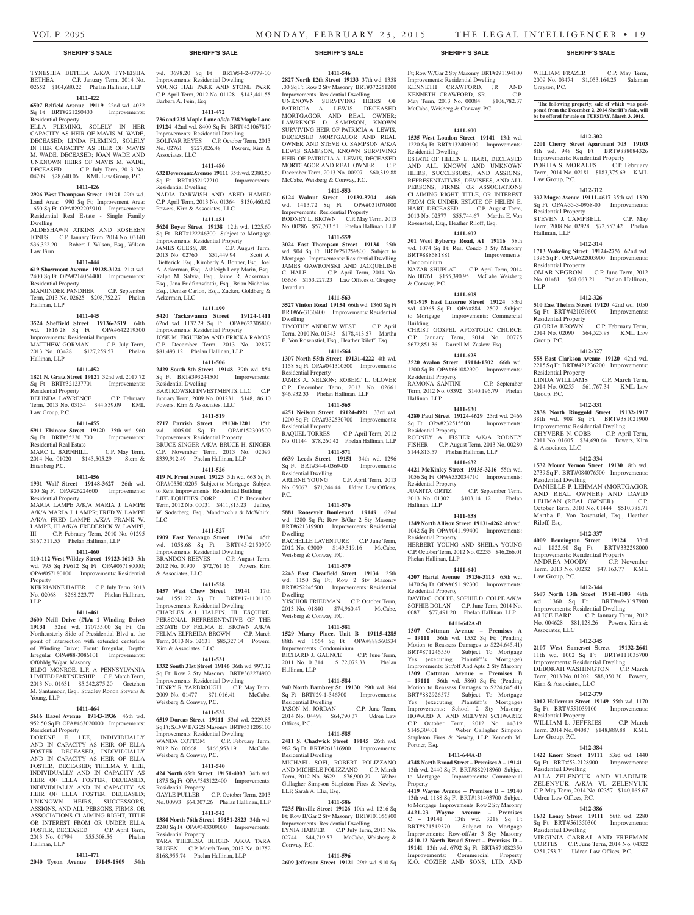#### **SHERIFF'S SALE SHERIFF'S SALE SHERIFF'S SALE SHERIFF'S SALE SHERIFF'S SALE**

TYNESHIA BETHEA A/K/A TYNEISHA BETHEA C.P. January Term, 2014 No. 02652 \$104,680.22 Phelan Hallinan, LLP

#### **1411-422**

**6507 Belfield Avenue 19119** 22nd wd. 4032 Sq Ft BRT#221250400 Improvements: Residential Property

ELLA FLEMING, SOLELY IN HER CAPACITY AS HEIR OF MAVIS M. WADE, DECEASED; LINDA FLEMING, SOLELY IN HER CAPACITY AS HEIR OF MAVIS M. WADE, DECEASED; JOAN WADE AND UNKNOWN HEIRS OF MAVIS M. WADE, DECEASED C.P. July Term, 2013 No. 04709 \$28,640.06 KML Law Group, P.C.

#### **1411-426**

**2926 West Thompson Street 19121** 29th wd. Land Area: 990 Sq Ft; Improvement Area: 1650 Sq Ft OPA#292205910 Improvements: Residential Real Estate - Single Family Dwelling ALDESHAWN ATKINS AND ROSHEEN

JONES C.P. January Term, 2014 No. 03140 \$36,322.20 Robert J. Wilson, Esq., Wilson Law Firm

#### **1411-444**

**619 Shawmont Avenue 19128-3124** 21st wd. 2400 Sq Ft OPA#214054400 Improvements: Residential Property

MANJINDER PANDHER C.P. September Term, 2013 No. 02625 \$208,752.27 Phelan Hallinan, LLP

#### **1411-445**

**3524 Sheffield Street 19136-3519** 64th wd. 1816.28 Sq Ft OPA#642219500 Improvements: Residential Property MATTHEW GORMAN C.P. July Term, 2013 No. 03428 \$127,259.57 Phelan Hallinan, LLP

#### **1411-452**

**1821 N. Gratz Street 19121** 32nd wd. 2017.72 Sq Ft BRT#321237701 Improvements: Residential Property

BELINDA LAWRENCE C.P. February Term, 2013 No. 03134 \$44,839.09 KML Law Group, P.C.

#### **1411-455**

**5911 Elsinore Street 19120** 35th wd. 960 Sq Ft BRT#352301700 Improvements: Residential Real Estate MARC L. BARNHILL C.P. May Term,

2014 No. 01020 \$143,505.29 Stern & Eisenberg P.C.

#### **1411-456**

**1931 Wolf Street 19148-3627** 26th wd. 800 Sq Ft OPA#26224600 Improvements: Residential Property

MARIA LAMPE A/K/A MARIA J. LAMPE A/K/A MARIA J. LAMPR; FRED W. LAMPE A/K/A FRED LAMPE A/K/A FRANK W. LAMPE, III A/K/A FREDERICK W. LAMPE, III C.P. February Term, 2010 No. 01295 \$167,311.55 Phelan Hallinan, LLP

#### **1411-460**

**110-112 West Wildey Street 19123-1613** 5th wd. 795 Sq Ft/612 Sq Ft OPA#057180000; OPA#057180100 Improvements: Residential Property

KERRIANNE HAFER C.P. July Term, 2013 No. 02068 \$268,223.77 Phelan Hallinan, LLP

#### **1411-461**

**3600 Neill Drive (f/k/a 1 Winding Drive) 19131** 52nd wd. 170755.00 Sq Ft; On Northeasterly Side of Presidential Blvd at the point of intersection with extended centerline of Winding Drive; Front: Irregular, Depth: Irregular OPA#88-3086101 Improvements:

# Off/bldg W/gar. Masonry

BLDG MONROE, L.P. A PENNSYLVANIA LIMITED PARTNERSHIP C.P. March Term, 2013 No. 01631 \$5,242,875.20 Gretchen M. Santamour, Esq., Stradley Ronon Stevens & Young, LLP

#### **1411-464**

**5616 Hazel Avenue 19143-1936** 46th wd. 952.50 Sq Ft OPA#463020000 Improvements: Residential Property

DORENE E. LEE, INDIVIDUALLY AND IN CAPACITY AS HEIR OF ELLA FOSTER, DECEASED, INDIVIDUALLY AND IN CAPACITY AS HEIR OF ELLA FOSTER, DECEASED; THELMA Y. LEE, INDIVIDUALLY AND IN CAPACITY AS HEIR OF ELLA FOSTER, DECEASED, INDIVIDUALLY AND IN CAPACITY AS HEIR OF ELLA FOSTER, DECEASED; UNKNOWN HEIRS, SUCCESSORS, ASSIGNS, AND ALL PERSONS, FIRMS, OR ASSOCIATIONS CLAIMING RIGHT, TITLE OR INTEREST FROM OR UNDER ELLA<br>FOSTER. DECEASED C.P. April Term, FOSTER, DECEASED 2013 No. 01794 \$55,308.56 Phelan Hallinan, LLP

#### **1411-471**

**2040 Tyson Avenue 19149-1809** 54th

wd. 3698.20 Sq Ft BRT#54-2-0779-00 Improvements: Residential Dwelling YOUNG HAE PARK AND STONE PARK C.P. April Term, 2012 No. 01128 \$143,441.55 Barbara A. Fein, Esq.

#### **1411-472**

**736 and 738 Maple Lane a/k/a 738 Maple Lane 19124** 42nd wd. 8400 Sq Ft BRT#421067810 Improvements: Residential Dwelling BOLIVAR REYES C.P. October Term, 2013 No. 02761 \$227,026.48 Powers, Kirn & Associates, LLC

#### **1411-480**

**632 Devereaux Avenue 19111** 35th wd. 2380.50 Sq Ft BRT#352197210 Improvements: Residential Dwelling NADIA DARWISH AND ABED HAMED

C.P. April Term, 2013 No. 01364 \$130,460.62 Powers, Kirn & Associates, LLC **1411-481**

**5624 Boyer Street 19138** 12th wd. 1225.60 Sq Ft BRT#122246300 Subject to Mortgage Improvements: Residential Property JAMES GUESS, JR. C.P. August Term, 2013 No. 02760 \$51,449.94 Scott A. Dietterick, Esq., Kimberly A. Bonner, Esq., Joel A. Ackerman, Esq., Ashleigh Levy Marin, Esq., Ralph M. Salvia, Esq., Jaime R. Ackerman, Esq., Jana Fridfinnsdottir, Esq., Brian Nicholas, Esq., Denise Carlon, Esq., Zucker, Goldberg & Ackerman, LLC

#### **1411-499**

**5420 Tackawanna Street 19124-1411**  62nd wd. 1132.29 Sq Ft OPA#622305800 Improvements: Residential Property JOSE M. FIGUEROA AND ERICKA RAMOS C.P. December Term, 2013 No. 02877 \$81,493.12 Phelan Hallinan, LLP

#### **1411-506**

**2429 South 8th Street 19148** 39th wd. 854 Sq Ft BRT#393244500 Residential Dwelling BARTKOWSKI INVESTMENTS, LLC C.P. January Term, 2009 No. 001231 \$148,186.10 Powers, Kirn & Associates, LLC

# **1411-519**

**2717 Parrish Street 19130-1201** 15th wd. 1005.00 Sq Ft OPA#152300500 Improvements: Residential Property BRUCE SINGER A/K/A BRUCE H. SINGER C.P. November Term, 2013 No. 02097 \$339,912.49 Phelan Hallinan, LLP

# **1411-526**

**419 N. Front Street 19123** 5th wd. 663 Sq Ft OPA#055010205 Subject to Mortgage Subject to Rent Improvements: Residential Building LIFE EQUITIES CORP. C.P. December Term, 2012 No. 00031 \$411,815.23 Jeffrey W. Soderberg, Esq., Mandracchia & McWhirk, LLC

#### **1411-527**

**1909 East Venango Street 19134** 45th wd. 1058.68 Sq Ft BRT#45-2150900 Improvements: Residential Dwelling BRANDON REEVES C.P. August Term, 2012 No. 01907 \$72,761.16 Powers, Kirn & Associates, LLC

#### **1411-528**

**1457 West Chew Street 19141** 17th wd. 1551.22 Sq Ft BRT#17-1101100 Improvements: Residential Dwelling CHARLES A.J. HALPIN, III, ESQUIRE, PERSONAL REPRESENTATIVE OF THE ESTATE OF FELMA E. BROWN A/K/A FELMA ELFREIDA BROWN C.P. March Term, 2013 No. 02631 \$85,327.04 Powers, Kirn & Associates, LLC

#### **1411-531**

**1332 South 31st Street 19146** 36th wd. 997.12 Sq Ft; Row 2 Sty Masonry BRT#362274900 Improvements: Residential Dwelling HENRY R. YARBROUGH C.P. May Term 2009 No. 01477 \$71,016.41 McCabe, Weisberg & Conway, P.C.

# **1411-532**

**6519 Dorcas Street 19111** 53rd wd. 2229.85 Sq Ft; S/D W B/G 2S Masonry BRT#531205100 Improvements: Residential Dwelling<br>WANDA COTTOM C.P. February Term. WANDA COTTOM C.P. February Term, 2012 No. 00668 \$166,953.19 McCabe, Weisberg & Conway, P.C.

#### **1411-540**

**424 North 65th Street 19151-4003** 34th wd. 1875 Sq Ft OPA#343122400 Improvements: Residential Property GAYLE PULLER C.P. October Term, 2013 No. 00993 \$64,307.26 Phelan Hallinan, LLP

# **1411-542**

**1384 North 76th Street 19151-2823** 34th wd. 2240 Sq Ft OPA#343309000 Improvements: Residential Property

TARA THERESA BLIGEN A/K/A TARA BLIGEN C.P. March Term, 2013 No. 01752 \$168,955.74 Phelan Hallinan, LLP

# **1411-546**

**2827 North 12th Street 19133** 37th wd. 1358 .00 Sq Ft; Row 2 Sty Masonry BRT#372251200 Improvements: Residential Dwelling UNKNOWN SURVIVING HEIRS OF PATRICIA A. LEWIS, DECEASED MORTGAGOR AND REAL OWNER; LAWRENCE D. SAMPSON, KNOWN SURVIVING HEIR OF PATRICIA A. LEWIS, DECEASED MORTGAGOR AND REAL OWNER AND STEVE O. SAMPSON A/K/A LEWIS SAMPSON, KNOWN SURVIVING HEIR OF PATRICIA A. LEWIS, DECEASED MORTGAGOR AND REAL OWNER C.P. December Term, 2013 No. 00907 \$60,319.88 McCabe, Weisberg & Conway, P.C.

# **1411-553**

**6124 Walnut Street 19139-3704** 46th wd. 1413.72 Sq Ft OPA#031070400 Improvements: Residential Property RODNEY L. BROWN C.P. May Term, 2013 No. 00286 \$57,703.51 Phelan Hallinan, LLP

#### **1411-559**

**3024 East Thompson Street 19134** 25th wd. 904 Sq Ft BRT#251259800 Subject to Mortgage Improvements: Residential Dwelling JAMES GAWRONSKI AND JACQUELINE C. HALE C.P. April Term, 2014 No. 03656 \$153,227.23 Law Offices of Gregory Javardian

#### **1411-563**

**3527 Vinton Road 19154** 66th wd. 1360 Sq Ft BRT#66-3130400 Improvements: Residential Dwelling

TIMOTHY ANDREW WEST C.P. April Term, 2010 No. 01343 \$178,413.57 Martha E. Von Rosenstiel, Esq., Heather Riloff, Esq.

# **1411-564**

**1307 North 55th Street 19131-4222** 4th wd. 1158 Sq Ft OPA#041300500 Improvements: Residential Property JAMES A. NELSON; ROBERT L. GLOVER C.P. December Term, 2013 No. 02661 \$46,932.33 Phelan Hallinan, LLP

#### **1411-565**

**4251 Neilson Street 19124-4921** 33rd wd. 1200 Sq Ft OPA#332530700 Improvements: Residential Property RAQUEL TORRES C.P. April Term, 2012 No. 01144 \$78,260.42 Phelan Hallinan, LLP

**1411-571 6639 Leeds Street 19151** 34th wd. 1296 Sq Ft BRT#34-4-0369-00 Improvements: Residential Dwelling ARLENE YOUNG C.P. April Term, 2013

No. 05067 \$71,244.44 Udren Law Offices, P.C. **1411-576**

**5881 Roosevelt Boulevard 19149** 62nd wd. 1280 Sq Ft; Row B/Gar 2 Sty Masonry BRT#621319900 Improvements: Residential Dwelling RACHELLE LAVENTURE C.P. June Term, 2012 No. 03009 \$149,319.16 McCabe, Weisberg & Conway, P.C.

#### **1411-579**

**2243 East Clearfield Street 19134** 25th wd. 1150 Sq Ft; Row 2 Sty Masonry BRT#252245500 Improvements: Residential Dwelling YISCHOR FRIEDMAN C.P. October Term, 2013 No. 01840 \$74,960.47 McCabe, Weisberg & Conway, P.C.

#### **1411-581**

**1529 Marcy Place, Unit B 19115-4285**  88th wd. 1664 Sq Ft OPA#888560534 Improvements: Condominium RICHARD J. GAUNCE C.P. June Term, 2011 No. 01314 \$172,072.33 Phelan Hallinan, LLP

#### **1411-584**

**940 North Bambrey St 19130** 29th wd. 864 Sq Ft BRT#29-1-346700 Improvements: Residential Dwelling JASON M. JORDAN C.P. June Term,

2014 No. 04498 \$64,790.37 Udren Law Offices, P.C. **1411-585**

**2411 S. Chadwick Street 19145** 26th wd. 982 Sq Ft BRT#261316900 Improvements: Residential Dwelling<br>MICHAEL SOFI, ROBERT POLIZZANO AND MICHELE POLIZZANO C.P. March Term, 2012 No. 3629 \$76,900.79 Weber Gallagher Simpson Stapleton Fires & Newby, LLP, Sarah A. Elia, Esq.

## **1411-586**

**7235 Pittville Street 19126** 10th wd. 1216 Sq Ft; Row B/Gar 2 Sty Masonry BRT#101056800 Improvements: Residential Dwelling LYNIA HARPER C.P. July Term, 2013 No. 02744 \$44,719.57 McCabe, Weisberg & Conway, P.C.

#### **1411-596**

**2609 Jefferson Street 19121** 29th wd. 910 Sq

# Ft; Row W/Gar 2 Sty Masonry BRT#291194100 Improvements: Residential Dwelling

KENNETH CRAWFORD, JR. AND KENNETH CRAWFORD, SR. C.P. May Term, 2013 No. 00084 \$106,782.37 McCabe, Weisberg & Conway, P.C.

WILLIAM FRAZER C.P. May Term, 2009 No. 03474 \$1,053,164.25 Salaman

**The following property, sale of which was postponed from the December 2, 2014 Sheriff's Sale, will be be offered for sale on TUESDAY, March 3, 2015.**

**1412-302 2201 Cherry Street Apartment 703 19103**  8th wd. 948 Sq Ft BRT#888084326 Improvements: Residential Property PORTIA S. MORALES C.P. February Term, 2014 No. 02181 \$183,375.69 KML

**1412-312 332 Magee Avenue 19111-4617** 35th wd. 1320 Sq Ft OPA#35-3-0958-00 Improvements:

STEVEN J. CAMPBELL C.P. May Term, 2008 No. 02928 \$72,557.42 Phelan

**1412-314 1713 Wakeling Street 19124-2756** 62nd wd. 1396 Sq Ft OPA#622003900 Improvements:

No. 01481 \$61,063.21 Phelan Hallinan,

**1412-326 510 East Thelma Street 19120** 42nd wd. 1050 Sq Ft BRT#421030600 Improvements:

GLORIA BROWN C.P. February Term, 2014 No. 02090 \$64,525.98 KML Law

**1412-327 558 East Clarkson Avenue 19120** 42nd wd. 2215 Sq Ft BRT#421236200 Improvements:

LINDA WILLIAMS C.P. March Term, 2014 No. 00255 \$61,767.34 KML Law

**1412-331 2838 North Ringgold Street 19132-1917**  38th wd. 908 Sq Ft BRT#381021900 Improvements: Residential Dwelling CHYVERE N. COBB C.P. April Term, 2011 No. 01605 \$34,690.64 Powers, Kirn

**1412-334 1532 Mount Vernon Street 19130** 8th wd. 2739 Sq Ft BRT#084076500 Improvements:

DANIELLE P. LEHMAN (MORTGAGOR AND REAL OWNER) AND DAVID LEHMAN (REAL OWNER) C.P. October Term, 2010 No. 01444 \$510,785.71 Martha E. Von Rosenstiel, Esq., Heather

**1412-337 4009 Bennington Street 19124** 33rd wd. 1822.60 Sq Ft BRT#332298000 Improvements: Residential Property<br>ANDREA MOODY C.P. November ANDREA MOODY C.P. November Term, 2013 No. 00232 \$47,163.77 KML

**1412-344 5607 North 13th Street 19141-4103** 49th wd. 1360 Sq Ft BRT#49-3197900 Improvements: Residential Dwelling ALICE EARP C.P. January Term, 2012 No. 004628 \$81,128.26 Powers, Kirn &

**1412-345 2107 West Somerset Street 19132-2641**  11th wd. 1002 Sq Ft BRT#111035700 Improvements: Residential Dwelling DEBORAH WASHINGTON C.P. March Term, 2013 No. 01202 \$88,050.30 Powers,

**1412-379 3012 Hellerman Street 19149** 55th wd. 1170 Sq Ft BRT#551039100 Improvements:

WILLIAM L. JEFFRIES C.P. March Term, 2014 No. 04087 \$148,889.88 KML

**1412-384 1422 Knorr Street 19111** 53rd wd. 1440 BRT#53-2128900 Improve

ALLA ZELENYUK AND VLADIMIR ZELENYUK A/K/A VL ZELENYUK C.P. May Term, 2014 No. 02357 \$140,165.67

**1412-386 1632 Loney Street 19111** 56th wd. 2280 Sq Ft BRT#561350300 Improvements:

VIRGINIA CABRAL AND FREEMAN CORTES C.P. June Term, 2014 No. 04322 \$251,753.71 Udren Law Offices, P.C.

C.P. June Term, 2012

Grayson, P.C.

Law Group, P.C.

Residential Property

Residential Property<br>OMAR NEGRON

Residential Property

Residential Property

& Associates, LLC

Residential Dwelling

Riloff, Esq.

Law Group, P.C.

Associates, LLC

Kirn & Associates, LLC

Residential Property

Residential Dwelling

Udren Law Offices, P.C.

Residential Dwelling

Law Group, P.C.

Group, P.C.

Group, P.C.

Hallinan, LLP

LLP

#### **1411-600**

**1535 West Loudon Street 19141** 13th wd. 1220 Sq Ft BRT#132409100 Improvements: Residential Dwelling ESTATE OF HELEN E. HART, DECEASED AND ALL KNOWN AND UNKNOWN HEIRS, SUCCESSORS, AND ASSIGNS, REPRESENTATIVES, DEVISEES, AND ALL PERSONS, FIRMS, OR ASSOCIATIONS CLAIMING RIGHT, TITLE, OR INTEREST FROM OR UNDER ESTATE OF HELEN E. HART, DECEASED C.P. August Term, 2013 No. 02577 \$55,744.67 Martha E. Von Rosenstiel, Esq., Heather Riloff, Esq.

#### **1411-602**

**301 West Byberry Road, A1 19116** 58th wd. 1074 Sq Ft; Res. Condo 3 Sty Masonry BRT#888581881 Improvements: Condominium NAZAR SHUPLAT C.P. April Term, 2014

No. 00761 \$155,390.95 McCabe, Weisberg

**1411-608 901-919 East Luzerne Street 19124** 33rd wd. 40965 Sq Ft OPA#884112507 Subject to Mortgage Improvements: Commercial

CHRIST GOSPEL APOSTOLIC CHURCH C.P. January Term, 2014 No. 00775 \$672,851.36 Darrell M. Zaslow, Esq. **1411-625 3520 Avalon Street 19114-1502** 66th wd. 1200 Sq Ft OPA#661082920 Improvements:

RAMONA SANTINI C.P. September Term, 2012 No. 03392 \$140,196.79 Phelan

**1411-630 4280 Paul Street 19124-4629** 23rd wd. 2466 Sq Ft OPA#232515500 Improvements:

RODNEY A. FISHER A/K/A RODNEY FISHER C.P. August Term, 2013 No. 00280 \$144,813.57 Phelan Hallinan, LLP **1411-632 4421 McKinley Street 19135-3216** 55th wd. 1056 Sq Ft OPA#552034710 Improvements:

2013 No. 01302 \$103,141.12 Phelan

**1411-638 1249 North Allison Street 19131-4262** 4th wd. 1042 Sq Ft OPA#041199400 Improvements:

HERBERT YOUNG AND SHEILA YOUNG C.P. October Term, 2012 No. 02235 \$46,266.01

**1411-640 4207 Hartel Avenue 19136-3113** 65th wd. 1470 Sq Ft OPA#651192300 Improvements:

DAVID G. COLPE; SOPHIE D. COLPE A/K/A SOPHIE DOLAN C.P. June Term, 2014 No. 00871 \$77,491.20 Phelan Hallinan, LLP **1411-642A-B 1307 Cottman Avenue – Premises A – 19111** 56th wd. 1552 Sq Ft; (Pending Motion to Reassess Damages to \$224,645.41) BRT#871246550 Subject To Mortgage Yes (executing Plaintiff's Mortgage) Improvements: Str/off And Apts 2 Sty Masonry **1309 Cottman Avenue – Premises B – 19111** 56th wd. 5860 Sq Ft; (Pending Motion to Reassess Damages to \$224,645.41) BRT#882926575 Subject To Mortgage Yes (executing Plaintiff's Mortgage) Improvements: School 2 Sty Masonry HOWARD A. AND MELVYN SCHWARTZ C.P. October Term, 2012 No. 44319 \$145,304.01 Weber Gallagher Simpson Stapleton Fires & Newby, LLP, Kenneth M.

**1411-644A-D 4748 North Broad Street – Premises A – 19141**  13th wd. 2440 Sq Ft BRT#882918960 Subject

**4419 Wayne Avenue – Premises B – 19140** 13th wd. 1188 Sq Ft BRT#131403700 Subject to Mortgage Improvements: Row 2 Sty Masonry **4421-23 Wayne Avenue – Premises C – 19140** 13th wd. 3218 Sq Ft BRT#871519370 Subject to Mortgage Improvements: Row-off/str 3 Sty Masonry **4810-12 North Broad Street – Premises D – 19141** 13th wd. 6792 Sq Ft BRT#871082350 Improvements: Commercial Property K.O. COZIER AND SONS, LTD. AND

Improvements: Commercial

C.P. September Term,

& Conway, P.C.

Building

Residential Property

Residential Property

Residential Property<br>JUANITA ORTIZ

Residential Property

Phelan Hallinan, LLP

Residential Property

Portner, Esq.

Property

Hallinan, LLP

Hallinan, LLP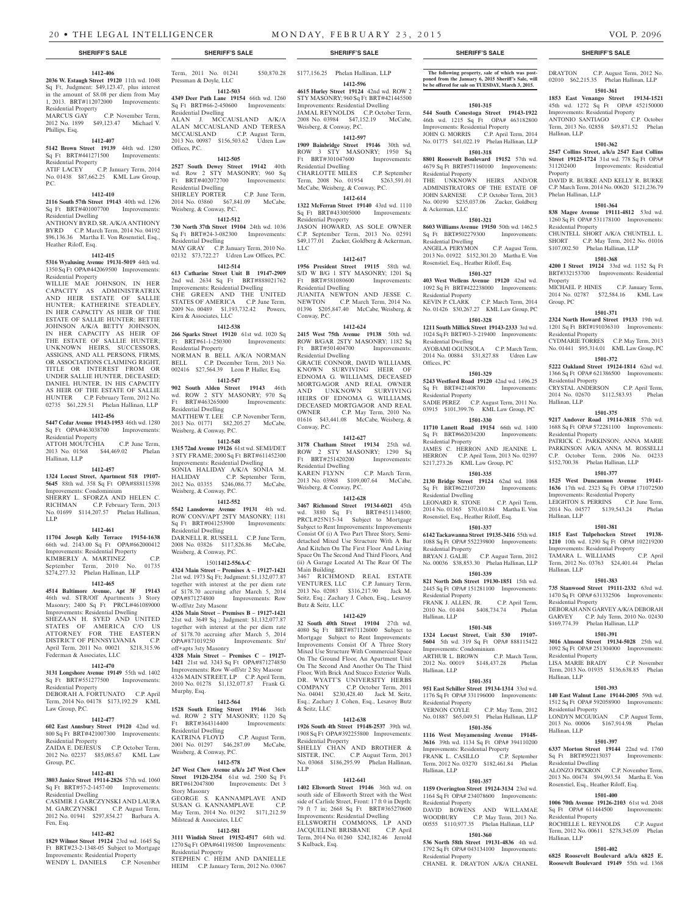#### **1412-406**

**2036 W. Estaugh Street 19120** 11th wd. 1048 Sq Ft, Judgment: \$49,123.47, plus interest in the amount of \$8.08 per diem from May<br>1, 2013. BRT#112072000 Improvements: 1, 2013. BRT#112072000 Improvements: Residential Property

MARCUS GAY C.P. November Term, 2012 No. 1899 \$49,123.47 Michael V. Phillips, Esq.

### **1412-407**

**5142 Brown Street 19139** 44th wd. 1280 Sq Ft BRT#441271500 Improvements: Residential Property ATIF LACEY C.P. January Term, 2014

No. 01438 \$87,662.25 KML Law Group, P.C. **1412-410**

**2116 South 57th Street 19143** 40th wd. 1296 Sq Ft BRT#401007700 Improvements: Residential Dwelling

ANTHONY BYRD, SR. A/K/A ANTHONY BYRD C.P. March Term, 2014 No. 04192 \$96,136.36 Martha E. Von Rosenstiel, Esq., Heather Riloff, Esq.

#### **1412-415**

**5316 Wyalusing Avenue 19131-5019** 44th wd. 1350 Sq Ft OPA#442069500 Improvements: Residential Property

WILLIE MAE JOHNSON, IN HER CAPACITY AS ADMINISTRATRIX AND HEIR ESTATE OF SALLIE HUNTER; KATHERINE STEADLEY, IN HER CAPACITY AS HEIR OF THE ESTATE OF SALLIE HUNTER; BETTIE JOHNSON A/K/A BETTY JOHNSON, IN HER CAPACITY AS HEIR OF THE ESTATE OF SALLIE HUNTER; UNKNOWN HEIRS, SUCCESSORS, ASSIGNS, AND ALL PERSONS, FIRMS, OR ASSOCIATIONS CLAIMING RIGHT. TITLE OR INTEREST FROM OR UNDER SALLIE HUNTER, DECEASED; DANIEL HUNTER, IN HIS CAPACITY AS HEIR OF THE ESTATE OF SALLIE HUNTER C.P. February Term, 2012 No. 02735 \$61,229.51 Phelan Hallinan, LLP

#### **1412-456**

# **5447 Cedar Avenue 19143-1953** 46th wd. 1280

Sq Ft OPA#463038700 Improvements: Residential Property ATTOH MOUTCHIA C.P. June Term, 2013 No. 01568 \$44,469.02 Phelan Hallinan, LLP

#### **1412-457**

**1324 Locust Street, Apartment 518 19107- 5645** 88th wd. 358 Sq Ft OPA#888115398 Improvements: Condominium SHERRY L. SFORZA AND HELEN C. RICHMAN C.P. February Term, 2013 No. 01699 \$114,207.57 Phelan Hallinan, LLP

#### **1412-461**

**11704 Joseph Kelly Terrace 19154-1638**  66th wd. 2143.00 Sq Ft OPA#662000412 Improvements: Residential Property KIMBERLY A. MARTINEZ C.P. September Term, 2010 No. 01735 \$274,277.32 Phelan Hallinan, LLP

#### **1412-465**

**4514 Baltimore Avenue, Apt 3F 19143**  46th wd. STR/Off Apartments 3 Story Masonry; 2400 Sq Ft PRCL#461089000 Improvements: Residential Dwelling SHEZAAN H. SYED AND UNITED STATES OF AMERICA C/O US ATTORNEY FOR THE EASTERN DISTRICT OF PENNSYLVANIA C.P. April Term, 2011 No. 00021 \$218,315.96 Federman & Associates, LLC

#### **1412-470**

**3131 Longshore Avenue 19149** 55th wd. 1402 Sq Ft BRT#551277500 Improvements: Residential Property DEBORAH A. FORTUNATO C.P. April

Term, 2014 No. 04178 \$173,192.29 KML Law Group, P.C. **1412-477**

# **602 East Annsbury Street 19120** 42nd wd.

800 Sq Ft BRT#421007300 Improvements: Residential Property ZAIDA E. DEJESUS C.P. October Term, 2012 No. 02237 \$85,085.67 KML Law

# Group, P.C. **1412-481**

**3803 Janice Street 19114-2826** 57th wd. 1060 Sq Ft BRT#57-2-1457-00 Improvements: Residential Dwelling

CASIMIR J. GARCZYNSKI AND LAURA M. GARCZYNSKI C.P. August Term, 2012 No. 01941 \$297,854.27 Barbara A. Fen, Esq.

### **1412-482**

**1829 Wilmot Street 19124** 23rd wd. 1645 Sq Ft BRT#23-2-1348-05 Subject to Mortgage Improvements: Residential Property WENDY L. DANIELS C.P. November

Term, 2011 No. 01241 \$50,870.28 Pressman & Doyle, LLC

**1412-503 4349 Deer Path Lane 19154** 66th wd. 1260 Sq Ft BRT#66-2-450600 Improvements:

Residential Dwelling ALAN J. MCCAUSLAND A/K/A ALAN MCCAUSLAND AND TERESA MCCAUSLAND C.P. August Term, 2013 No. 00987 \$156,503.62 Udren Law Offices, P.C.

### **1412-505**

**2527 South Dewey Street 19142** 40th wd. Row 2 STY MASONRY; 960 Sq Ft BRT#402072700 Improvements: Residential Dwelling SHIRLEY PORTER C.P. June Term, 2014 No. 03860 \$67,841.09 McCabe, Weisberg, & Conway, P.C.

# **1412-512**

**730 North 37th Street 19104** 24th wd. 1036 Sq Ft BRT#24-3-082300 Improvements: Residential Dwelling MAY GRAY C.P. January Term, 2010 No. 02132 \$73,722.27 Udren Law Offices, P.C.

#### **1412-514**

**613 Catharine Street Unit B 19147-2909**  2nd wd. 2634 Sq Ft BRT#888021762 Improvements: Residential Dwelling CHE GREEN AND THE UNITED STATES OF AMERICA C.P. June Term, 2009 No. 00489 \$1,193,732.42 Powers, Kirn & Associates, LLC

#### **1412-538**

**266 Sparks Street 19120** 61st wd. 1020 Sq  $Ft$  BRT#61-1-250300 Residential Property NORMAN B. BELL A/K/A NORMAN<br>BELL C.P. December Term, 2013 No. BELL C.P. December Term, 2013 No. 002416 \$27,564.39 Leon P. Haller, Esq.

# **1412-547**

**902 South Alden Street 19143** 46th wd. ROW 2 STY MASONRY; 970 Sq Ft BRT#463265000 Improvements: Residential Dwelling MATTHEW T. LEE C.P. November Term,

2013 No. 01771 \$82,205.27 McCabe, Weisberg, & Conway, P.C.

**1412-548 1315 72nd Avenue 19126** 61st wd. SEMI/DET

3 STY FRAME; 2000 Sq Ft BRT#611452300 Improvements: Residential Dwelling SONIA HALIDAY A/K/A SONIA M. HALIDAY C.P. September Term, 2012 No. 03355 \$246,086.77 McCabe, Weisberg, & Conway, P.C.

#### **1412-552**

**5542 Lansdowne Avenue 19131** 4th wd. ROW CONV/APT 2STY MASONRY; 1181 Sq Ft BRT#041253900 Improvements: Residential Dwelling

DARNELL R. RUSSELL C.P. June Term, 2008 No. 03826 \$117,826.86 McCabe, Weisberg, & Conway, P.C.

# 1501**1412-556A-C**

**4324 Main Street – Premises A – 19127-1421**  21st wd. 1973 Sq Ft; Judgment: \$1,132,077.87 together with interest at the per diem rate of \$178.70 accruing after March 5, 2014 OPA#871274800 Improvements: Row W-off/str 2sty Masonr

**4326 Main Street – Premises B – 19127-1421**  21st wd. 3649 Sq ; Judgment: \$1,132,077.87 together with interest at the per diem rate of \$178.70 accruing after March 5, 2014 OPA#871019250 Improvements: Str/ off+apts 3sty Masonry

**4328 Main Street – Premises C – 19127- 1421** 21st wd. 3243 Sq Ft OPA#871274850 Improvements: Row W-off/str 2 Sty Masonr 4326 MAIN STREET, LP C.P. April Term, 2010 No. 01278 \$1,132,077.87 Frank G. Murphy, Esq.

#### **1412-564**

**1528 South Etting Street 19146** 36th wd. ROW 2 STY MASONRY; 1120 Sq Ft BRT#364314400 Improvements: Residential Dwelling C.P. August Term, 2001 No. 01297 \$46,287.09 McCabe, Weisberg, & Conway, P.C.

## **1412-578**

**247 West Chew Avenue a/k/a 247 West Chew Street 19120-2354** 61st wd. 2500 Sq Ft<br>BRT#612047800 Improvements: Det 3 Improvements: Det 3 Story Masonry GEORGE S. KANNAMPLAVE AND SUSAN G. KANNAMPLAVE C.P. May Term, 2014 No. 01292 \$171,212.59 Milstead & Associates, LLC

**3111 Windish Street 19152-4517** 64th wd. 1270 Sq Ft OPA#641198500 Improvements: Residential Property STEPHEN C. HEIM AND DANIELLE

**1412-581**

HEIM C.P. January Term, 2012 No. 03067

# \$177,156.25 Phelan Hallinan, LLP

**1412-596 4615 Hurley Street 19124** 42nd wd. ROW 2 STY MASONRY; 960 Sq Ft BRT#421445500 Improvements: Residential Dwelling JAMAL REYNOLDS C.P. October Term, 2008 No. 03984 \$47,152.19 McCabe, Weisberg, & Conway, P.C.

# **1412-597**

**1909 Bainbridge Street 19146** 30th wd. ROW 3 STY MASONRY; 1950 Sq Ft BRT#301047600 Improvements: Residential Dwelling CHARLOTTE MILES C.P. September

Term, 2008 No. 01954 \$263,591.01 McCabe, Weisberg, & Conway, P.C. **1412-614**

**1322 McFerran Street 19140** 43rd wd. 1110 Sq Ft BRT#433005000 Improvements: Residential Property

JASON HOWARD, AS SOLE OWNER C.P. September Term, 2013 No. 02591 \$49,177.01 Zucker, Goldberg & Ackerman, LLC

#### **1412-617**

**1956 President Street 19115** 58th wd. S/D W B/G 1 STY MASONRY; 1201 Sq Ft BRT#581080600 Improvements: Residential Dwelling JUANITA NEWTON AND JESSE C. NEWTON C.P. March Term, 2014 No. 01396 \$205,847.40 McCabe, Weisberg, & Conway, P.C.

#### **1412-624**

**2415 West 75th Avenue 19138** 50th wd. ROW B/GAR 2STY MASONRY; 1182 Sq Ft BRT#501404700 Improvements: Residential Dwelling GRACIE CONNOR, DAVID WILLIAMS, KNOWN SURVIVING HEIR OF EDNOMA G. WILLIAMS, DECEASED MORTGAGOR AND REAL OWNER AND UNKNOWN SURVIVING HEIRS OF EDNOMA G. WILLIAMS, DECEASED MORTGAGOR AND REAL OWNER C.P. May Term, 2010 No. 01616 \$43,441.08 McCabe, Weisberg, & Conway, P.C.

#### **1412-627**

**3178 Chatham Street 19134** 25th wd. ROW 2 STY MASONRY; 1290 Sq<br> Ft BRT#251420200 Improvements: Ft BRT#251420200 Improvements: Residential Dwelling KAREN FLYNN C.P. March Term, 2013 No. 03968 \$109,007.64 McCabe, Weisberg, & Conway, P.C.

# **1412-628**

**3467 Richmond Street 19134-6021** 45th wd. 3880 Sq Ft BRT#451134800; PRCL#25N15-34 Subject to Mortgage Subject to Rent Improvements: Improvements Consist Of (i) A Two Part Three Story, Semidetached Mixed Use Structure With A Bar And Kitchen On The First Floor And Living Space On The Second And Third Floors, And (ii) A Garage Located At The Rear Of The Main Building.

3467 RICHMOND REAL ESTATE VENTURES, LLC C.P. January Term, 2013 No. 02083 \$316,217.90 Jack M. Seitz, Esq.; Zachary J. Cohen, Esq., Lesavoy Butz & Seitz, LLC

#### **1412-629**

**32 South 40th Street 19104** 27th wd. 4080 Sq Ft BRT#871126000 Subject to Mortgage Subject to Rent Improvements: Improvements Consist Of A Three Story Mixed Use Structure With Commercial Space On The Ground Floor, An Apartment Unit On The Second And Another On The Third Floor, With Brick And Stucco Exterior Walls. DR. WYATT'S UNIVERSITY HERBS COMPANY C.P. October Term, 2011 No. 04041 \$230,428.40 Jack M. Seitz, Esq.; Zachary J. Cohen, Esq., Lesavoy Butz & Seitz, LLC

#### **1412-638**

**1926 South 4th Street 19148-2537** 39th wd. 1908 Sq Ft OPA#392255800 Improvements: Residential Property SHELLY CHAN AND BROTHER &<br>SISTER, INC. C.P. August Term, 2013 C.P. August Term, 2013

# 03068 \$186,295.99 Phelan Hallinan, LLP

#### **1412-641**

**1402 Ellsworth Street 19146** 36th wd. on south side of Ellsworth Street with the West side of Carlisle Street, Front: 17 ft 0 in Depth: 79 ft 7 in; 2668 Sq Ft BRT#365270600 Improvements: Residential Dwelling ELLSWORTH COMMONS, LP AND JACQUELINE BRISBANE C.P. April Term, 2014 No. 01260 \$242,182.46 Jerrold S Kulback, Esq.

#### **SHERIFF'S SALE SHERIFF'S SALE SHERIFF'S SALE SHERIFF'S SALE SHERIFF'S SALE**

**The following property, sale of which was post-poned from the January 6, 2015 Sheriff's Sale, will be be offered for sale on TUESDAY, March 3, 2015.**

DRAYTON C.P. August Term, 2012 No. 02010 \$62,215.35 Phelan Hallinan, LLP **1501-361 1853 East Venango Street 19134-1521**  45th wd. 1272 Sq Ft OPA# 452150000 Improvements: Residential Property<br>ANTONIO SANTIAGO C.P. October

Term, 2013 No. 02858 \$49,871.52 Phelan

**1501-362 2547 Collins Street, a/k/a 2547 East Collins Street 19125-1724** 31st wd. 778 Sq Ft OPA# 311202400 Improvements: Residential

DAVID R. BURKE AND KELLY R. BURKE C.P. March Term, 2014 No. 00620 \$121,236.79

**1501-364 838 Magee Avenue 19111-4812** 53rd wd. 1260 Sq Ft OPA# 531178100 Improvements:

CHUNTELL SHORT A/K/A CHUNTELL L. SHORT C.P. May Term, 2012 No. 01016 \$107,002.50 Phelan Hallinan, LLP **1501-368 4200 I Street 19124** 33rd wd. 1152 Sq Ft BRT#332153700 Improvements: Residential

MICHAEL P. HINES C.P. January Term, 2014 No. 02787 \$72,584.16 KML Law

**1501-371 2324 North Howard Street 19133** 19th wd. 1201 Sq Ft BRT#191036310 Improvements:

CYDMARIE TORRES C.P. May Term, 2013 No. 01441 \$95,314.01 KML Law Group, PC **1501-372 5222 Oakland Street 19124-1814** 62nd wd. 1366 Sq Ft OPA# 621386500 Improvements:

CRYSTAL ANDERSON C.P. April Term, 2014 No. 02670 \$112,583.93 Phelan

**1501-375 9217 Andover Road 19114-3818** 57th wd. 1688 Sq Ft OPA# 572281100 Improvements:

PATRICK C. PARKINSON; ANNA MARIE PARKINSON A/K/A ANNA M. ROSSELLI C.P. October Term, 2006 No. 04233 \$152,700.38 Phelan Hallinan, LLP **1501-377 1525 West Duncannon Avenue 19141- 1636** 17th wd. 2323 Sq Ft OPA# 171072500 Improvements: Residential Property LEIGHTON S. PERRINS C.P. June Term, 2014 No. 04577 \$139,543.24 Phelan

**1501-381 1815 East Tulpehocken Street 19138- 1210** 10th wd. 1290 Sq Ft OPA# 102219200 Improvements: Residential Property<br>TAMARA L WILLIAMS C.P. April

Term, 2012 No. 03763 \$24,401.44 Phelan

**1501-383 735 Stanwood Street 19111-2332** 63rd wd. 1470 Sq Ft OPA# 631332506 Improvements:

DEBORAH ANN GARVEY A/K/A DEBORAH GARVEY C.P. July Term, 2010 No. 02430 \$169,774.39 Phelan Hallinan, LLP **1501-391 3016 Almond Street 19134-5028** 25th wd. 1092 Sq Ft OPA# 251304000 Improvements:

LISA MARIE BRADY C.P. November Term, 2013 No. 01935 \$136,638.85 Phelan

**1501-393 140 East Walnut Lane 19144-2005** 59th wd. 1512 Sq Ft OPA# 592058900 Improvements:

LONDYN MCGUIGAN C.P. August Term, 2013 No. 00006 \$167,914.98 Phelan

**1501-397 6337 Morton Street 19144** 22nd wd. 1760 Sq Ft BRT#592213037 Improvements:

ALONZO PICKRON C.P. November Term, 2013 No. 00474 \$94,993.54 Martha E. Von Rosenstiel, Esq., Heather Riloff, Esq. **1501-400 1006 70th Avenue 19126-2103** 61st wd. 2048 Sq Ft OPA# 611444500 Improvements:

ROCHELLE L. REYNOLDS C.P. August Term, 2012 No. 00611 \$278,345.09 Phelan

**1501-402 6825 Roosevelt Boulevard a/k/a 6825 E. Roosevelt Boulevard 19149** 55th wd. 1368

ANTONIO SANTIAGO

Hallinan, LLP

Property

Property

Group, PC

Residential Property

Residential Property

Residential Property

Hallinan, LLP

Hallinan, LLP

Residential Property

Residential Property

Residential Property

Residential Dwelling

Residential Property

Hallinan, LLP

Hallinan, LLP

Hallinan, LLP

TAMARA L. WILLIAMS

Hallinan, LLP

Phelan Hallinan, LLP

Residential Property

### **1501-315**

**544 South Conestoga Street 19143-1922**  46th wd. 1215 Sq Ft OPA# 463182800 Improvements: Residential Property JOHN G. MORRIS C.P. April Term, 2014 No. 01775 \$41,022.19 Phelan Hallinan, LLP

#### **1501-318**

**8801 Roosevelt Boulevard 19152** 57th wd. 4679 Sq Ft BRT#571160100 Improvements: Residential Property THE UNKNOWN HEIRS AND/OR ADMINISTRATORS OF THE ESTATE OF JOHN SARNESE C.P. October Term, 2013 No. 00190 \$235,037.06 Zucker, Goldberg

## **1501-321**

& Ackerman, LLC

Offices, PC

Residential Property

Residential Property

Residential Dwelling

Residential Property

Residential Property

Improvements: Condominium

Hallinan, LLP

Hallinan, LLP

Hallinan, LLP

Residential Property

Residential Property

Residential Property

**8603 Williams Avenue 19150** 50th wd. 1462.5 Sq Ft BRT#502279300 Improvements: Residential Dwelling

ANGELA PERYMON C.P. August Term, 2013 No. 01922 \$152,301.20 Martha E. Von Rosenstiel, Esq., Heather Riloff, Esq.

#### **1501-327**

**403 West Wellens Avenue 19120** 42nd wd. 1092 Sq Ft BRT#422238000 Improvements: Residential Property<br>KEVIN P. CLARK C.P. March Term, 2014 No. 01426 \$30,267.27 KML Law Group, PC

#### **1501-328**

**1211 South Millick Street 19143-2333** 3rd wd. 1024 Sq Ft BRT#03-3-219400 Improvements: Residential Dwelling AYOBAMI OGUNSOLA C.P. March Term,

2014 No. 00884 \$31,827.88 Udren Law

**1501-329 5243 Westford Road 19120** 42nd wd. 1496.25 Sq Ft BRT#421408700 Improvements:

SADIE PEREZ C.P. August Term, 2011 No. 03915 \$101,399.76 KML Law Group, PC **1501-330 11710 Lanett Road 19154** 66th wd. 1400 Sq Ft BRT#662034200 Improvements:

JAMES C. HERRON AND JEANINE L. HERRON C.P. April Term, 2013 No. 02397 \$217,273.26 KML Law Group, PC **1501-335 2130 Bridge Street 19124** 62nd wd. 1068 Sq Ft BRT#622107200 Improvements:

LEONARD R. STONE C.P. April Term, 2014 No. 01365 \$70,410.84 Martha E. Von Rosenstiel, Esq., Heather Riloff, Esq. **1501-337 6142 Tackawanna Street 19135-3416** 55th wd. 1088 Sq Ft OPA# 552239800 Improvements:

BRYAN J. GALIE C.P. August Term, 2012 No. 00036 \$38,853.30 Phelan Hallinan, LLP **1501-339 821 North 26th Street 19130-1851** 15th wd. 2445 Sq Ft OPA# 151281100 Improvements:

FRANK J. ALLEN, JR. C.P. April Term, 2010 No. 01404 \$408,734.74 Phelan

**1501-348 1324 Locust Street, Unit 530 19107- 5604** 5th wd. 319 Sq Ft OPA# 888115422

ARTHUR L. BROWN C.P. March Term, 2012 No. 00019 \$148,437.28 Phelan

**1501-351 951 East Schiller Street 19134-1314** 33rd wd. 1176 Sq Ft OPA# 331196000 Improvements:

VERNON COYLE C.P. May Term, 2012 No. 01887 \$65,049.51 Phelan Hallinan, LLP **1501-356 1116 West Moyamensing Avenue 19148- 3616** 39th wd. 1134 Sq Ft OPA# 394110200

**1501-357 1159 Overington Street 19124-3134** 23rd wd. 1164 Sq Ft OPA# 234078600 Improvements:

DAVID BOWENS AND WILLAMAE WOODBURY C.P. May Term, 2013 No. 00555 \$110,977.35 Phelan Hallinan, LLP **1501-360 536 North 58th Street 19131-4836** 4th wd. 1792 Sq Ft OPA# 043134100 Improvements:

CHANEL R. DRAYTON A/K/A CHANEL

Improvements: Residential Property FRANK L. CASILLO C.P. September Term, 2012 No. 03270 \$182,461.84 Phelan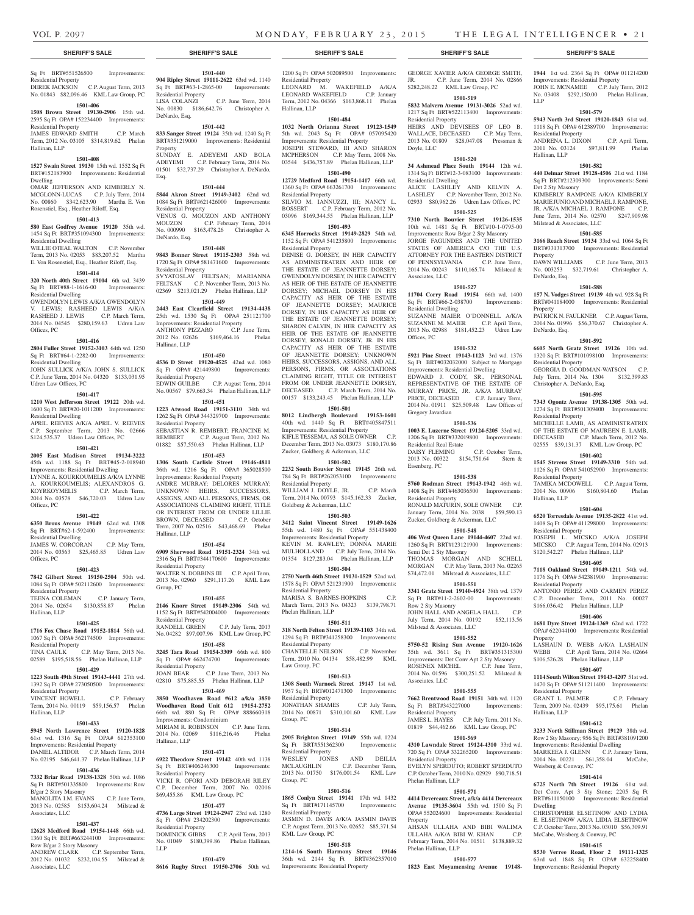Residential Property

Residential Dwelling

Associates, LLC

Residential Dwelling

Offices, PC

Gregory Javardian

Residential Real Estate

Eisenberg, PC

Residential Property

Semi Det 2 Sty Masonry

Row 2 Sty Masonry

Associates, LLC

Residential Property

Residential Property

Phelan Hallinan, LLP

Phelan Hallinan, LLP

Property

Milstead & Associates, LLC

Doyle, LLC

GEORGE XAVIER A/K/A GEORGE SMITH, JR. C.P. June Term, 2014 No. 02866 \$282,248.22 KML Law Group, PC **1501-519 5832 Malvern Avenue 19131-3026** 52nd wd. 1217 Sq Ft BRT#522113400 Improvements:

**1944** 1st wd. 2364 Sq Ft OPA# 011214200 Improvements: Residential Property JOHN E. MCNAMEE C.P. July Term, 2012 No. 03408 \$292,150.00 Phelan Hallinan,

**1501-579 5943 North 3rd Street 19120-1843** 61st wd. 1118 Sq Ft OPA# 612389700 Improvements:

ANDRENA L. DIXON C.P. April Term, 2011 No. 03124 \$97,811.99 Phelan

**1501-582 440 Delmar Street 19128-4506** 21st wd. 1184 Sq Ft BRT#212309300 Improvements: Semi

KIMBERLY RAMPONE A/K/A KIMBERLY MARIE JUNIO AND MICHAEL J. RAMPONE, JR. A/K/A MICHAEL J. RAMPONE C.P. June Term, 2014 No. 02570 \$247,909.98

**1501-585 3166 Reach Street 19134** 33rd wd. 1064 Sq Ft BRT#331313700 Improvements: Residential

DAWN WILLIAMS C.P. June Term, 2013 No. 003253 \$32,719.61 Christopher A.

**1501-588 157 N. Vodges Street 19139** 4th wd. 928 Sq Ft BRT#041184000 Improvements: Residential

PATRICK N. FAULKNER C.P. August Term, 2014 No. 01996 \$56,370.67 Christopher A.

**1501-592 6605 North Gratz Street 19126** 10th wd. 1320 Sq Ft BRT#101098100 Improvements:

GEORGIA D. GOODMAN-WATSON C.P. July Term, 2014 No. 1304 \$132,399.83

**1501-595 7343 Ogontz Avenue 19138-1305** 50th wd. 1274 Sq Ft BRT#501309400 Improvements:

MICHELLE LAMB, AS ADMINISTRATRIX OF THE ESTATE OF MAUREEN E. LAMB, DECEASED C.P. March Term, 2012 No. 02555 \$39,131.37 KML Law Group, PC **1501-602 1545 Stevens Street 19149-3310** 54th wd. 1126 Sq Ft OPA# 541052900 Improvements:

TAMIKA MCDOWELL C.P. August Term, 2014 No. 00906 \$160,804.60 Phelan

**1501-604 6520 Torresdale Avenue 19135-2822** 41st wd. 1408 Sq Ft OPA# 411298000 Improvements:

JOSEPH L. MICSKO A/K/A JOSEPH MICSKO C.P. August Term, 2014 No. 02913 \$120,542.27 Phelan Hallinan, LLP **1501-605 7118 Oakland Street 19149-1211** 54th wd. 1176 Sq Ft OPA# 542381900 Improvements:

ANTONIO PEREZ AND CARMEN PEREZ C.P. December Term, 2011 No. 00027 \$166,036.42 Phelan Hallinan, LLP **1501-606 1681 Dyre Street 19124-1369** 62nd wd. 1722 OPA# 622044100 Improvements: Residential

LASHAUN D. WEBB A/K/A LASHAUN WEBB C.P. April Term, 2014 No. 02664 \$106,526.28 Phelan Hallinan, LLP **1501-607 1114 South Wilton Street 19143-4207** 51st wd. 1470 Sq Ft OPA# 511211400 Improvements:

GRANT L. PALMER C.P. February Term, 2009 No. 02439 \$95,175.61 Phelan

**1501-612 3233 North Stillman Street 19129** 38th wd. Row 2 Sty Masonry; 956 Sq Ft BRT#381091200 Improvements: Residential Dwelling MARKEEA J. GLENN C.P. January Term, 2014 No. 00221 \$61,358.04 McCabe,

**1501-614 6725 North 7th Street 19126** 61st wd. Det Conv. Apt 3 Sty Stone; 2205 Sq Ft BRT#611150100 Improvements: Residential

CHRISTOPHER ELSETINOW AND LYDIA E. ELSETINOW A/K/A LIDIA ELSETINOW C.P. October Term, 2013 No. 03010 \$56,309.91 McCabe, Weisberg & Conway, PC **1501-615 8530 Verree Road, Floor 2 19111-1325**  63rd wd. 1848 Sq Ft OPA# 632258400 Improvements: Residential Property

LLP

Residential Property

Hallinan, LLP

Det 2 Sty Masonry

Property

**Property** 

DeNardo, Esq.

DeNardo, Esq.

Residential Property

Residential Property

Residential Property

Residential Property

Residential Property

Residential Property

Weisberg & Conway, PC

Hallinan, LLP

Dwelling

Property

Hallinan, LLP

Christopher A. DeNardo, Esq.

Milstead & Associates, LLC

HEIRS AND DEVISEES OF LEO B. WALLACE, DECEASED C.P. May Term, 2013 No. 01809 \$28,047.08 Pressman &

**1501-520 34 Ashmead Place South 19144** 12th wd. 1314 Sq Ft BRT#12-3-083100 Improvements:

ALICE LASHLEY AND KELVIN A. LASHLEY C.P. November Term, 2012 No. 02933 \$80,962.26 Udren Law Offices, PC **1501-525 7310 North Bouvier Street 19126-1535**  10th wd. 1481 Sq Ft BRT#10-1-0795-00 Improvements: Row B/gar 2 Sty Masonry JORGE FAGUNDES AND THE UNITED STATES OF AMERICA C/O THE U.S. ATTORNEY FOR THE EASTERN DISTRICT OF PENNSYLVANIA C.P. June Term, 2014 No. 00243 \$110,165.74 Milstead &

**1501-527 11704 Corry Road 19154** 66th wd. 1400 Sq Ft BRT#66-2-038700 Improvements:

SUZANNE MAIER O'DONNELL A/K/A SUZANNE M. MAIER C.P. April Term, 2013 No. 02988 \$181,452.23 Udren Law

**1501-532 5921 Pine Street 19143-1123** 3rd wd. 1376 Sq Ft BRT#032032000 Subject to Mortgage Improvements: Residential Dwelling EDWARD J. CODY, SR., PERSONAL REPRESENTATIVE OF THE ESTATE OF MURRAY PRICE, JR. A/K/A MURRAY PRICE, DECEASED C.P. January Term, 2014 No. 01911 \$25,509.48 Law Offices of

**1501-536 1003 E. Luzerne Street 19124-5205** 33rd wd. 1206 Sq Ft BRT#332019800 Improvements:

DAISY FLEMING C.P. October Term, 2013 No. 00322 \$154,751.64 Stern &

**1501-538 5760 Rodman Street 19143-1942** 46th wd. 1408 Sq Ft BRT#463036500 Improvements:

RONALD MATURIN, SOLE OWNER C.P. January Term, 2014 No. 2038 \$59,590.13 Zucker, Goldberg & Ackerman, LLC **1501-548 406 West Queen Lane 19144-4607** 22nd wd. 1260 Sq Ft BRT#123121900 Improvements:

THOMAS MORGAN AND SCHELL MORGAN C.P. May Term, 2013 No. 02265 \$74,472.01 Milstead & Associates, LLC **1501-551 3341 Gratz Street 19140-4924** 38th wd. 1379 Sq Ft BRT#11-2-2602-00 Improvements:

JOHN HALL AND ANGELA HALL C.P. July Term, 2014 No. 00192 \$52,113.56

**1501-552 5750-52 Rising Sun Avenue 19120-1626**  35th wd. 3611 Sq Ft BRT#351315300 Improvements: Det Conv Apt 2 Sty Masonry ROSENEX MICHEL C.P. June Term, 2014 No. 01596 \$300,251.52 Milstead &

**1501-555 7662 Brentwood Road 19151** 34th wd. 1120 Sq Ft BRT#343227000 Improvements:

JAMES L. HAYES C.P. July Term, 2011 No. 01819 \$44,462.66 KML Law Group, PC **1501-569 4310 Lawndale Street 19124-4310** 33rd wd. 720 Sq Ft OPA# 332265200 Improvements:

EVELYN SPERDUTO; ROBERT SPERDUTO C.P. October Term, 2010 No. 02929 \$90,718.51

**1501-571 4414 Devereaux Street, a/k/a 4414 Devereaux Avenue 19135-3604** 55th wd. 1500 Sq Ft OPA# 552024600 Improvements: Residential

AHSAN ULLAHA AND BIBI WALIMA ULLAHA A/K/A BIBI W. KHAN C.P. February Term, 2014 No. 01511 \$138,889.32

**1501-577 1823 East Moyamensing Avenue 19148-**

# Sq Ft BRT#551526500 Improvements:

Residential Property DEREK JACKSON C.P. August Term, 2013 No. 01843 \$82,096.46 KML Law Group, PC

# **1501-406**

**1508 Brown Street 19130-2906** 15th wd. 2595 Sq Ft OPA# 152234400 Improvements:

#### Residential Property JAMES EDWARD SMITH C.P. March Term, 2012 No. 03105 \$314,819.62 Phelan

Hallinan, LLP **1501-408**

**1527 Swain Street 19130** 15th wd. 1552 Sq Ft BRT#152183900 Improvements: Residential Dwelling OMAR JEFFERSON AND KIMBERLY N.

### MCGLONN-LUCAS C.P. July Term, 2014 No. 00860 \$342,623.90 Martha E. Von Rosenstiel, Esq., Heather Riloff, Esq.

# **1501-413**

**580 East Godfrey Avenue 19120** 35th wd. 1454 Sq Ft BRT#351094300 Improvements: Residential Dwelling

WILLIE OTEAL WALTON C.P. November Term, 2013 No. 02053 \$83,207.52 Martha E. Von Rosenstiel, Esq., Heather Riloff, Esq.

#### **1501-414**

#### **320 North 40th Street 19104** 6th wd. 3439 Sq Ft BRT#88-1-1616-00 Improvements: Residential Dwelling GWENDOLYN LEWIS A/K/A GWENDOLYN

V. LEWIS; RASHEED LEWIS A/K/A RASHEED J. LEWIS C.P. March Term, 2014 No. 04545 \$280,159.63 Udren Law Offices, PC

#### **1501-416**

#### **2804 Fuller Street 19152-3103** 64th wd. 1250 Sq Ft BRT#64-1-2282-00 Improvements:

Residential Dwelling JOHN SULLICK A/K/A JOHN S. SULLICK

C.P. June Term, 2014 No. 04320 \$133,031.95 Udren Law Offices, PC

#### **1501-417**

**1210 West Jefferson Street 19122** 20th wd. 1600 Sq Ft BRT#20-1011200 Improvements: Residential Dwelling APRIL REEVES A/K/A APRIL V. REEVES C.P. September Term, 2013 No. 02666

\$124,535.37 Udren Law Offices, PC **1501-421**

**2005 East Madison Street 19134-3222**  45th wd. 1188 Sq Ft BRT#45-2-018940 Improvements: Residential Dwelling LYNNE A. KOURKOUMELIS A/K/A LYNNE A. KOURKOUMELIS; ALEXANDROS G.<br>KOYRKOYMELIS C.P. March Term, KOYRKOYMELIS 2014 No. 03578 \$46,720.03 Udren Law Offices, PC

#### **1501-422**

**6350 Brous Avenue 19149** 62nd wd. 1308 Sq Ft BRT#62-1-592400 Improvements: Residential Dwelling

JAMES W. CORCORAN C.P. May Term, 2014 No. 03563 \$25,465.85 Udren Law Offices, PC

### **1501-423**

**7842 Gilbert Street 19150-2504** 50th wd. 1084 Sq Ft OPA# 502112600 Improvements: Residential Property TEENA COLEMAN C.P. January Term, 2014 No. 02654 \$130,858.87 Phelan

# Hallinan, LLP

**1501-425 1716 Fox Chase Road 19152-1814** 56th wd. 1067 Sq Ft OPA# 562174500 Improvements: Residential Property

TINA CAULK C.P. May Term, 2013 No. 02589 \$195,518.56 Phelan Hallinan, LLP

# **1501-429**

**1223 South 49th Street 19143-4441** 27th wd. 1392 Sq Ft OPA# 273050500 Improvements: Residential Property VINCENT HOWELL C.P. February

Term, 2014 No. 00119 \$59,156.57 Phelan Hallinan, LLP

# **1501-433**

**5945 North Lawrence Street 19120-1828**  61st wd. 1316 Sq Ft OPA# 612353100 Improvements: Residential Property DANIEL ALTIDOR C.P. March Term, 2014 No. 02195 \$46,641.37 Phelan Hallinan, LLP

# **1501-436**

**7332 Briar Road 19138-1328** 50th wd. 1086 Sq Ft BRT#501335800 Improvements: Row B/gar 2 Story Masonry MANOLITA I.M. EVANS C.P. June Term,

# 2013 No. 02585 \$153,604.24 Milstead & Associates, LLC

#### **1501-437**

**12628 Medford Road 19154-1448** 66th wd. 1360 Sq Ft BRT#663244100 Improvements: Row B/gar 2 Story Masonry ANDREW CLARK C.P. September Term, 2012 No. 01032 \$232,104.55 Milstead &

Associates, LLC

### **1501-440**

**904 Ripley Street 19111-2622** 63rd wd. 1140 Sq Ft BRT#63-1-2865-00 Improvements: Residential Property LISA COLANZI C.P. June Term, 2014 No. 00830 \$186,642.76 Christopher A. DeNardo, Esq.

#### **1501-442**

**833 Sanger Street 19124** 35th wd. 1240 Sq Ft BRT#351219000 Improvements: Residential Property SUNDAY E. ADEYEMI AND BOLA

ADEYEMI C.P. February Term, 2014 No. 01501 \$32,737.29 Christopher A. DeNardo, Esq.

# **1501-444**

**5844 Akron Street 19149-3402** 62nd wd. 1084 Sq Ft BRT#621426000 Improvements: Residential Property VENUS G. MOUZON AND ANTHONY MOUZON C.P. February Term, 2014 No. 000990 \$163,478.26 Christopher A. DeNardo, Esq.

#### **1501-448**

**9843 Bonner Street 19115-2303** 58th wd. 1720 Sq Ft OPA# 581471600 Improvements: Residential Property SVYATOSLAV FELTSAN; MARIANNA FELTSAN C.P. November Term, 2013 No. 02369 \$213,021.29 Phelan Hallinan, LLP

#### **1501-449**

**2443 East Clearfield Street 19134-4438**  25th wd. 1530 Sq Ft OPA# 251121700 Improvements: Residential Property ANTHONY PIZZARO C.P. June Term, 2012 No. 02626 \$169,464.16 Phelan Hallinan, LLP

#### **1501-450**

**4536 D Street 19120-4525** 42nd wd. 1080 Sq Ft OPA# 421449800 Improvements: Residential Property EDWIN GUILBE C.P. August Term, 2014 No. 00567 \$79,663.34 Phelan Hallinan, LLP

# **1501-451**

**1223 Atwood Road 19151-3110** 34th wd. 1262 Sq Ft OPA# 344329700 Improvements: Residential Property

SEBASTIAN R. REMBERT; FRANCINE M.<br>REMBERT C.P. August Term. 2012 No. C.P. August Term, 2012 No. 01882 \$57,550.63 Phelan Hallinan, LLP **1501-453**

# **1306 South Carlisle Street 19146-4811**

36th wd. 1216 Sq Ft OPA# 365028500 Improvements: Residential Property ANDRE MURRAY; DELORES MURRAY; UNKNOWN HEIRS, SUCCESSORS, ASSIGNS, AND ALL PERSONS, FIRMS, OR ASSOCIATIONS CLAIMING RIGHT, TITLE OR INTEREST FROM OR UNDER LILLIE BROWN, DECEASED C.P. October Term, 2007 No. 02516 \$43,468.69 Phelan Hallinan, LLP

#### **1501-454**

**6909 Sherwood Road 19151-2324** 34th wd. 2316 Sq Ft BRT#344170600 Improvements: Residential Property WALTER N. DOBBINS III C.P. April Term, 2013 No. 02960 \$291,117.26 KML Law Group, PC

#### **1501-455**

**2146 Knorr Street 19149-2306** 54th wd. 1152 Sq Ft BRT#542004000 Improvements: Residential Property RANDELL GREEN C.P. July Term, 2013

No. 04282 \$97,007.96 KML Law Group, PC **1501-458 3245 Tara Road 19154-3309** 66th wd. 800

# Sq Ft OPA# 662474700 Improvements:

Residential Property JOAN BEAR C.P. June Term, 2013 No. 02810 \$75,885.55 Phelan Hallinan, LLP

#### **1501-469**

**3850 Woodhaven Road #612 a/k/a 3850 Woodhaven Road Unit 612 19154-2752**  66th wd. 880 Sq Ft OPA# 888660318 Improvements: Condominium MIRIAM R. ROBINSON C.P. June Term, 2014 No. 02069 \$116,216.46 Phelan Hallinan, LLP

## **1501-471**

**6922 Theodore Street 19142** 40th wd. 1138<br> **Sq Ft BRT#406246300** Improvements: Sq Ft BRT#406246300 Residential Property VICKI R. OFORI AND DEBORAH RILEY C.P. December Term, 2007 No. 02016 \$69,455.86 KML Law Group, PC

#### **1501-477**

**4736 Large Street 19124-2947** 23rd wd. 1280 Sq Ft OPA# 234202300 Improvements: Residential Property C.P. April Term, 2013 No. 01049 \$180,399.86 Phelan Hallinan, LLP

# **1501-479**

**8616 Rugby Street 19150-2706** 50th wd.

# **SHERIFF'S SALE SHERIFF'S SALE SHERIFF'S SALE SHERIFF'S SALE SHERIFF'S SALE**

1200 Sq Ft OPA# 502089500 Improvements: Residential Property LEONARD M. WAKEFIELD A/K/A LEONARD WAKEFIELD C.P. January Term, 2012 No. 04366 \$163,868.11 Phelan Hallinan, LLP

#### **1501-484**

**1032 North Orianna Street 19123-1549**  5th wd. 2043 Sq Ft OPA# 057095420 Improvements: Residential Property JOSEPH STEWARD, III AND SHARON MCPHERSON C.P. May Term, 2008 No. 03544 \$436,757.89 Phelan Hallinan, LLP

#### **1501-490**

**12729 Medford Road 19154-1417** 66th wd. 1360 Sq Ft OPA# 663261700 Improvements: Residential Property SILVIO M. IANNUZZI, III; NANCY L. BOSSERT C.P. February Term, 2012 No.

03096 \$169,344.55 Phelan Hallinan, LLP **1501-493**

**6345 Horrocks Street 19149-2829** 54th wd. 1152 Sq Ft OPA# 541235800 Improvements: Residential Property

DENISE G. DORSEY, IN HER CAPACITY AS ADMINISTRATRIX AND HEIR OF THE ESTATE OF JEANNETTE DORSEY; GWENDOLYN DORSEY, IN HER CAPACITY AS HEIR OF THE ESTATE OF JEANNETTE DORSEY; MICHAEL DORSEY IN HIS CAPACITY AS HEIR OF THE ESTATE OF JEANNETTE DORSEY; MAURICE DORSEY, IN HIS CAPACITY AS HEIR OF THE ESTATE OF JEANNETTE DORSEY; SHARON CALVIN, IN HER CAPACITY AS HEIR OF THE ESTATE OF JEANNETTE DORSEY; RONALD DORSEY, JR. IN HIS CAPACITY AS HEIR OF THE ESTATE OF JEANNETTE DORSEY; UNKNOWN HEIRS, SUCCESSORS, ASSIGNS, AND ALL PERSONS, FIRMS, OR ASSOCIATIONS CLAIMING RIGHT, TITLE OR INTEREST FROM OR UNDER JEANNETTE DORSEY, DECEASED. C.P. March Term, 2014 No. 00157 \$133,243.45 Phelan Hallinan, LLP

#### **1501-501**

**8012 Lindbergh Boulevard 19153-1601**  40th wd. 1440 Sq Ft BRT#405847511 Improvements: Residential Property KIFLE TESSEMA, AS SOLE OWNER C.P. December Term, 2013 No. 03073 \$180,170.86 Zucker, Goldberg & Ackerman, LLC

### **1501-502**

**2232 South Bouvier Street 19145** 26th wd. 784 Sq Ft BRT#262053100 Improvements: Residential Property WILLIAM J. DOYLE, JR. C.P. March Term, 2014 No. 00793 \$145,162.33 Zucker, Goldberg & Ackerman, LLC

#### **1501-503**

**3412 Saint Vincent Street 19149-1626**  55th wd. 1480 Sq Ft OPA# 551438400 Improvements: Residential Property KEVIN M. RAWLEY; DONNA MARIE MULHOLLAND C.P. July Term, 2014 No. 01354 \$127,283.04 Phelan Hallinan, LLP

# **1501-504**

**2750 North 46th Street 19131-1529** 52nd wd. 1578 Sq Ft OPA# 521231900 Improvements: Residential Property MARISA S. BARNES-HOPKINS March Term, 2013 No. 04323 \$139,798.71 Phelan Hallinan, LLP

# **1501-511**

**318 North Felton Street 19139-1103** 34th wd. 1294 Sq Ft BRT#341258300 Improvements: Residential Property CHANTELLE NELSON C.P. November Term, 2010 No. 04134 \$58,482.99 KML Law Group, PC

# **1501-513**

Residential Property

Residential Property

KML Law Group, PC

Group, PC

**1308 South Warnock Street 19147** 1st wd. 1957 Sq Ft BRT#012471300 Improvements: Residential Property JONATHAN SHAMES C.P. July Term, 2014 No. 00871 \$310,101.60 KML Law Group, PC

**1501-514 2905 Brighton Street 19149** 55th wd. 1224 Sq Ft BRT#551362300 Improvements:

WESLEY JONES AND DEILIA MCLAUGHLIN C.P. December Term, 2013 No. 01750 \$176,001.54 KML Law

**1501-516 1865 Conlyn Street 19141** 17th wd. 1432 Sq Ft BRT#171145700 Improvements:

JASMIN D. DAVIS A/K/A JASMIN DAVIS C.P. August Term, 2013 No. 02652 \$85,371.54

**1501-518 1214-16 South Harmony Street 19146**  36th wd. 2144 Sq Ft BRT#362357010 Improvements: Residential Property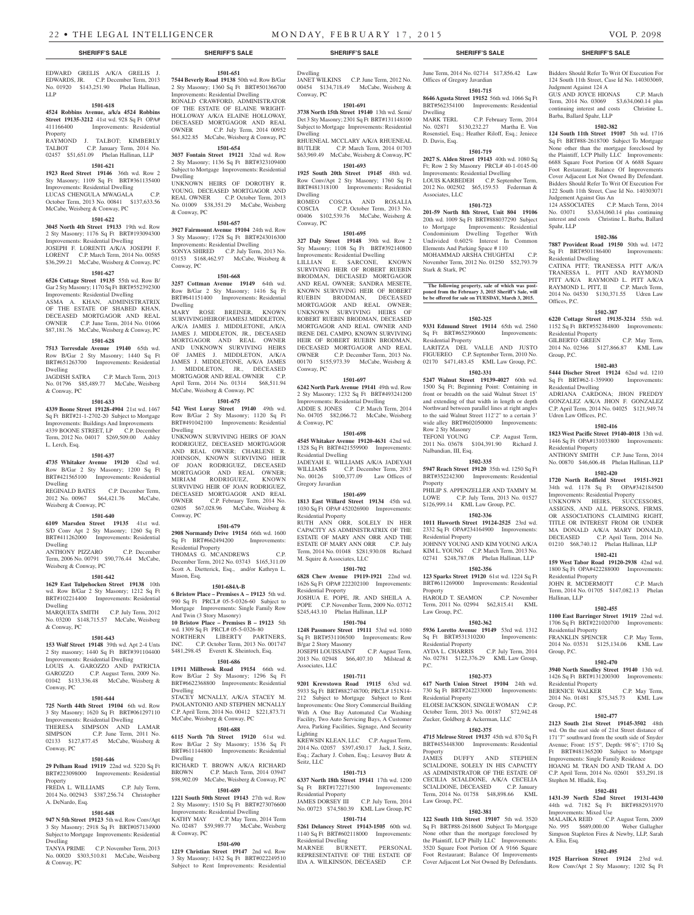EDWARD GRELIS A/K/A GRELIS J. EDWARDS, JR. C.P. December Term, 2013 No. 01920 \$143,251.90 Phelan Hallinan, LLP

#### **1501-618**

**4524 Robbins Avenue, a/k/a 4524 Robbins Street 19135-3212** 41st wd. 928 Sq Ft OPA# 411166400 Improvements: Residential Improvements: Residential Property RAYMOND J. TALBOT; KIMBERLY<br>TALBOT C.P. January Term. 2014 No.

02457 \$51,651.09 Phelan Hallinan, LLP **1501-621 1923 Reed Street 19146** 36th wd. Row 2 Sty Masonry; 1109 Sq Ft BRT#361135400 Improvements: Residential Dwelling LUCAS CHENGULA MWAGALA C.P. October Term, 2013 No. 00841 \$137,633.56

**1501-622 3045 North 4th Street 19133** 19th wd. Row 2 Sty Masonry; 1176 Sq Ft BRT#193094300 Improvements: Residential Dwelling JOSEPH F. LORENTI A/K/A JOSEPH F. LORENT C.P. March Term, 2014 No. 00585 \$36,299.21 McCabe, Weisberg & Conway, PC **1501-627 6526 Cottage Street 19135** 55th wd. Row B/ Gar 2 Sty Masonry; 1170 Sq Ft BRT#552392300 Improvements: Residential Dwelling ASMA A. KHAN, ADMINISTRATRIX OF THE ESTATE OF SHABED KHAN, DECEASED MORTGAGOR AND REAL OWNER C.P. June Term, 2014 No. 01066 \$87,181.76 McCabe, Weisberg & Conway, PC **1501-628 7513 Torresdale Avenue 19140** 65th wd. Row B/Gar 2 Sty Masonry; 1440 Sq Ft BRT#651263700 Improvements: Residential

JAGDISH SATRA C.P. March Term, 2013 No. 01796 \$85,489.77 McCabe, Weisberg

**1501-633 4339 Boone Street 19128-4904** 21st wd. 1467 Sq Ft BRT#21-1-2702-20 Subject to Mortgage Improvements: Buildings And Improvements 4339 BOONE STREET, LP C.P. December Term, 2012 No. 04017 \$269,509.00 Ashley

**1501-637 4735 Whitaker Avenue 19120** 42nd wd. Row B/Gar 2 Sty Masonry; 1200 Sq Ft BRT#421565100 Improvements: Residential

REGINALD BATES C.P. December Term, 2012 No. 00967 \$64,421.76 McCabe,

**1501-640 6109 Marsden Street 19135** 41st wd. S/D Conv Apt 2 Sty Masonry; 1260 Sq Ft BRT#411262000 Improvements: Residential

ANTHONY PIZZARO C.P. December Term, 2006 No. 00791 \$90,776.44 McCabe,

**1501-642 1629 East Tulpehocken Street 19138** 10th wd. Row B/Gar 2 Sty Masonry; 1212 Sq Ft BRT#102214400 Improvements: Residential

MARQUETA SMITH C.P. July Term, 2012 No. 03200 \$148,715.57 McCabe, Weisberg

**1501-643 153 Wolf Street 19148** 39th wd. Apt 2-4 Unts 2 Sty masonry; 1440 Sq Ft BRT#391104400 Improvements: Residential Dwelling LOUIS A. GAROZZO AND PATRICIA GAROZZO C.P. August Term, 2009 No. 01042 \$133,336.48 McCabe, Weisberg &

**1501-644 725 North 44th Street 19104** 6th wd. Row 3 Sty Masonry; 1620 Sq Ft BRT#061297110 Improvements: Residential Dwelling THERESA SIMPSON AND LAMAR SIMPSON C.P. June Term, 2011 No. 02133 \$127,877.45 McCabe, Weisberg &

**1501-646 29 Pelham Road 19119** 22nd wd. 5220 Sq Ft BRT#223098000 Improvements: Residential

FREDA L. WILLIAMS C.P. July Term, 2014 No. 002943 \$387,256.74 Christopher

**1501-648 947 N 5th Street 19123** 5th wd. Row Conv/Apt 3 Sty Masonry; 2918 Sq Ft BRT#057134900 Subject to Mortgage Improvements: Residential

TANYA PRIME C.P. November Term, 2013 No. 00020 \$303,510.81 McCabe, Weisberg

McCabe, Weisberg & Conway, PC

Dwelling

& Conway, PC

L. Lerch, Esq.

Dwelling

Dwelling

Dwelling

& Conway, PC

Conway, PC

Conway, PC

Property

Dwelling

& Conway, PC

A. DeNardo, Esq.

Weisberg & Conway, PC

Weisberg & Conway, PC

C.P. January Term, 2014 No.

# \$61,822.85 McCabe, Weisberg & Conway, PC

**1501-654 3037 Fontain Street 19121** 32nd wd. Row 2 Sty Masonry; 1136 Sq Ft BRT#323109400 Subject to Mortgage Improvements: Residential Dwelling

**1501-651 7544 Beverly Road 19138** 50th wd. Row B/Gar 2 Sty Masonry; 1360 Sq Ft BRT#501366700 Improvements: Residential Dwelling RONALD CRAWFORD, ADMINISTRATOR OF THE ESTATE OF ELAINE WRIGHT-HOLLOWAY A/K/A ELAINE HOLLOWAY, DECEASED MORTGAGOR AND REAL OWNER C.P. July Term, 2014 00952

UNKNOWN HEIRS OF DOROTHY R. YOUNG, DECEASED MORTGAGOR AND REAL OWNER C.P. October Term, 2013 No. 01009 \$38,351.29 McCabe, Weisberg & Conway, PC

#### **1501-657**

**3927 Fairmount Avenue 19104** 24th wd. Row 3 Sty Masonry; 1728 Sq Ft BRT#243016300 Improvements: Residential Dwelling SONYA SHIRED C.P. July Term, 2013 No. 03153 \$168,462.97 McCabe, Weisberg & Conway, PC

#### **1501-668**

**3257 Cottman Avenue 19149** 64th wd. Row B/Gar 2 Sty Masonry; 1416 Sq Ft BRT#641151400 Improvements: Residential Dwelling MARY ROSE BREINER, KNOWN SURVIVING HEIR OF JAMES J. MIDDLETON, A/K/A JAMES J. MIDDLETONE, A/K/A JAMES J. MIDDLETON, JR., DECEASED MORTGAGOR AND REAL OWNER AND UNKNOWN SURVIVING HEIRS OF JAMES J. MIDDLETON, A/K/A JAMES J. MIDDLETONE, A/K/A JAMES J. MIDDLETON, JR., DECEASED MORTGAGOR AND REAL OWNER C.P. April Term, 2014 No. 01314 \$68,511.94 McCabe, Weisberg & Conway, PC

#### **1501-675**

**542 West Luray Street 19140** 49th wd. Row B/Gar 2 Sty Masonry; 1120 Sq Ft BRT#491042100 Improvements: Residential Dwelling UNKNOWN SURVIVING HEIRS OF JOAN RODRIGUEZ, DECEASED MORTGAGOR AND REAL OWNER; CHARLENE R. JOHNSON, KNOWN SURVIVING HEIR OF JOAN RODRIGUEZ, DECEASED MORTGAGOR AND REAL OWNER; MIRIAM RODRIGUEZ, KNOWN SURVIVING HEIR OF JOAN RODRIGUEZ, DECEASED MORTGAGOR AND REAL OWNER C.P. February Term, 2014 No. 02805 \$67,028.96 McCabe, Weisberg & Conway, PC

#### **1501-679 2908 Normandy Drive 19154** 66th wd. 1600 Sq Ft BRT#662494200 Improvements: Residential Property

THOMAS G. MCANDREWS C.P. December Term, 2012 No. 03743 \$165,311.09 Scott A. Dietterick, Esq., and/or Kathryn L. Mason, Esq.

#### **1501-684A-B**

**6 Bristow Place – Premises A – 19123** 5th wd. 990 Sq Ft PRCL# 05-5-0326-60 Subject to Mortgage Improvements: Single Family Row And Twin (3 Story Masonry) **10 Bristow Place – Premises B – 19123** 5th wd. 1309 Sq Ft PRCL# 05-5-0326-80 NORTHERN LIBERTY PARTNERS, INC. C.P. October Term, 2013 No. 001747 \$481,298.45 Everett K. Sheintoch, Esq.

#### **1501-686**

**11911 Millbrook Road 19154** 66th wd. Row B/Gar 2 Sty Masonry; 1296 Sq Ft BRT#6622368800 Improvements: Residential Dwelling STACEY MCNALLY, A/K/A STACEY M. PAOLANTONIO AND STEPHEN MCNALLY C.P. April Term, 2014 No. 00412 \$221,873.71 McCabe, Weisberg & Conway, PC

### **1501-688**

**6115 North 7th Street 19120** 61st wd. Row B/Gar 2 Sty Masonry; 1536 Sq Ft BRT#611144800 Improvements: Residential Dwelling RICHARD T. BROWN A/K/A RICHARD

BROWN C.P. March Term, 2014 03947 \$98,902.09 McCabe, Weisberg & Conway, PC **1501-689**

**1221 South 50th Street 19143** 27th wd. Row 2 Sty Masonry; 1510 Sq Ft BRT#273076600 Improvements: Residential Dwelling<br>KATHY MAY C.P. May Term, 2 C.P. May Term, 2014 Term No. 02487 \$59,989.77 McCabe, Weisberg & Conway, PC

# **1501-690**

**1219 Christian Street 19147** 2nd wd. Row 3 Sty Masonry; 1432 Sq Ft BRT#022249510 Subject to Rent Improvements: Residential

### **SHERIFF'S SALE SHERIFF'S SALE SHERIFF'S SALE SHERIFF'S SALE SHERIFF'S SALE**

Dwelling JANET WILKINS C.P. June Term, 2012 No. 00454 \$134,718.49 McCabe, Weisberg & Conway, PC

#### **1501-691**

**3738 North 15th Street 19140** 13th wd. Semi/ Det 3 Sty Masonry; 2301 Sq Ft BRT#131148100 Subject to Mortgage Improvements: Residential Dwelling

RHUENEAL MCCLARY A/K/A RHUENEAL<br>BUTLER C.P. March Term. 2014 01703 C.P. March Term, 2014 01703 \$63,969.49 McCabe, Weisberg & Conway, PC

# **1501-693**

**1925 South 20th Street 19145** 48th wd. Row Conv/Apt 2 Sty Masonry; 1760 Sq Ft BRT#481318100 Improvements: Residential Dwelling ROMEO COSCIA AND ROSALIA<br>COSCIA C.P. October Term, 2013 No. C.P. October Term, 2013 No. 00406 \$102,539.76 McCabe, Weisberg & Conway, PC

#### **1501-695**

**327 Daly Street 19148** 39th wd. Row 2 Sty Masonry; 1108 Sq Ft BRT#392140800 Improvements: Residential Dwelling

LILLIAN E. SARCONE, KNOWN SURVIVING HEIR OF ROBERT RUEBIN BRODMAN, DECEASED MORTGAGOR AND REAL OWNER; SANDRA MESETE, KNOWN SURVIVING HEIR OF ROBERT RUEBIN BRODMAN, DECEASED MORTGAGOR AND REAL OWNER; UNKNOWN SURVIVING HEIRS OF ROBERT RUEBIN BRODMAN, DECEASED MORTGAGOR AND REAL OWNER AND IRENE DEL CAMPO, KNOWN SURVIVING HEIR OF ROBERT RUEBIN BRODMAN, DECEASED MORTGAGOR AND REAL OWNER C.P. December Term, 2013 No. 00170 \$155,973.39 McCabe, Weisberg & Conway, PC

#### **1501-697**

**6242 North Park Avenue 19141** 49th wd. Row 2 Sty Masonry; 1232 Sq Ft BRT#493241200 Improvements: Residential Dwelling ADDIE S. JONES C.P. March Term, 2014 No. 04705 \$82,066.72 McCabe, Weisberg & Conway, PC

### **1501-698**

**4545 Whitaker Avenue 19120-4631** 42nd wd. 1328 Sq Ft BRT#421559900 Improvements: Residential Dwelling JADEYAH E. WILLIAMS A/K/A JADEYAH<br>WILLIAMS C.P. December Term 2013

C.P. December Term, 2013 No. 00126 \$100,377.09 Law Offices of Gregory Javardian

# **1501-699**

**1813 East Willard Street 19134** 45th wd. 1030 Sq Ft OPA# 452026900 Improvements: Residential Property

RUTH ANN ORR SOLELY IN HER CAPACITY AS ADMINISTRATRIX OF THE ESTATE OF MARY ANN ORR AND THE ESTATE OF MARY ANN ORR C.P. July ESTATE OF MARY ANN ORR Term, 2014 No. 01048 \$281,930.08 Richard M. Squire & Associates, LLC

# **1501-702**

**6828 Chew Avenue 19119-1921** 22nd wd. 1626 Sq Ft OPA# 222202100 Improvements: Residential Property JOSHUA E. POPE, JR. AND SHEILA A. POPE C.P. November Term, 2009 No. 03712

\$245,443.10 Phelan Hallinan, LLP **1501-704**

**1248 Passmore Street 19111** 53rd wd. 1080 Sq Ft BRT#531106500 Improvements: Row B/gar 2 Story Masonry JOSEPH LOUISSAINT C.P. August Term, 2013 No. 02948 \$66,407.10 Milstead & Associates, LLC

#### **1501-711**

**9201 Krewstown Road 19115** 63rd wd. 5933 Sq Ft BRT#882748700; PRCL# 151N14- 212 Subject to Mortgage Subject to Rent Improvements: One Story Commercial Building With A One Bay Automated Car Washing Facility, Two Auto Servicing Bays, A Customer Area, Parking Facilities, Signage, And Security Lighting

KREWSIN KLEAN, LLC C.P. August Term, 2014 No. 02057 \$397,450.17 Jack, J. Seitz, Esq.; Zachary J. Cohen, Esq.; Lesavoy Butz & Seitz, LLC

#### **1501-713**

**6337 North 18th Street 19141** 17th wd. 1200 Sq Ft BRT#172271500 Improvements: Residential Property

JAMES DORSEY III C.P. July Term, 2014 No. 00723 \$74,580.39 KML Law Group, PC

**1501-714 5261 Delancey Street 19143-1505** 60th wd. 1140 Sq Ft BRT#602118000 Improvements: Residential Dwelling

MARNEE BURNETT, PERSONAL REPRESENTATIVE OF THE ESTATE OF IDA A. WILKINSON, DECEASED C.P.

June Term, 2014 No. 02714 \$17,856.42 Law Offices of Gregory Javardian **1501-715**

**8646 Agusta Street 19152** 56th wd. 1066 Sq Ft BRT#562354100 Improvements: Residential

Dwelling<br>MARK TERL C.P. February Term, 2014 No. 02871 \$130,232.27 Martha E. Von Rosenstiel, Esq.; Heather Riloff, Esq.; Jeniece D. Davis, Esq.

#### **1501-719 2027 S. Alden Street 19143** 40th wd. 1080 Sq

Ft; Row 2 Sty Masonry PRCL# 40-1-0145-00 Improvements: Residential Dwelling LOUIS KARBEDEH C.P. September Term, 2012 No. 002502 \$65,159.53 Federman & Associates, LLC

#### **1501-723**

**201-59 North 8th Street, Unit 804 19106**  20th wd. 1009 Sq Ft BRT#888037290 Subject to Mortgage Improvements: Residential Condominium Dwelling Together With Undivided 0.602% Interest In Common Elements And Parking Space # 110 MOHAMMAD ARSHA CHUGHTAI C.P. November Term, 2012 No. 01250 \$52,793.79 Stark & Stark, PC

**The following property, sale of which was post-poned from the February 3, 2015 Sheriff's Sale, will be be offered for sale on TUESDAY, March 3, 2015.**

#### **1502-325**

**9331 Edmund Street 19114** 65th wd. 2560 Sq Ft BRT#652390600 Improvements: Residential Property LARITZA DEL VALLE AND JUSTO FIGUEREO C.P. September Term, 2010 No. 02170 \$471,483,45 KML Law Group, P.C.

**1502-331 5247 Walnut Street 19139-4027** 60th wd.

1500 Sq Ft; Beginning Point: Containing in front or breadth on the said Walnut Street 15' and extending of that width in length or depth Northward between parallel lines at right angles to the said Walnut Street 112'2" to a certain 3' wide alley BRT#602050000 Improvements: Row 2 Sty Masonry

C.P. August Term, 2011 No. 03678 \$104,391.90 Richard J. Nalbandian, III, Esq.

#### **1502-335**

**5947 Reach Street 19120** 35th wd. 1250 Sq Ft BRT#352242300 Improvements: Residential **Property** PHILIP S. APPENZELLER AND TAMMY M. LOWE C.P. July Term, 2013 No. 01527 \$126,999.14 KML Law Group, P.C.

#### **1502-336**

**1011 Haworth Street 19124-2525** 23rd wd. 2332 Sq Ft OPA#234164900 Improvements: Residential Property JOHNNY YOUNG AND KIM YOUNG A/K/A KIM L. YOUNG C.P. March Term, 2013 No. 02741 \$248,787.08 Phelan Hallinan, LLP

#### **1502-356 123 Sparks Street 19120** 61st wd. 1224 Sq Ft

BRT#611269000 Improvements: Residential Property HAROLD T. SEAMON C.P. November Term, 2011 No. 02994 \$62,815.41 KML

Law Group, P.C.

# **1502-362**

**5936 Loretto Avenue 19149 53rd wd. 1312**<br> **Sq** Ft BRT#531310200 **Improvements:** Sq Ft BRT#531310200 Residential Property<br>AYDA L. CHARRIS C.P. July Term, 2014 No. 02781 \$122,376.29 KML Law Group, P.C.

#### **1502-373**

**617 North Union Street 19104** 24th wd. 730 Sq Ft BRT#242233000 Improvements: Residential Property

ELOISE JACKSON, SINGLE WOMAN C.P. October Term, 2013 No. 00187 \$72,942.48 Zucker, Goldberg & Ackerman, LLC

#### **1502-375**

**4715 Melrose Street 19137** 45th wd. 870 Sq Ft BRT#453448300 Improvements: Residential Property

JAMES DUFFY AND STEPHEN SCIALDONE, SOLELY IN HIS CAPACITY AS ADMINISTRATOR OF THE ESTATE OF CECILIA SCIALDONE, A/K/A CECELIA SCIALDONE, DECEASED C.P. January Term, 2014 No. 01758 \$48,898.66 KML Law Group, P.C.

#### **1502-381**

**122 South 11th Street 19107** 5th wd. 3520 Sq Ft BRT#88-2618600 Subject To Mortgage None other than the mortgage foreclosed by the Plaintiff, LCP Philly LLC Improvements: 3520 Square Foot Portion Of A 9166 Square Foot Restaurant; Balance Of Improvements Cover Adjacent Lot Not Owned By Defendants.

Bidders Should Refer To Writ Of Execution For 124 South 11th Street, Case Id No. 140303069, Judgment Against 124 A

GUS AND JOYCE HIONAS C.P. March Term, 2014 No. 03069 \$3,634,060.14 plus continuing interest and costs Christine L. Barba, Ballard Spahr, LLP

# **1502-382**

**124 South 11th Street 19107** 5th wd. 1716 Sq Ft BRT#88-2618700 Subject To Mortgage None other than the mortgage foreclosed by the Plaintiff, LCP Philly LLC Improvements: 6688 Square Foot Portion Of A 6688 Square Foot Restaurant; Balance Of Improvements Cover Adjacent Lot Not Owned By Defendant. Bidders Should Refer To Writ Of Execution For 122 South 11th Street, Case Id No. 140303071 Judgement Against Gus An

124 ASSOCIATES C.P. March Term, 2014 No. 03071 \$3,634,060.14 plus continuing interest and costs Christine L. Barba, Ballard Spahr, LLP

# **1502-386**

**7887 Provident Road 19150** 50th wd. 1472 Sq Ft BRT#501186400 Improvements: Residential Dwelling

CATINA PITT; TRANESSA PITT A/K/A TRANESSA L. PITT AND RAYMOND PITT A/K/A RAYMOND L. PITT A/K/A RAYMOND L. PITT, II C.P. March Term, 2014 No. 04530 \$130,371.55 Udren Law Offices, P.C.

1152 Sq Ft BRT#552384800 Improvements:

GILBERTO GREEN C.P. May Term, 2014 No. 02366 \$127,866.87 KML Law

**1502-403 5444 Discher Street 19124** 62nd wd. 1210<br>Sq Ft BRT#62-1-359900 Improvements:

ADRIANA CARDONA; JHON FREDDY GONZALEZ A/K/A JHON F. GONZALEZ C.P. April Term, 2014 No. 04025 \$121,949.74

**1502-416 1823 West Pacific Street 19140-4018** 13th wd. 1446 Sq Ft OPA#131033800 Improvements:

No. 00870 \$46,606.48 Phelan Hallinan, LLP **1502-420 1720 North Redfield Street 19151-3921**  34th wd. 1178 Sq Ft OPA#342184500 Improvements: Residential Property UNKNOWN HEIRS, SUCCESSORS, ASSIGNS, AND ALL PERSONS, FIRMS, OR ASSOCIATIONS CLAIMING RIGHT, TITLE OR INTEREST FROM OR UNDER MA DONALD A/K/A MARY DONALD, DECEASED C.P. April Term, 2014 No. 01210 \$68,740.12 Phelan Hallinan, LLP **1502-421 159 West Tabor Road 19120-2938** 42nd wd. 1800 Sq Ft OPA#422288000 Improvements:

JOHN R. MCDERMOTT C.P. March Term, 2014 No. 01705 \$147,082.13 Phelan

**1502-455 1100 East Barringer Street 19119** 22nd wd. 1706 Sq Ft BRT#221020700 Improvements:

FRANKLIN SPENCER C.P. May Term, 2014 No. 03531 \$125,134.06 KML Law

**1502-470 3940 North Smedley Street 19140** 13th wd. 1426 Sq Ft BRT#131200300 Improvements:

BERNICE WALKER C.P. May Term, 2014 No. 01481 \$75,345.73 KML Law

**1502-477 2123 South 21st Street 19145-3502** 48th wd. On the east side of 21st Street distance of 171'7" southward from the south side of Snyder Avenue; Front: 15'5", Depth: 98'6"; 1710 Sq Ft BRT#481365200 Subject to Mortgage Improvements: Single Family Residence HOANG M. TRAN DO AND TRAM A. DO C.P. April Term, 2014 No. 02601 \$53,291.18

**1502-481 1431-39 North 52nd Street 19131-4430**  44th wd. 7182 Sq Ft BRT#882931970

MALAIKA REID C.P. August Term, 2009 No. 995 \$689,000.00 Weber Gallagher Simpson Stapleton Fires & Newby, LLP, Sarah

**1502-495 1925 Harrison Street 19124** 23rd wd. Row Conv/Apt 2 Sty Masonry; 1202 Sq Ft

C.P. June Term, 2014

#### **1502-387 6220 Cottage Street 19135-3214** 55th wd.

Residential Property

Sq Ft BRT#62-1-359900 Residential Dwelling

Udren Law Offices, P.C.

Residential Property<br>ANTHONY SMITH

Residential Property

Residential Property

Residential Property

Stephen M. Hladik, Esq.

Improvements: Mixed Use

A. Elia, Esq.

Hallinan, LLP

Group, P.C.

Group, P.C.

Group, P.C.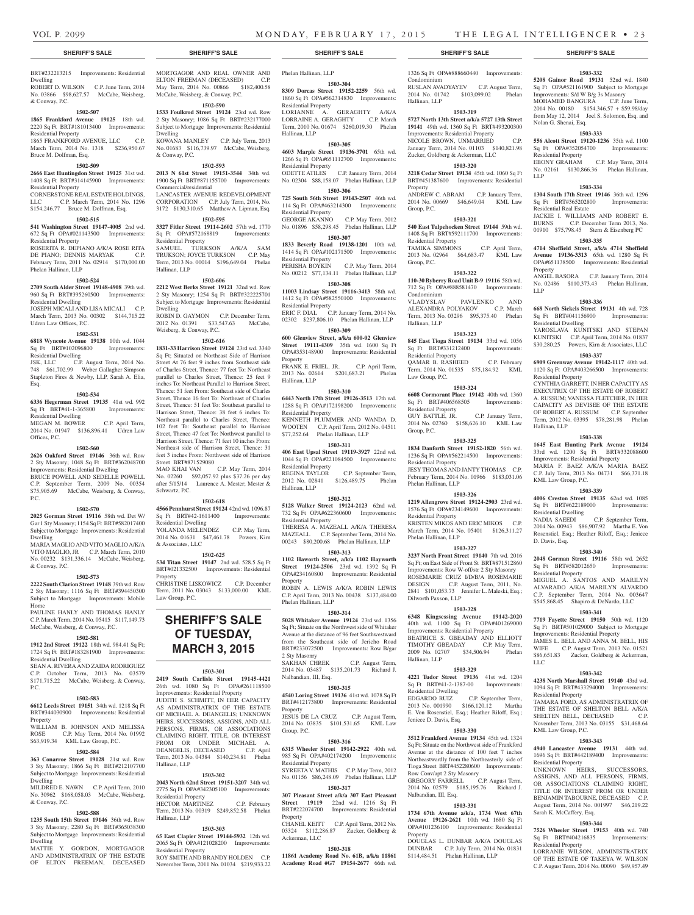Condominium

Hallinan, LLP

**Property** 

Group, P.C.

Group, P.C.

Condominium

Hallinan, LLP

Law Group, P.C.

Residential Property

Residential Property

Phelan Hallinan, LLP

Residential Property

Phelan Hallinan, LLP

Dilworth Paxson, LLP

Hallinan, LLP

Residential Dwelling

Jeniece D. Davis, Esq.

GREGORY FARRELL

Nalbandian, III, Esq.

Property

Group, P.C.

 $Sq$  Ft BRT#331212400 Residential Property

Residential Property

1326 Sq Ft OPA#888660440 Improvements:

**1503-332 5208 Gainor Road 19131** 52nd wd. 1840 Sq Ft OPA#521161900 Subject to Mortgage Improvements: S/d W B/g 3s Masonry MOHAMED BANGURA C.P. June Term, 2014 No. 00180 \$154,346.57 + \$59.98/day from May 12, 2014 Joel S. Solomon, Esq. and

**1503-333 556 Alcott Street 19120-1236** 35th wd. 1100 Sq Ft OPA#352054700 Improvements:

EBONY GRAHAM C.P. May Term, 2014 No. 02161 \$130,866.36 Phelan Hallinan,

**1503-334 1304 South 17th Street 19146** 36th wd. 1296 Sq Ft BRT#365202800 Improvements:

JACKIE I. WILLIAMS AND ROBERT E. BURNS C.P. December Term 2013, No. 01910 \$75,798.45 Stern & Eisenberg PC **1503-335 4714 Sheffield Street, a/k/a 4714 Sheffield Avenue 19136-3313** 65th wd. 1280 Sq Ft OPA#651138500 Improvements: Residential

ANGEL BASORA C.P. January Term, 2014 No. 02486 \$110,373.43 Phelan Hallinan,

**1503-336 668 North Sickels Street 19131** 4th wd. 728 Sq Ft BRT#041156900 Improvements:

YAROSLAVA KUNITSKI AND STEPAN KUNITSKI C.P. April Term, 2014 No. 01837 \$30,280.25 Powers, Kirn & Associates, LLC **1503-337 6909 Greenway Avenue 19142-1117** 40th wd. 1120 Sq Ft OPA#403266500 Improvements:

CYNTHIA GARRETT, IN HER CAPACITY AS EXECUTRIX OF THE ESTATE OF ROBERT A. RUSSUM; VANESSA FLETCHER, IN HER CAPACITY AS DEVISEE OF THE ESTATE OF ROBERT A. RUSSUM C.P. September Term, 2012 No. 03395 \$78,281.98 Phelan

**1503-338 1645 East Hunting Park Avenue 19124**  33rd wd. 1200 Sq Ft BRT#332088600 Improvements: Residential Property MARIA F. BAEZ A/K/A MARIA BAEZ C.P. July Term, 2013 No. 04731 \$66,371.18

**1503-339 4006 Creston Street 19135** 62nd wd. 1085 Sq Ft BRT#622189000 Improvements:

NADIA SAEEDI C.P. September Term, NADIA SAEEDI C.P. September Term,<br>2014 No. 00943 \$86,907.92 Martha E. Von Rosenstiel, Esq.; Heather Riloff, Esq.; Jeniece

**1503-340 2048 Gorman Street 19116** 58th wd. 2652 Sq Ft BRT#582012650 Improvements:

MIGUEL A. SANTOS AND MARILYN ALVARADO A/K/A MARILYN ALVARDO C.P. September Term, 2014 No. 003647 \$545,868.45 Shapiro & DeNardo, LLC **1503-341 7719 Fayette Street 19150** 50th wd. 1120 Sq Ft BRT#501029000 Subject to Mortgage Improvements: Residential Property JAMES L. BELL AND ANNA M. BELL, HIS WIFE C.P. August Term, 2013 No. 01521 \$86,651.83 Zucker, Goldberg & Ackerman,

**1503-342 4238 North Marshall Street 19140** 43rd wd. 1094 Sq Ft BRT#433294000 Improvements:

TAMARA FORD, AS ADMINISTRATRIX OF THE ESTATE OF SHELTON BELL A/K/A SHELTEN BELL, DECEASED C.P. November Term, 2013 No. 03155 \$31,468.64

**1503-343 4940 Lancaster Avenue 19131** 44th wd. 1696 Sq Ft BRT#442189400 Improvements:

UNKNOWN HEIRS, SUCCESSORS, ASSIGNS, AND ALL PERSONS, FIRMS, OR ASSOCIATIONS CLAIMING RIGHT, TITLE OR INTEREST FROM OR UNDER BENJAMIN TABOURNE, DECEASED C.P. August Term, 2014 No. 001997 \$46,219.22

**1503-344 7526 Wheeler Street 19153** 40th wd. 740 Sq Ft BRT#404216835 Improvements:

LORRANIE WILSON, ADMINISTRATRIX OF THE ESTATE OF TAKEYA W. WILSON C.P. August Term, 2014 No. 00090 \$49,957.49

Nolan G. Shenai, Esq.

Residential Property

Residential Real Estate

Residential Dwelling

Residential Property

Hallinan, LLP

KML Law Group, P.C.

Residential Dwelling

Residential Property

Residential Property

KML Law Group, P.C.

ential Property

Sarah K. McCaffery, Esq.

Residential Property

D. Davis, Esq.

LLC

LLP

Property

LLP

RUSLAN AVADYAYEV C.P. August Term, 2014 No. 01742 \$103,099.02 Phelan

**1503-319 5727 North 13th Street a/k/a 5727 13th Street 19141** 49th wd. 1360 Sq Ft BRT#493200300 Improvements: Residential Property NICOLE BROWN, UNMARRIED C.P. January Term, 2014 No. 01103 \$140,821.98 Zucker, Goldberg & Ackerman, LLC **1503-320 3218 Cedar Street 19134** 45th wd. 1060 Sq Ft BRT#451387600 Improvements: Residential

ANDREW C. ABRAM C.P. January Term, 2014 No. 00669 \$46,649.04 KML Law

**1503-321 540 East Tulpehocken Street 19144** 59th wd. 1408 Sq Ft BRT#592111700 Improvements:

TAMIKA SIMMONS C.P. April Term, 2013 No. 02964 \$64,683.47 KML Law

**1503-322 110-30 Byberry Road Unit B-9 19116** 58th wd. 712 Sq Ft OPA#888581470 Improvements:

VLADYSLAV PAVLENKO AND ALEXANDRA POLYAKOV C.P. March Term, 2013 No. 03296 \$95,375.40 Phelan

**1503-323 845 East Tioga Street 19134** 33rd wd. 1056

QAMAR B. RASHEED C.P. February Term, 2014 No. 01535 \$75,184.92 KML

**1503-324 6608 Cormorant Place 19142** 40th wd. 1360 Sq Ft BRT#406568505 Improvements:

GUY BATTLE, JR. C.P. January Term, 2014 No. 02760 \$158,626.10 KML Law

**1503-325 1834 Danforth Street 19152-1820** 56th wd. 1236 Sq Ft OPA#562214500 Improvements:

JESY THOMAS AND JANTY THOMAS C.P. February Term, 2014 No. 01966 \$183,031.06

**1503-326 1219 Allengrove Street 19124-2903** 23rd wd. 1576 Sq Ft OPA#234149600 Improvements:

KRISTEN MIKOS AND ERIC MIKOS C.P. March Term, 2014 No. 05401 \$126,311.27

**1503-327 3237 North Front Street 19140** 7th wd. 2016 Sq Ft; on East Side of Front St BRT#871512860 Improvements: Row W-off/str 2 Sty Masonry ROSEMARIE CRUZ I/D/B/A ROSEMARIE DESIGN C.P. August Term, 2011, No. 2841 \$101,053.73 Jennifer L. Maleski, Esq.;

**1503-328 6348 Kingsessing Avenue 19142-2020**  40th wd. 1100 Sq Ft OPA#401269000 Improvements: Residential Property BEATRICE S. GBEADAY AND ELLIOTT TIMOTHY GBEADAY C.P. May Term, 2009 No. 02707 \$34,506.94 Phelan

**1503-329 4221 Tudor Street 19136** 41st wd. 1204 Sq Ft BRT#41-2-1387-00 Improvements:

EDGARDO RUIZ C.P. September Term, 2013 No. 001990 \$166,120.12 Martha E. Von Rosenstiel, Esq.; Heather Riloff, Esq.;

**1503-330 3512 Frankford Avenue 19134** 45th wd. 1324 Sq Ft; Situate on the Northwest side of Frankford Avenue at the distance of 100 feet 7 inches Northeastwardly from the Northeasterly side of Tioga Street BRT#452280600 Improvements: Row Conv/apt 2 Sty Masonry<br>GREGORY FARRELL C.P. August Term,

2014 No. 02579 \$185,195.76 Richard J.

**1503-331 1734 67th Avenue a/k/a, 1734 West 67th Avenue 19126-2621** 10th wd. 1680 Sq Ft OPA#101236100 Improvements: Residential

DOUGLAS L. DUNBAR A/K/A DOUGLAS DUNBAR C.P. July Term, 2014 No. 01831 \$114,484.51 Phelan Hallinan, LLP

#### **SHERIFF'S SALE SHERIFF'S SALE SHERIFF'S SALE SHERIFF'S SALE SHERIFF'S SALE**

# BRT#232213215 Improvements: Residential Dwelling

ROBERT D. WILSON C.P. June Term, 2014 No. 03866 \$98,627.57 McCabe, Weisberg, & Conway, P.C.

### **1502-507**

**1865 Frankford Avenue 19125** 18th wd. 2220 Sq Ft BRT#181013400 Improvements: Residential Property 1865 FRANKFORD AVENUE, LLC C.P.

March Term, 2014 No. 1318 \$236,950.67 Bruce M. Dolfman, Esq.

#### **1502-509**

**2666 East Huntingdon Street 19125** 31st wd. 1408 Sq Ft BRT#314145900 Improvements: Residential Property

CORNERSTONE REAL ESTATE HOLDINGS, LLC C.P. March Term, 2014 No. 1296 \$154,246.77 Bruce M. Dolfman, Esq.

#### **1502-515**

**541 Washington Street 19147-4005** 2nd wd. 672 Sq Ft OPA#021143500 Improvements: Residential Property ROSERITA R. DEPIANO A/K/A ROSE RITA

DE PIANO; DENNIS MARYAK C.P. February Term, 2011 No. 02914 \$170,000.00 Phelan Hallinan, LLP

#### **1502-524**

**2709 South Alder Street 19148-4908** 39th wd. 960 Sq Ft BRT#395260500 Improvements: Residential Dwelling JOSEPH MICALI AND LISA MICALI C.P.

March Term, 2013 No. 00302 \$144,715.22 Udren Law Offices, P.C. **1502-531**

**6818 Wyncote Avenue 19138** 10th wd. 1044 Sq Ft BRT#102096800 Improvements: Residential Dwelling

JSK, LLC C.P. August Term, 2014 No. 748 \$61,702.99 Weber Gallagher Simpson Stapleton Fires & Newby, LLP, Sarah A. Elia, Esq.

#### **1502-534**

**6336 Hegerman Street 19135** 41st wd. 992 Sq Ft BRT#41-1-365800 Improvements: Residential Dwelling<br>MEGAN M. BOWER C.P. April Term,

2014 No. 01947 \$136,896.41 Udren Law Offices, P.C. **1502-560**

**2626 Oakford Street 19146** 36th wd. Row 2 Sty Masonry; 1048 Sq Ft BRT#362048700 Improvements: Residential Dwelling

BRUCE POWELL AND SEDELLE POWELL C.P. September Term, 2009 No. 00354 \$75,905.69 McCabe, Weisberg, & Conway, P.C.

#### **1502-570**

**2025 Gorman Street 19116** 58th wd. Det W/ Gar 1 Sty Masonry; 1154 Sq Ft BRT#582017400 Subject to Mortgage Improvements: Residential Dwelling

MARIA MAGLIO AND VITO MAGLIO A/K/A VITO MAGLIO, JR C.P. March Term, 2010 No. 00232 \$131,336.14 McCabe, Weisberg, & Conway, P.C.

#### **1502-573**

**2222 South Clarion Street 19148** 39th wd. Row 2 Sty Masonry; 1116 Sq Ft BRT#394450300 Subject to Mortgage Improvements: Mobile Home PAULINE HANLY AND THOMAS HANLY

C.P. March Term, 2014 No. 05415 \$117,149.73 McCabe, Weisberg, & Conway, P.C.

# **1502-581**

**1912 2nd Street 19122** 18th wd. 984.41 Sq Ft; 1724 Sq Ft BRT#183281900 Improvements: Residential Dwelling

SEAN A. RIVERA AND ZAIDA RODRIGUEZ C.P. October Term, 2013 No. 03579 \$171,715.22 McCabe, Weisberg, & Conway, P.C.

#### **1502-583**

**6612 Leeds Street 19151** 34th wd. 1218 Sq Ft BRT#344030900 Improvements: Residential Property

WILLIAM B. JOHNSON AND MELISSA ROSE C.P. May Term, 2014 No. 01992 \$63,919.34 KML Law Group, P.C.

# **1502-584**

**363 Conarroe Street 19128** 21st wd. Row 3 Sty Masonry; 1866 Sq Ft BRT#212107700 Subject to Mortgage Improvements: Residential Dwelling

MILDRED E. NAWN C.P. April Term, 2010 No. 30962 \$168,058.03 McCabe, Weisberg, & Conway, P.C.

## **1502-588**

**1235 South 15th Street 19146** 36th wd. Row 3 Sty Masonry; 2280 Sq Ft BRT#365038300 Subject to Mortgage Improvements: Residential Dwelling MATTIE Y. GORDON, MORTGAGOR

AND ADMINISTRATRIX OF THE ESTATE OF ELTON FREEMAN DECEASED MORTGAGOR AND REAL OWNER AND ELTON FREEMAN (DECEASED) C.P. May Term, 2014 No. 00866 \$182,400.58 McCabe, Weisberg, & Conway, P.C.

# **1502-590**

**1533 Foulkrod Street 19124** 23rd wd. Row 2 Sty Masonry; 1086 Sq Ft BRT#232177000 Subject to Mortgage Improvements: Residential Dwelling KOWANA MANLEY C.P. July Term, 2013 No. 01683 \$116,739.97 McCabe, Weisberg, & Conway, P.C.

#### **1502-593**

**2013 N 61st Street 19151-3544** 34th wd. 1900 Sq Ft BRT#871155700 Improvements: Commercial/residential LANCASTER AVENUE REDEVELOPMENT CORPORATION C.P. July Term, 2014, No. 3172 \$130,310.65 Matthew A. Lipman, Esq.

#### **1502-595**

**3327 Fitler Street 19114-2602** 57th wd. 1770 Sq Ft OPA#572168819 Improvements: Residential Property SAMUEL TURKSON A/K/A SAM TRUKSON; JOYCE TURKSON C.P. May Term, 2013 No. 00014 \$196,649.04 Phelan

Hallinan, LLP

#### **1502-606**

**2212 West Berks Street 19121** 32nd wd. Row 2 Sty Masonry; 1254 Sq Ft BRT#322225701 Subject to Mortgage Improvements: Residential Dwelling ROBIN D. GAYMON C.P. December Term, 2012 No. 01391 \$33,547.63 McCabe,

Weisberg, & Conway, P.C. **1502-616**

**1831-33 Harrison Street 19124** 23rd wd. 3340 Sq Ft; Situated on Northeast Side of Harrison Street At 76 feet 9 inches from Southeast side of Charles Street, Thence: 77 feet To: Northeast parallel to Charles Street, Thence: 25 feet 9 inches To: Northeast Parallel to Harrison Street, Thence: 51 feet From: Southeast side of Charles Street, Thence 16 feet To: Northeast of Charles Street, Thence: 51 feet To: Southeast parallel to Harrison Street, Thence: 38 feet 6 inches To: Northeast parallel to Charles Street, Thence: 102 feet To: Southeast parallel to Harrison Street, Thence 47 feet To: Northwest parallel to Harrison Street, Thence: 71 feet 10 inches From: Northeast side of Harrison Street, Thence: 31 feet 3 inches From: Northwest side of Harrison Street BRT#871529080

MAO KHAI VAN C.P. May Term, 2014 No. 02260 \$92,057.92 plus \$37.26 per day after 5/15/14 Laurence A. Mester; Mester & Schwartz, P.C.

#### **1502-618**

**4566 Pennhurst Street 19124** 42nd wd. 1096.87 Sq Ft BRT#42-1611400 Improvements: Residential Dwelling YOLANDA MELENDEZ C.P. May Term, 2014 No. 01631 \$47,461.78 Powers, Kirn

# **1502-625**

& Associates, LLC

**534 Titan Street 19147** 2nd wd. 528.5 Sq Ft BRT#021332500 Improvements: Residential Property

CHRISTINE LISKOWICZ C.P. December Term, 2011 No. 03043 \$133,000.00 KML Law Group, P.C.

**SHERIFF'S SALE OF TUESDAY, March 3, 2015**

# **1503-301**

**2419 South Carlisle Street 19145-4421**  26th wd. 1080 Sq Ft OPA#261118500 Improvements: Residential Property JUDITH S. SCHMITT, IN HER CAPACITY AS ADMINISTRATRIX OF THE ESTATE OF MICHAEL A. DEANGELIS; UNKNOWN HEIRS, SUCCESSORS, ASSIGNS, AND ALL PERSONS, FIRMS, OR ASSOCIATIONS CLAIMING RIGHT, TITLE, OR INTEREST FROM OR UNDER MICHAEL A. DEANGELIS, DECEASED C.P. April Term, 2013 No. 04384 \$140,234.81 Phelan Hallinan, LLP

#### **1503-302**

**2043 North 62nd Street 19151-3207** 34th wd. 2775 Sq Ft OPA#342305100 Improvements: Residential Property HECTOR MARTINEZ C.P. February

Term, 2013 No. 00319 \$249,852.58 Phelan Hallinan, LLP **1503-303**

**65 East Clapier Street 19144-5932** 12th wd. 2065 Sq Ft OPA#121028200 Improvements: Residential Property

ROY SMITH AND BRANDY HOLDEN C.P. November Term, 2011 No. 01034 \$219,933.22

# Phelan Hallinan, LLP

**1503-304 8309 Dorcas Street 19152-2259** 56th wd. 1860 Sq Ft OPA#562314830 Improvements: Residential Property

LORIANNE A. GERAGHTY A/K/A LORRAINE A. GERAGHTY C.P. March Term, 2010 No. 01674 \$260,019.30 Phelan Hallinan, LLP

#### **1503-305**

**4603 Marple Street 19136-3701** 65th wd. 1266 Sq Ft OPA#651112700 Improvements: Residential Property ODETTE ATILES C.P. January Term, 2014

No. 02304 \$88,158.07 Phelan Hallinan, LLP **1503-306**

**725 South 56th Street 19143-2507** 46th wd. 114 Sq Ft OPA#463214300 Improvements: Residential Property GEORGE AKANNO C.P. May Term, 2012

No. 01896 \$58,298.45 Phelan Hallinan, LLP **1503-307 1833 Beverly Road 19138-1201** 10th wd.

1414 Sq Ft OPA#102171500 Improvements: Residential Property

PERISHA BOYKIN C.P. May Term, 2014 No. 00212 \$77,134.11 Phelan Hallinan, LLP

# **1503-308**

**11003 Lindsay Street 19116-3413** 58th wd. 1412 Sq Ft OPA#582550100 Improvements: Residential Property ERIC F. DIAL C.P. January Term, 2014 No. 02302 \$237,806.10 Phelan Hallinan, LLP

**1503-309**

**600 Glenview Street, a/k/a 600-02 Glenview Street 19111-4309** 35th wd. 1600 Sq Ft OPA#353148900 Improvements: Residential Property

FRANK E. FRIEL, JR. C.P. April Term, 2013 No. 02614 \$201,683.21 Phelan Hallinan, LLP

#### **1503-310**

**6443 North 17th Street 19126-3513** 17th wd. 1288 Sq Ft OPA#172198200 Improvements: Residential Property KENNETH PLUMMER AND WANDA D. WOOTEN C.P. April Term, 2012 No. 04511

\$77,252.64 Phelan Hallinan, LLP **1503-311**

**406 East Upsal Street 19119-3927** 22nd wd. 1044 Sq Ft OPA#221084500 Improvements: Residential Property<br>REGINA TAYLOR C.P. September Term,

2012 No. 02841 \$126,489.75 Phelan Hallinan, LLP **1503-312**

**5128 Walker Street 19124-2123** 62nd wd. 732 Sq Ft OPA#622360600 Improvements: Residential Property THERESA A. MAZEALL A/K/A THERESA MAZEALL C.P. September Term, 2014 No. 00243 \$80,200.68 Phelan Hallinan, LLP

#### **1503-313**

**1102 Haworth Street, a/k/a 1102 Hayworth Street 19124-2506** 23rd wd. 1392 Sq Ft OPA#234160800 Improvements: Residential **Property** ROBIN A. LEWIS A/K/A ROBIN LEWIS

C.P. April Term, 2013 No. 00438 \$137,484.00 Phelan Hallinan, LLP

#### **1503-314**

**5028 Whitaker Avenue 19124** 23rd wd. 1356 Sq Ft; Situate on the Northwest side of Whitaker Avenue at the distance of 96 feet Southwestward from the Southeast side of Jericho Road BRT#233072500 Improvements: Row B/gar 2 Sty Masonry C.P. August Term,

2014 No. 03487 \$135,201.73 Richard J.

**1503-315 4540 Loring Street 19136** 41st wd. 1078 Sq Ft BRT#412173800 Improvements: Residential

JESUS DE LA CRUZ C.P. August Term, 2014 No. 03835 \$101,531.65 KML Law

**1503-316 6315 Wheeler Street 19142-2922** 40th wd. 985 Sq Ft OPA#402174200 Improvements:

SYREETA V. MATHIS C.P. May Term, 2012 No. 01156 \$86,248.09 Phelan Hallinan, LLP **1503-317 307 Pleasant Street a/k/a 307 East Pleasant Street 19119** 22nd wd. 1216 Sq Ft BRT#222074700 Improvements: Residential

CHANEL KEITT C.P. April Term, 2012 No. 03324 \$112,286.87 Zucker, Goldberg &

**1503-318 11861 Academy Road No. 61B, a/k/a 11861 Academy Road #G7 19154-2677** 66th wd.

Nalbandian, III, Esq.

Property

Property

Ackerman, LLC

Group, P.C.

Residential Property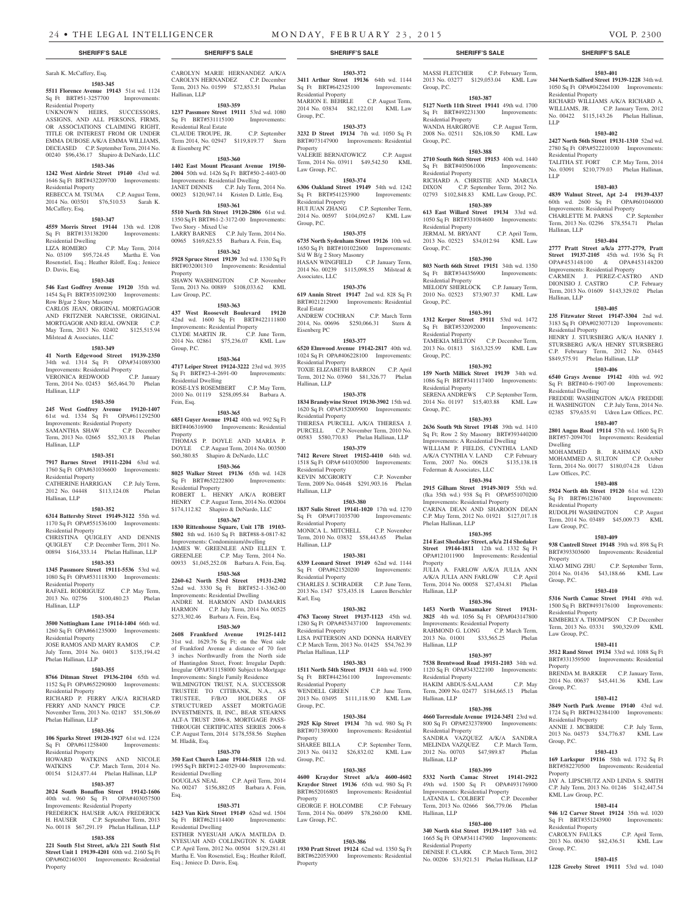# Sarah K. McCaffery, Esq.

#### **1503-345 5511 Florence Avenue 19143** 51st wd. 1124 Sq Ft BRT#51-3257700 Improvements: Residential Property

UNKNOWN HEIRS, SUCCESSORS, ASSIGNS, AND ALL PERSONS, FIRMS, OR ASSOCIATIONS CLAIMING RIGHT, TITLE OR INTEREST FROM OR UNDER EMMA DUBOSE A/K/A EMMA WILLIAMS, DECEASED C.P. September Term, 2014 No. 00240 \$96,436.17 Shapiro & DeNardo, LLC

### **1503-346**

**1242 West Airdrie Street 19140** 43rd wd. 1646 Sq Ft BRT#432209700 Improvements: Residential Property REBECCA M. TSUMA C.P. August Term, 2014 No. 003501 \$76,510.53 Sarah K. McCaffery, Esq.

#### **1503-347**

**4559 Morris Street 19144** 13th wd. 1208<br>Sq Ft BRT#133138200 Improvements: Sq Ft BRT#133138200 Residential Dwelling LIZA ROMERO C.P. May Term, 2014 No. 03109 \$95,724.45 Martha E. Von Rosenstiel, Esq.; Heather Riloff, Esq.; Jeniece D. Davis, Esq.

#### **1503-348**

**546 East Godfrey Avenue 19120** 35th wd. 1454 Sq Ft BRT#351092300 Improvements: Row B/gar 2 Story Masonry CARLOS JEAN, ORIGINAL MORTGAGOR AND FRITZNER NARCISSE, ORIGINAL MORTGAGOR AND REAL OWNER C.P. May Term, 2013 No. 02402 \$125,515.94 Milstead & Associates, LLC

#### **1503-349**

**41 North Edgewood Street 19139-2350**  34th wd. 1314 Sq Ft OPA#341089300 Improvements: Residential Property VERONICA REDWOOD C.P. January Term, 2014 No. 02453 \$65,464.70 Phelan Hallinan, LLP

#### **1503-350**

**245 West Godfrey Avenue 19120-1407**  61st wd. 1334 Sq Ft OPA#611292500 Improvements: Residential Property SAMANTHA SHAW C.P. December Term, 2013 No. 02665 \$52,303.18 Phelan Hallinan, LLP

### **1503-351**

**7917 Barnes Street 19111-2204** 63rd wd. 1760 Sq Ft OPA#631036600 Improvements: Residential Property CATHERINE HARRIGAN C.P. July Term,

2012 No. 04448 \$113,124.08 Phelan Hallinan, LLP

#### **1503-352**

**6314 Battersby Street 19149-3122** 55th wd. 1170 Sq Ft OPA#551536100 Improvements: Residential Property CHRISTINA QUIGLEY AND DENNIS QUIGLEY C.P. December Term, 2011 No. 00894 \$164,333.14 Phelan Hallinan, LLP

#### **1503-353**

**1345 Passmore Street 19111-5536** 53rd wd. 1080 Sq Ft OPA#531118300 Improvements:

Residential Property RAFAEL RODRIGUEZ C.P. May Term, 2013 No. 02756 \$100,480.23 Phelan Hallinan, LLP

#### **1503-354**

**3500 Nottingham Lane 19114-1404** 66th wd. 1260 Sq Ft OPA#661235000 Improvements: Residential Property JOSE RAMOS AND MARY RAMOS C.P.

July Term, 2014 No. 04013 \$135,194.42 Phelan Hallinan, LLP

# **1503-355**

**8766 Ditman Street 19136-2104** 65th wd. 1152 Sq Ft OPA#652290800 Improvements: Residential Property

RICHARD P. FERRY A/K/A RICHARD FERRY AND NANCY PRICE C.P. November Term, 2013 No. 02187 \$51,506.69 Phelan Hallinan, LLP

#### **1503-356**

**106 Sparks Street 19120-1927** 61st wd. 1224 Sq Ft OPA#611258400 Improvements: Residential Property

#### HOWARD WATKINS AND NICOLE WATKINS C.P. March Term, 2014 No. 00154 \$124,877.44 Phelan Hallinan, LLP

#### **1503-357**

**2024 South Bonaffon Street 19142-1606**  40th wd. 960 Sq Ft OPA#403057500

### Improvements: Residential Property FREDERICK HAUSER A/K/A FREDERICK

H. HAUSER C.P. September Term, 2013 No. 00118 \$67,291.19 Phelan Hallinan, LLP **1503-358**

**221 South 51st Street, a/k/a 221 South 51st Street Unit 1 19139-4201** 60th wd. 2160 Sq Ft OPA#602160301 Improvements: Residential Property

#### CAROLYN MARIE HERNANDEZ A/K/A CAROLYN HERNANDEZ C.P. December Term, 2013 No. 01599 \$72,853.51 Phelan Hallinan, LLP

**1503-359 1237 Passmore Street 19111** 53rd wd. 1080 Sq Ft BRT#531115100 Improvements: Residential Real Estate

CLAUDE TROUPE, JR. C.P. September Term 2014, No. 02947 \$119,819.77 Stern & Eisenberg PC

# **1503-360**

**1402 East Mount Pleasant Avenue 19150- 2004** 50th wd. 1426 Sq Ft BRT#50-2-4403-00 Improvements: Residential Dwelling JANET DENNIS C.P. July Term, 2014 No. 00023 \$120,947.14 Kristen D. Little, Esq.

#### **1503-361**

**5510 North 5th Street 19120-2806** 61st wd. 1350 Sq Ft BRT#61-2-3172-00 Improvements: Two Story - Mixed Use LARRY BARNES C.P. July Term, 2014 No. 00965 \$169,623.55 Barbara A. Fein, Esq.

**1503-362 5928 Spruce Street 19139** 3rd wd. 1330 Sq Ft BRT#032001310 Improvements: Residential **Property** 

SHAWN WASHINGTON C.P. November Term, 2013 No. 00889 \$108,033.62 KML Law Group, P.C.

### **1503-363**

**437 West Roosevelt Boulevard 19120**  42nd wd. 1600 Sq Ft BRT#422111800 Improvements: Residential Property CLYDE MARTIN JR. C.P. June Term, 2014 No. 02861 \$75,236.07 KML Law Group, P.C.

#### **1503-364**

**4717 Leiper Street 19124-3222** 23rd wd. 3935 Sq Ft BRT#23-4-2691-00 Improvements:  $R$ esidential Dwelling ROSE-LYS ROSEMBERT C.P. May Term, 2010 No. 01119 \$258,095.84 Barbara A. Fein, Esq.

#### **1503-365**

**6851 Guyer Avenue 19142** 40th wd. 992 Sq Ft BRT#406316900 Improvements: Residential Property THOMAS P. DOYLE AND MARIA P. DOYLE C.P. August Term, 2014 No. 003500 \$60,380.85 Shapiro & DeNardo, LLC

#### **1503-366 8025 Walker Street 19136** 65th wd. 1428 Sq Ft BRT#652222800 Improvements:

Residential Property ROBERT L. HENRY A/K/A ROBERT HENRY C.P. August Term, 2014 No. 002004 \$174,112.82 Shapiro & DeNardo, LLC

### **1503-367**

**1830 Rittenhouse Square, Unit 17B 19103- 5802** 8th wd. 1610 Sq Ft BRT#88-8-0817-82 Improvements: Condominium/dwelling JAMES W. GREENLEE AND ELLEN T. GREENLEE C.P. May Term, 2014 No. 00933 \$1,045,252.08 Barbara A. Fein, Esq.

#### **1503-368**

**2260-62 North 53rd Street 19131-2302**  52nd wd. 3330 Sq Ft BRT#52-1-3362-00 Improvements: Residential Dwelling ANDRE M. HARMON AND DAMARIS HARMON C.P. July Term, 2014 No. 00525 \$273,302.46 Barbara A. Fein, Esq.

### **1503-369**

**2608 Frankford Avenue 19125-1412**  31st wd. 1629.76 Sq Ft; on the West side of Frankford Avenue a distance of 70 feet 3 inches Northwardly from the North side of Huntingdon Street, Front: Irregular Depth: Irregular OPA#311158000 Subject to Mortgage Improvements: Single Family Residence WILMINGTON TRUST, N.A. SUCCESSOR TRUSTEE TO CITIBANK, N.A., AS TRUSTEE, F/B/O HOLDERS OF STRUCTURED ASSET MORTGAGE INVESTMENTS, II, INC., BEAR STEARNS ALT-A TRUST 2006-8, MORTGAGE PASS-THROUGH CERTIFICATES SERIES 2006-8 C.P. August Term, 2014 \$178,558.56 Stephen M. Hladik, Esq.

#### **1503-370**

**350 East Church Lane 19144-5818** 12th wd. 1995 Sq Ft BRT#12-2-0329-00 Improvements: Residential Dwelling<br>DOUGLAS NEAL C.P. April Term, 2014 No. 00247 \$156,882.05 Barbara A. Fein, Esq.

#### **1503-371**

**1423 Van Kirk Street 19149** 62nd wd. 1504 Sq Ft BRT#621114400 Improvements: Residential Dwelling

ESTHER NYESUAH A/K/A MATILDA D. NYESUAH AND COLLINGTON N. GARR C.P. April Term, 2012 No. 00504 \$129,281.41 Martha E. Von Rosenstiel, Esq.; Heather Riloff, Esq.; Jeniece D. Davis, Esq.

### **SHERIFF'S SALE SHERIFF'S SALE SHERIFF'S SALE SHERIFF'S SALE SHERIFF'S SALE**

**1503-372 3411 Arthur Street 19136** 64th wd. 1144 Sq Ft BRT#642325100 Improvements: Residential Property MARION E. BEHRLE C.P. August Term,

MASSI FLETCHER C.P. February Term, 2013 No. 03277 \$129,053.04 KML Law

**1503-401 344 North Salford Street 19139-1228** 34th wd. 1050 Sq Ft OPA#042264100 Improvements:

RICHARD WILLIAMS A/K/A RICHARD A. WILLIAMS, JR. C.P. January Term, 2012 No. 00422 \$115,143.26 Phelan Hallinan,

**1503-402 2427 North 56th Street 19131-1310** 52nd wd. 2780 Sq Ft OPA#522210100 Improvements:

TALITHA ST. FORT C.P. May Term, 2014 No. 03091 \$210,779.03 Phelan Hallinan,

**1503-403 4839 Walnut Street, Apt 2-4 19139-4337**  60th wd. 2600 Sq Ft OPA#601046000 Improvements: Residential Property CHARLETTE M. PARNS C.P. September Term, 2013 No. 02296 \$78,554.71 Phelan

**1503-404 2777 Pratt Street a/k/a 2777-2779, Pratt Street 19137-2105** 45th wd. 1936 Sq Ft OPA#453148100 & OPA#453148200 Improvements: Residential Property

CARMEN J. PEREZ-CASTRO AND DIONISIO J. CASTRO C.P. February Term, 2013 No. 01609 \$143,329.02 Phelan

**1503-405 235 Fitzwater Street 19147-3304** 2nd wd. 3183 Sq Ft OPA#023077120 Improvements:

HENRY J. STURSBERG A/K/A HANRY J. STURSBERG A/K/A HENRY STURSBERG C.P. February Term, 2012 No. 03445 \$849,575.91 Phelan Hallinan, LLP **1503-406 6540 Grays Avenue 19142** 40th wd. 992 Sq Ft BRT#40-6-1907-00 Improvements:

FREDDIE WASHINGTON A/K/A FREDDIE H. WASHINGTON C.P. July Term, 2014 No. 02385 \$79,635.91 Udren Law Offices, P.C. **1503-407 2801 Angus Road 19114** 57th wd. 1600 Sq Ft BRT#57-2094701 Improvements: Residential

MOHAMMED B. RAHMAN AND MOHAMMED A. SULTON C.P. October Term, 2014 No. 00177 \$180,074.28 Udren

**1503-408 5924 North 4th Street 19120** 61st wd. 1220 Sq Ft BRT#612367400 Improvements:

RUDOLPH WASHINGTON C.P. August Term, 2014 No. 03489 \$45,009.73 KML

**1503-409 938 Cantrell Street 19148** 39th wd. 898 Sq Ft BRT#393303600 Improvements: Residential

2014 No. 01436 \$43,188.66 KML Law

**1503-410 5316 North Camac Street 19141** 49th wd. 1500 Sq Ft BRT#493176100 Improvements:

KIMBERLY A. THOMPSON C.P. December Term, 2013 No. 03331 \$90,329.09 KML

**1503-411 3512 Rand Street 19134** 33rd wd. 1088 Sq Ft BRT#331359500 Improvements: Residential

BRENDA M. BARKER C.P. January Term, 2014 No. 00637 \$45,441.36 KML Law

**1503-412 3849 North Park Avenue 19140** 43rd wd. 1724 Sq Ft BRT#432384100 Improvements:

ANNIE J. MCBRIDE C.P. July Term, 2013 No. 04573 \$34,776.87 KML Law

**1503-413 169 Larkspur 19116** 58th wd. 1732 Sq Ft BRT#582270500 Improvements: Residential

JAY A. LIPSCHUTZ AND LINDA S. SMITH C.P. July Term, 2013 No. 01246 \$142,447.54

**1503-414 946 1/2 Carver Street 19124** 35th wd. 1020 Sq Ft BRT#351243900 Improvements:

CAROLYN FAULKS C.P. April Term, 2013 No. 00430 \$82,436.51 KML Law

**1503-415 1228 Greeby Street 19111** 53rd wd. 1040

C.P. September Term,

Residential Property

Residential Property

LLP

LLP

Hallinan, LLP

Hallinan, LLP

Residential Property

Residential Dwelling

Dwelling

Law Offices, P.C.

Residential Property

Law Group, P.C.

Property<br>XIAO MING ZHU

Residential Property

Law Group, P.C.

Property

Group, P.C.

Group, P.C.

Property

Residential Property

KML Law Group, P.C.

Residential Property

Group, P.C.

Group, P.C.

**1503-387 5127 North 11th Street 19141** 49th wd. 1700 Sq Ft BRT#492231300 Improvements:

WANDA HARGROVE C.P. August Term, 2008 No. 02511 \$26,108.50 KML Law

**1503-388 2710 South 86th Street 19153** 40th wd. 1440 Sq Ft BRT#405061006 Improvements:

RICHARD A. CHRISTIE AND MARCIA DIXON C.P. September Term, 2012 No. 02793 \$102,848.83 KML Law Group, P.C. **1503-389 613 East Willard Street 19134** 33rd wd. 1050 Sq Ft BRT#331084600 Improvements:

JERMAL M. BRYANT C.P. April Term, 2013 No. 02523 \$34,012.94 KML Law

**1503-390 803 North 66th Street 19151** 34th wd. 1350 Sq Ft BRT#344356900 Improvements:

MELODY SHERLOCK C.P. January Term, 2010 No. 02523 \$73,907.37 KML Law

**1503-391 1312 Kerper Street 19111** 53rd wd. 1472 Sq Ft BRT#532092000 Improvements:

TAMEKIA MELTON C.P. December Term, 2013 No. 01813 \$163,325.99 KML Law

**1503-392 159 North Millick Street 19139** 34th wd. 1086 Sq Ft BRT#341117400 Improvements:

SERENA ANDREWS C.P. September Term, 2014 No. 01197 \$15,403.88 KML Law

**1503-393 2636 South 9th Street 19148** 39th wd. 1410 Sq Ft; Row 2 Sty Masonry BRT#393440200 Improvements: A Residential Dwelling WILLIAM P. FIELDS, CYNTHIA LAND A/K/A CYNTHIA V. LAND C.P. February<br>Term, 2007 No. 00628 \$135,138.18

**1503-394 2915 Gilham Street 19149-3019** 55th wd. (fka 35th wd.) 938 Sq Ft OPA#551070200 Improvements: Residential Property CARINA DEAN AND SHAROON DEAN C.P. May Term, 2012 No. 01921 \$127,017.18

**1503-395 214 East Shedaker Street, a/k/a 214 Shedaker Street 19144-1811** 12th wd. 1332 Sq Ft OPA#121011900 Improvements: Residential

JULIA A. FARLOW A/K/A JULIA ANN A/K/A JULIA ANN FARLOW C.P. April Term, 2014 No. 00058 \$27,434.81 Phelan

**1503-396 1453 North Wanamaker Street 19131- 3825** 4th wd. 1056 Sq Ft OPA#043147800 Improvements: Residential Property<br>RAHMOND G. LONG C.P. March Term,

2013 No. 01001 \$33,565.25 Phelan

**1503-397 7538 Brentwood Road 19151-2103** 34th wd. 1120 Sq Ft OPA#343222100 Improvements:

HAKIM ABDUS-SALAAM C.P. May Term, 2009 No. 02477 \$184,665.13 Phelan

**1503-398 4660 Torresdale Avenue 19124-3451** 23rd wd. 800 Sq Ft OPA#232378900 Improvements:

SANDRA VAZQUEZ A/K/A SANDRA MELINDA VAZQUEZ C.P. March Term, 2012 No. 00703 \$47,989.87 Phelan

**1503-399 5332 North Camac Street 19141-2922**  49th wd. 1500 Sq Ft OPA#493176900 Improvements: Residential Property<br>LATANIA L. COLBERT C.P. December

Term, 2013 No. 02666 \$66,779.06 Phelan

**1503-400 340 North 61st Street 19139-1107** 34th wd. 1665 Sq Ft OPA#341147900 Improvements:

No. 00206 \$31,921.51 Phelan Hallinan, LLP

C.P. March Term, 2012

Group, P.C.

Group, P.C.

Residential Property

Residential Property

Residential Property

Residential Property

Residential Property

Residential Property

Term, 2007 No. 00628 Federman & Associates, LLC

Phelan Hallinan, LLP

Property

Hallinan, LLP

Hallinan, LLP

Residential Property

Residential Property

Hallinan, LLP

Hallinan, LLP

Residential Property<br>DENISE F. CLARK

LATANIA L. COLBERT

Hallinan, LLP

RAHMOND G. LONG

Group, P.C.

Group, P.C.

Group, P.C.

Group, P.C.

2014 No. 03834 \$82,122.01 KML Law Group, P.C.

# **1503-373**

**3232 D Street 19134** 7th wd. 1050 Sq Ft BRT#073147900 Improvements: Residential Property VALERIE BERNATOWICZ C.P. August

Term, 2014 No. 03911 \$49,542.50 KML Law Group, P.C. **1503-374**

# **6306 Oakland Street 19149 54th wd. 1242**<br>Sq Ft BRT#541253900 **Improvements:**

Sq Ft BRT#541253900 Residential Property C.P. September Term, 2014 No. 00597 \$104,092.67 KML Law

Group, P.C.

# **1503-375**

**6735 North Sydenham Street 19126** 10th wd. 1650 Sq Ft BRT#101022600 Improvements: S/d W B/g 2 Story Masonry HASAN WINGFIELD C.P. January Term, 2014 No. 00239 \$115,098.55 Milstead & Associates, LLC

#### **1503-376**

**619 Annin Street 19147** 2nd wd. 828 Sq Ft BRT#021212900 Improvements: Residential Real Estate ANDREW COCHRAN C.P. March Term 2014, No. 00696 \$250,066.31 Stern & Eisenberg PC

# **1503-377**

**6520 Elmwood Avenue 19142-2817** 40th wd. 1024 Sq Ft OPA#406228100 Improvements: Residential Property TOXIE ELIZABETH BARRON C.P. April Term, 2012 No. 03960 \$81,326.77 Phelan Hallinan, LLP

**1503-378**

#### **1834 Brandywine Street 19130-3902** 15th wd. 1620 Sq Ft OPA#152009900 Improvements: Residential Property THERESA PURCELL A/K/A THERESA J. PURCELL C.P. November Term, 2010 No.

00583 \$580,770.83 Phelan Hallinan, LLP **1503-379**

**7412 Revere Street 19152-4410** 64th wd. 1518 Sq Ft OPA# 641030500 Improvements: Residential Property

KEVIN MCGRORTY C.P. November Term, 2009 No. 04648 \$291,903.16 Phelan Hallinan, LLP

# **1503-380**

**1837 Sulis Street 19141-1020** 17th wd. 1270 Sq Ft OPA#171035700 Residential Property MONICA L. MITCHELL C.P. November

Term, 2010 No. 03832 \$58,443.65 Phelan Hallinan, LLP **1503-381**

**6339 Leonard Street 19149** 62nd wd. 1144 Sq Ft OPA#621520200 Improvements: Residential Property CHARLES J. SCHRADER C.P. June Term, 2013 No. 1347 \$75,435.18 Lauren Berschler Karl, Esq.

#### **1503-382**

**4763 Tacony Street 19137-1123** 45th wd. 1280 Sq Ft OPA#453437100 Improvements: Residential Property LISA PATTERSON AND DONNA HARVEY C.P. March Term, 2013 No. 01425 \$54,762.39 Phelan Hallinan, LLP

## **1503-383**

**1511 North 54th Street 19131** 44th wd. 1900 Sq Ft BRT#442361100 Improvements: Residential Property WENDELL GREEN C.P. June Term, 2013 No. 03495 \$111,118.90 KML Law

### Group, P.C.

**1503-384 2925 Kip Street 19134** 7th wd. 980 Sq Ft BRT#071389000 Improvements: Residential Property<br>SHAREE BILLA

C.P. September Term, 2013 No. 04132 \$26,832.02 KML Law Group, P.C.

#### **1503-385 4600 Kraydor Street a/k/a 4600-4602 Kraydor Street 19136** 65th wd. 980 Sq Ft

BRT#652016805 Improvements: Residential

GEORGE F. HOLCOMBE C.P. February Term, 2014 No. 00499 \$78,260.00 KML

**1503-386 1930 Pratt Street 19124** 62nd wd. 1350 Sq Ft BRT#622053900 Improvements: Residential

Property

Property

Law Group, P.C.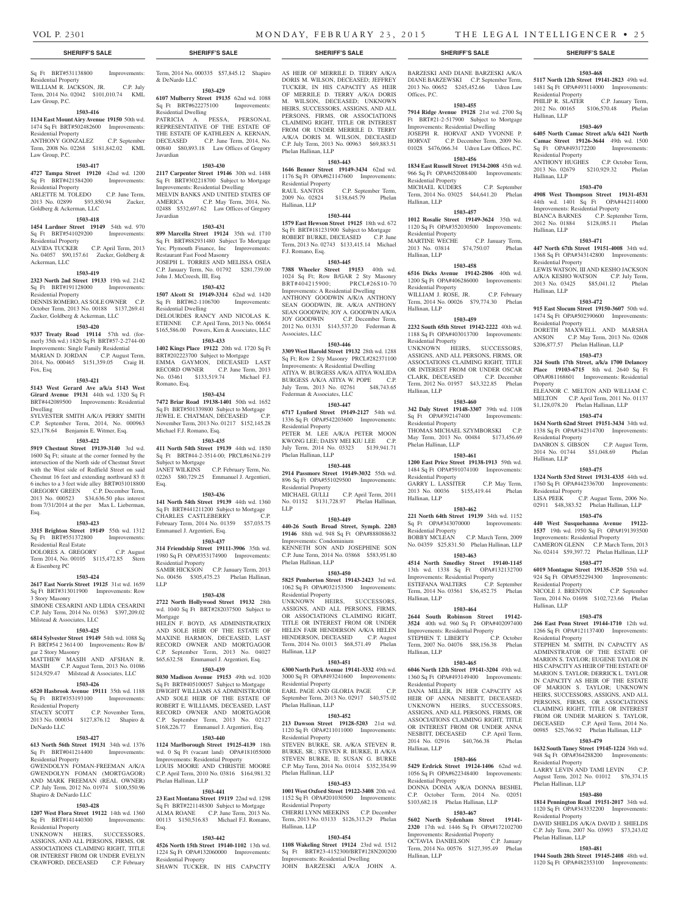Term, 2014 No. 000335 \$57,845.12 Shapiro

**1503-429 6107 Mulberry Street 19135** 62nd wd. 1088 Sq Ft BRT#622275100 Improvements:

**1503-430 2117 Carpenter Street 19146** 30th wd. 1488 Sq Ft BRT#302218700 Subject to Mortgage Improvements: Residential Dwelling MELVIN BANKS AND UNITED STATES OF AMERICA C.P. May Term, 2014, No. 02488 \$532,697.62 Law Offices of Gregory

**1503-431 899 Marcella Street 19124** 35th wd. 1710 Sq Ft BRT#882931480 Subject To Mortgage Yes; Plymouth Finance, Inc Improvements:

JOSEPH L. TORRES AND MELISSA OSEA C.P. January Term, No. 01792 \$281,739.00

**1503-432 1507 Alcott St 19149-3314** 62nd wd. 1420 Sq Ft BRT#62-1106700 Improvements:

DELOURDES RANCY AND NICOLAS K. ETIENNE C.P. April Term, 2013 No. 00654 \$165,586.00 Powers, Kirn & Associates, LLC **1503-433 1402 Kings Place 19122** 20th wd. 1720 Sq Ft BRT#202223700 Subject to Mortgage EMMA GAYMON, DECEASED LAST RECORD OWNER C.P. June Term, 2013 No. 03461 \$133,519.74 Michael F.J.

**1503-434 7472 Briar Road 19138-1401** 50th wd. 1652 Sq Ft BRT#501339800 Subject to Mortgage JEWEL E. CHATMAN, DECEASED C.P. November Term, 2013 No. 01217 \$152,145.28

**1503-435 411 North 54th Street 19139** 44th wd. 1850 Sq Ft BRT#44-2-3514-00; PRCL#61N4-219

JANET WILKINS C.P. February Term, No. 02263 \$80,729.25 Emmanuel J. Argentieri,

**1503-436 141 North 54th Street 19139** 44th wd. 1360 Sq Ft BRT#441211200 Subject to Mortgage CHARLES CASTLEBERRY C.P. February Term, 2014 No. 01359 \$57,035.75

**1503-437 314 Friendship Street 19111-3906** 35th wd. 1980 Sq Ft OPA#353174900 Improvements:

SAMIR HICKSON C.P. January Term, 2013 No. 00456 \$305,475.23 Phelan Hallinan,

**1503-438 2722 North Hollywood Street 19132** 28th wd. 1040 Sq Ft BRT#282037500 Subject to

HELEN F. BOYD, AS ADMINISTRATRIX AND SOLE HEIR OF THE ESTATE OF MAXINE HARMON, DECEASED, LAST RECORD OWNER AND MORTGAGOR C.P. September Term, 2013 No. 04027 \$65,632.58 Emmanuel J. Argentieri, Esq. **1503-439 8030 Madison Avenue 19153** 49th wd. 1020 Sq Ft BRT#405100057 Subject to Mortgage DWIGHT WILLIAMS AS ADMINISTRATOR AND SOLE HEIR OF THE ESTATE OF ROBERT E. WILLIAMS, DECEASED, LAST RECORD OWNER AND MORTGAGOR C.P. September Term, 2013 No. 02127 \$168,226.77 Emmanuel J. Argentieri, Esq. **1503-440 1124 Marlborough Street 19125-4139** 18th wd. 0 Sq Ft (vacant land) OPA#181055000 Improvements: Residential Property LOUIS MOORE AND CHRISTIE MOORE C.P. April Term, 2010 No. 03816 \$164,981.32

Restaurant Fast Food Masonry

John J. McCreesh, III, Esq.

Residential Dwelling

Romano, Esq.

Michael F.J. Romano, Esq.

Emmanuel J. Argentieri, Esq.

Residential Property

Subject to Mortgage

Esq.

LLP

Mortgage

& DeNardo LLC

Residential Dwelling

Javardian

Javardian

#### Sq Ft BRT#531138800 Improvements: Residential Property WILLIAM R. JACKSON, JR. C.P. July Term, 2014 No. 02042 \$101,010.74 KML

Law Group, P.C. **1503-416**

# **1134 East Mount Airy Avenue 19150** 50th wd.

1474 Sq Ft BRT#502482600 Improvements: Residential Property ANTHONY GONZALEZ C.P. September PATRICIA A. PESSA, PERSONAL REPRESENTATIVE OF THE ESTATE OF THE ESTATE OF KATHLEEN A. KERNAN, DECEASED C.P. June Term, 2014, No. 00840 \$80,893.18 Law Offices of Gregory

Term, 2008 No. 02268 \$181,842.02 KML Law Group, P.C.

#### **1503-417**

**4727 Tampa Street 19120** 42nd wd. 1200 Sq Ft BRT#421584200 Improvements: Residential Property ARLETTE M. TOLEDO C.P. June Term,

# 2013 No. 02899 \$93,850.94 Zucker, Goldberg & Ackerman, LLC

### **1503-418**

**1454 Lardner Street 19149 54th wd. 970**<br>Sq Ft BRT#541029200 **Improvements:** Sq Ft BRT#541029200 Residential Property<br>ALVIDA TUCKER

C.P. April Term, 2013 No. 04057 \$90,157.61 Zucker, Goldberg & Ackerman, LLC

#### **1503-419**

**2323 North 2nd Street 19133** 19th wd. 2142 Sq Ft BRT#191128000 Improvements: Residential Property DENNIS ROMERO, AS SOLE OWNER C.P. October Term, 2013 No. 00188 \$137,269.41

### Zucker, Goldberg & Ackerman, LLC **1503-420**

**9337 Treaty Road 19114** 57th wd. (formerly 35th wd.) 1820 Sq Ft BRT#57-2-2744-00 Improvements: Single Family Residential MARIAN D. JORDAN C.P. August Term, 2014, No. 000465 \$151,359.05 Craig H. Fox, Esq

#### **1503-421**

**5143 West Gerard Ave a/k/a 5143 West Girard Avenue 19131** 44th wd. 1320 Sq Ft BRT#442089500 Improvements: Residential Dwelling

SYLVESTER SMITH A/K/A PERRY SMITH C.P. September Term, 2014, No. 000963 \$23,178.64 Benjamin E. Witmer, Esq.

#### **1503-422**

**5919 Chestnut Street 19139-3140** 3rd wd. 1600 Sq Ft; situate at the corner formed by the intersection of the North side of Chestnut Street with the West side of Redfield Street on said Chestnut 16 feet and extending northward 83 ft 6 inches to a 3 feet wide alley BRT#031018800 GREGORY GREEN C.P. December Term, 2013 No. 000523 \$34,636.50 plus interest from 7/31/2014 at the per Max L. Lieberman, Esq.

#### **1503-423**

**3315 Brighton Street 19149** 55th wd. 1312 Sq Ft BRT#551372800 Improvements: Residential Real Estate DOLORES A. GREGORY C.P. August

Term 2014, No. 00105 \$115,472.85 Stern & Eisenberg PC

### **1503-424**

**2617 East Norris Street 19125** 31st wd. 1659 Sq Ft BRT#313011900 Improvements: Row 3 Story Masonry SIMONE CESARINI AND LIDIA CESARINI

C.P. July Term, 2014 No. 01563 \$397,209.02 Milstead & Associates, LLC **1503-425**

**6814 Sylvester Street 19149** 54th wd. 1088 Sq Ft BRT#54 2 3614 00 Improvements: Row B/ gar 2 Story Masonry

MATTHEW MASIH AND AFSHAN R. MASIH C.P. August Term, 2013 No. 01086 \$124,929.47 Milstead & Associates, LLC

# **1503-426**

**6520 Hasbrook Avenue 19111** 35th wd. 1188

# Sq Ft BRT#353193100 Improvements:

Residential Property STACEY SCOTT C.P. November Term, 2013 No. 000034 \$127,876.12 Shapiro &

# **1503-427**

DeNardo LLC

Shapiro & DeNardo LLC

Residential Property

**613 North 56th Street 19131** 34th wd. 1376 Sq Ft BRT#041214400 Improvements: Residential Property GWENDOLYN FOMAN-FREEMAN A/K/A GWENDOLYN FOMAN (MORTGAGOR) AND MARK FREEMAN (REAL OWNER)

C.P. July Term, 2012 No. 01974 \$100,550.96

**1503-428 1207 West Flora Street 19122** 14th wd. 1360 Sq Ft BRT#141440300 Improvements:

UNKNOWN HEIRS, SUCCESSORS, ASSIGNS, AND ALL PERSONS, FIRMS, OR ASSOCIATIONS CLAIMING RIGHT, TITLE OR INTEREST FROM OR UNDER EVELYN CRAWFORD, DECEASED C.P. February

#### **1503-441**

Phelan Hallinan, LLP

**23 East Montana Street 19119** 22nd wd. 1298 Sq Ft BRT#221148300 Subject to Mortgage ALMA ROANE C.P. June Term, 2013 No. 00113 \$150,516.83 Michael F.J. Romano, Esq.

#### **1503-442**

**4526 North 15th Street 19140-1102** 13th wd. 1224 Sq Ft OPA#132060000 Improvements: Residential Property SHAWN TUCKER, IN HIS CAPACITY

#### **SHERIFF'S SALE SHERIFF'S SALE SHERIFF'S SALE SHERIFF'S SALE SHERIFF'S SALE**

AS HEIR OF MERRILE D. TERRY A/K/A DORIS M. WILSON, DECEASED; JEFFREY TUCKER, IN HIS CAPACITY AS HEIR OF MERRILE D. TERRY A/K/A DORIS M. WILSON, DECEASED; UNKNOWN HEIRS, SUCCESSORS, ASSIGNS, AND ALL PERSONS, FIRMS, OR ASSOCIATIONS CLAIMING RIGHT, TITLE OR INTEREST FROM OR UNDER MERRILE D. TERRY A/K/A DORIS M. WILSON, DECEASED C.P. July Term, 2013 No. 00963 \$69,883.51 Phelan Hallinan, LLP

#### **1503-443**

**1646 Benner Street 19149-3434** 62nd wd. 1176 Sq Ft OPA#621147600 Improvements: Residential Property<br>RAUL SANTOS RAUL SANTOS C.P. September Term,<br>2009 No. 02824 \$138,645.79 Phelan \$138,645.79 Phelan Hallinan, LLP

# **1503-444**

**1579 East Hewson Street 19125** 18th wd. 672 So Ft BRT#181231900 Subject to Mortgage ROBERT BURKE, DECEASED C.P. June Term, 2013 No. 02743 \$133,415.14 Michael F.J. Romano, Esq.

#### **1503-445**

**7388 Wheeler Street 19153** 40th wd. 1024 Sq Ft; Row B/GAR 2 Sty Masonry BRT#404215900; PRCL#26S10-70 Improvements: A Residential Dwelling ANTHONY GOODWIN A/K/A ANTHONY SEAN GOODWIN, JR. A/K/A ANTHONY SEAN GOODWIN; JOY A. GOODWIN A/K/A JOY GOODWIN C.P. December Term, 2012 No. 01331 \$143,537.20 Federman & Associates, LLC

#### **1503-446**

**3309 West Harold Street 19132** 28th wd. 1288 Sq Ft; Row 2 Sty Masonry PRCL#282371100 Improvements: A Residential Dwelling ATIYA W. BURGESS A/K/A ATIYA WALIDA BURGESS A/K/A ATIYA W. POPE C.P.<br>July Term, 2013 No. 02761 \$48,743.65 July Term, 2013 No. 02761 Federman & Associates, LLC

#### **1503-447**

**6717 Lynford Street 19149-2127** 54th wd. 1336 Sq Ft OPA#542203600 Improvements: Residential Property PETER M. LEE A/K/A PETER MOON KWONG LEE; DAISY MEI KIU LEE C.P. July Term, 2014 No. 03323 \$139,941.71 Phelan Hallinan, LLP

#### **1503-448**

**2914 Passmore Street 19149-3032** 55th wd. 896 Sq Ft OPA#551029500 Improvements: Residential Property<br>MICHAEL GULLI C.P. April Term, 2011 No. 01152 \$131,728.97 Phelan Hallinan, LLP

#### **1503-449**

**440-26 South Broad Street, Symph. 2203 19146** 88th wd. 948 Sq Ft OPA#888088632 Improvements: Condominium KENNETH SON AND JOSEPHINE SON C.P. June Term, 2014 No. 03868 \$583,951.80 Phelan Hallinan, LLP

#### **1503-450**

**5825 Pemberton Street 19143-2423** 3rd wd. 1062 Sq Ft OPA#032153500 Improvements: Residential Property UNKNOWN HEIRS, SUCCESSORS, ASSIGNS, AND ALL PERSONS, FIRMS, OR ASSOCIATIONS CLAIMING RIGHT, TITLE OR INTEREST FROM OR UNDER HELEN FAIR HENDERSON A/K/A HELEN<br>HENDERSON, DECEASED C.P. August HENDERSON, DECEASED Term, 2014 No. 01013 \$68,571.49 Phelan Hallinan, LLP

#### **1503-451**

#### **6300 North Park Avenue 19141-3332** 49th wd. 3000 Sq Ft OPA#493241600 Improvements:

Residential Property EARL PAGE AND GLORIA PAGE September Term, 2013 No. 02917 \$40,575.02 Phelan Hallinan, LLP

# **1503-452**

**213 Dawson Street 19128-5203** 21st wd. 1120 Sq Ft OPA#211011000 Improvements: Residential Property

STEVEN BURKE, SR. A/K/A STEVEN R. BURKE, SR.; STEVEN R. BURKE, II A/K/A STEVEN BURKE, II; SUSAN G. BURKE C.P. May Term, 2014 No. 01014 \$352,354.99 Phelan Hallinan, LLP

#### **1503-453**

**1001 West Oxford Street 19122-3408** 20th wd. 1152 Sq Ft OPA#201030500 Improvements: Residential Property CHERRI LYNN MEEKINS C.P. December Term, 2013 No. 03133 \$126,313.29 Phelan Hallinan, LLP

# **1503-454**

**1108 Wakeling Street 19124** 23rd wd. 1512 Sq Ft BRT#23-4152300/BRT#128N200200 Improvements: Residential Dwelling JOHN BARZESKI A/K/A JOHN A.

BARZESKI AND DIANE BARZESKI A/K/A DIANE BARZEWSKI C.P. September Term, 2013 No. 00652 \$245,452.66 Udren Law Offices, P.C.

# **1503-455**

**7914 Ridge Avenue 19128** 21st wd. 2700 Sq Ft BRT#21-2-517900 Subject to Mortgage Improvements: Residential Dwelling JOSEPH R. HORVAT AND YVONNE P. HORVAT C.P. December Term, 2009 No. 01028 \$476,066.34 Udren Law Offices, P.C.

#### **1503-456 1834 East Russell Street 19134-2008** 45th wd.

966 Sq Ft OPA#452088400 Improvements: Residential Property<br>MICHAEL KUDERS C.P. September

Term, 2014 No. 03025 \$44,641.20 Phelan Hallinan, LLP **1503-457 1012 Rosalie Street 19149-3624** 35th wd.

1120 Sq Ft OPA#352030500 Improvements: Residential Property MARTINE WECHE C.P. January Term, 2013 No. 03814 \$74,750.07 Phelan Hallinan, LLP

#### **1503-458**

**6516 Dicks Avenue 19142-2806** 40th wd. 1200 Sq Ft OPA#406286000 Improvements: Residential Property WILLIAM J. ROSE, JR. C.P. February Term, 2014 No. 00026 \$79,774.30 Phelan Hallinan, LLP

#### **1503-459**

**2232 South 65th Street 19142-2222** 40th wd. 1188 Sq Ft OPA#403013700 Improvements: Residential Property UNKNOWN HEIRS, SUCCESSORS, ASSIGNS, AND ALL PERSONS, FIRMS, OR ASSOCIATIONS CLAIMING RIGHT, TITLE OR INTEREST FROM OR UNDER OSCAR<br>CLARK, DECEASED C.P. December CLARK, DECEASED Term, 2012 No. 01957 \$43,322.85 Phelan Hallinan, LLP

#### **1503-460**

**342 Daly Street 19148-3307** 39th wd. 1108<br>
Sq Ft OPA#392147400 Improvements: Sq Ft OPA#392147400 Residential Property THOMAS MICHAEL SZYMBORSKI C.P. May Term, 2013 No. 00484 \$173,456.69 Phelan Hallinan, LLP

#### **1503-461 1200 East Price Street 19138-1913** 59th wd.

1484 Sq Ft OPA#591074100 Improvements: Residential Property GARRY L. LASSITER C.P. May Term, 2013 No. 00036 \$155,419.44 Phelan Hallinan, LLP

#### **1503-462**

**221 North 64th Street 19139** 34th wd. 1152 Sq Ft OPA#343070000 Improvements: Residential Property BOBBY MCLEAN C.P. March Term, 2009 No. 04359 \$25,831.50 Phelan Hallinan, LLP

#### **1503-463**

**4514 North Smedley Street 19140-1145**  13th wd. 1338 Sq Ft OPA#132132700 Improvements: Residential Property ESTEFANA WALTERS C.P. September Term, 2014 No. 03561 \$36,452.75 Phelan Hallinan, LLP

#### **1503-464 2644 South Robinson Street 19142-**

**3524** 40th wd. 960 Sq Ft OPA#402097400 Improvements: Residential Property<br>
STEPHEN T. LIBERTY C.P. October STEPHEN T. LIBERTY Term, 2007 No. 04076 \$88,156.38 Phelan Hallinan, LLP

#### **1503-465**

**6046 North 12th Street 19141-3204** 49th wd. 1360 Sq Ft OPA#493149400 Improvements: Residential Property DANA MILLER, IN HER CAPACITY AS HEIR OF ANNA NESBITT, DECEASED; UNKNOWN HEIRS SUCCESSORS ASSIGNS, AND ALL PERSONS, FIRMS, OR ASSOCIATIONS CLAIMING RIGHT, TITLE OR INTEREST FROM OR UNDER ANNA NESBITT, DECEASED C.P. April Term,

2014 No. 02916 \$40,766.38 Phelan Hallinan, LLP

#### **1503-466 5429 Erdrick Street 19124-1406** 62nd wd.

1056 Sq Ft OPA#622348400 Improvements: Residential Property DONNA DONIA A/K/A DONNA BESHEL C.P. October Term, 2014 No. 02051 \$103,682.18 Phelan Hallinan, LLP

#### **1503-467**

**5602 North Sydenham Street 19141- 2320** 17th wd. 1446 Sq Ft OPA#172102700 **Improvements: Residential Property<br>OCTAVIA DANIELSON** C.P. January OCTAVIA DANIELSON Term, 2014 No. 00576 \$127,395.49 Phelan Hallinan, LLP

#### **1503-468 5117 North 12th Street 19141-2823** 49th wd.

Residential Property

Sq Ft OPA#493172200 Residential Property

Hallinan, LLP

Hallinan, LLP

Hallinan, LLP

Hallinan, LLP

Property

Residential Property

Residential Property

Residential Property

Residential Property<br>
LISA PEEK C.F

Residential Property

Residential Property

Hallinan, LLP

Hallinan, LLP

1481 Sq Ft OPA#493114000 Improvements:

PHILIP R. SLATER C.P. January Term, 2012 No. 00165 \$106,570.48 Phelan

**1503-469 6405 North Camac Street a/k/a 6421 North Camac Street 19126-3644** 49th wd. 1500<br>
Sq Ft OPA#493172200 Improvements:

ANTHONY HUGHES C.P. October Term, 2013 No. 02679 \$210,929.32 Phelan

**1503-470 4908 West Thompson Street 19131-4531**  44th wd. 1401 Sq Ft OPA#442114000 Improvements: Residential Property BIANCA BARNES C.P. September Term, 2012 No. 01884 \$128,085.11 Phelan

**1503-471 447 North 67th Street 19151-4008** 34th wd. 1368 Sq Ft OPA#343142800 Improvements:

LEWIS WATSON, III AND KESHO JACKSON A/K/A KESHO WATSON C.P. July Term, 2013 No. 03425 \$85,041.12 Phelan

**1503-472 915 East Slocum Street 19150-3607** 50th wd. 1474 Sq Ft OPA#502390600 Improvements:

DORETH MAXWELL AND MARSHA ANSON C.P. May Term, 2013 No. 02608 \$206,877.57 Phelan Hallinan, LLP **1503-473 324 South 17th Street, a/k/a 1700 Delancey Place 19103-6715** 8th wd. 2640 Sq Ft OPA#081168601 Improvements: Residential

ELEANOR C. MELTON AND WILLIAM C. MELTON C.P. April Term, 2011 No. 01137 \$1,128,078.20 Phelan Hallinan, LLP **1503-474 1634 North 62nd Street 19151-3434** 34th wd. 1338 Sq Ft OPA#342314700 Improvements:

DANRON S. GIBSON C.P. August Term,<br>2014 No. 01744 \$51,048.69 Phelan 2014 No. 01744 \$51,048.69

**1503-475 1324 North 53rd Street 19131-4335** 44th wd. 1760 Sq Ft OPA#442336700 Improvements:

02911 \$48,383.52 Phelan Hallinan, LLP **1503-476 440 West Susquehanna Avenue 19122- 1537** 19th wd. 1950 Sq Ft OPA#191393500 Improvements: Residential Property CAMERON GLENN C.P. March Term, 2013 No. 02414 \$59,397.72 Phelan Hallinan, LLP **1503-477 6019 Montague Street 19135-3520** 55th wd. 924 Sq Ft OPA#552294300 Improvements:

NICOLE J. BRENTON C.P. September Term, 2014 No. 01698 \$102,723.66 Phelan

**1503-478 266 East Penn Street 19144-1710** 12th wd. 1266 Sq Ft OPA#121137400 Improvements:

STEPHEN M. SMITH, IN CAPACITY AS ADMINSTRATOR OF THE ESTATE OF MARION S. TAYLOR; EUGENE TAYLOR IN HIS CAPACITY AS HEIR OF THE ESTATE OF MARION S. TAYLOR; DERRICK L. TAYLOR IN CAPACITY AS HEIR OF THE ESTATE OF MARION S. TAYLOR; UNKNOWN HEIRS, SUCCESSORS, ASSIGNS, AND ALL PERSONS, FIRMS, OR ASSOCIATIONS CLAIMING RIGHT, TITLE OR INTEREST FROM OR UNDER MARION S. TAYLOR,<br>DECEASED C.P. April Term. 2014 No.

00985 \$25,766.92 Phelan Hallinan, LLP **1503-479 1632 South Taney Street 19145-1224** 36th wd. 948 Sq Ft OPA#364288200 Improvements:

LARRY LEVIN AND TAMI LEVIN C.P. August Term, 2012 No. 01012 \$76,374.15

**1503-480 1814 Pennington Road 19151-2017** 34th wd. 1120 Sq Ft OPA#343332200 Improvements:

DAVID SHIELDS A/K/A DAVID J. SHIELDS C.P. July Term, 2007 No. 03993 \$73,243.02

**1503-481 1944 South 28th Street 19145-2408** 48th wd. 1120 Sq Ft OPA#482353100 Improvements:

al Property

Phelan Hallinan, LLP

Residential Property

Phelan Hallinan, LLP

C.P. April Term, 2014 No.

C.P. August Term, 2006 No.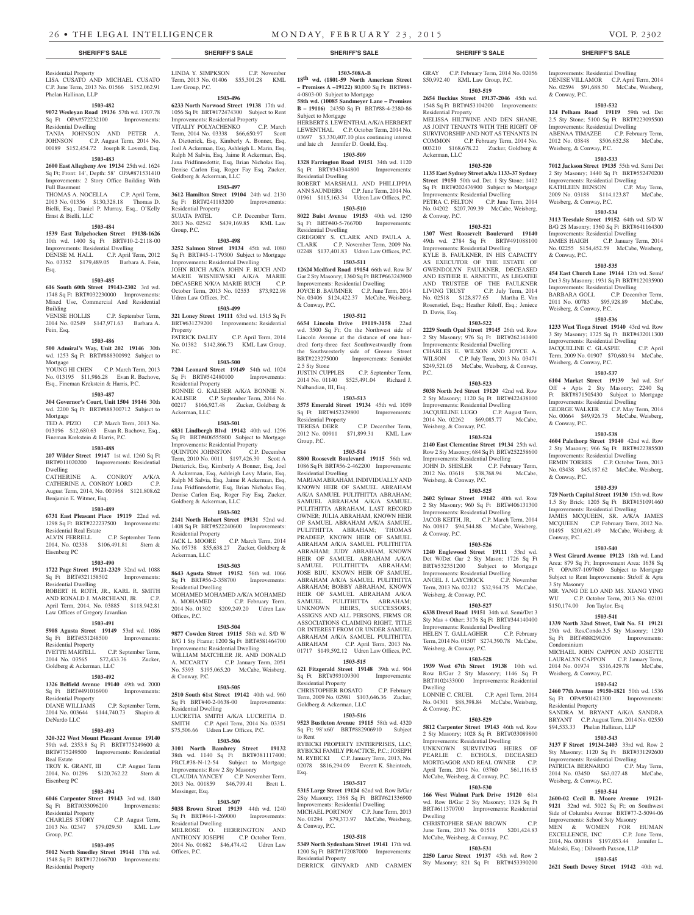Residential Property LISA CUSATO AND MICHAEL CUSATO C.P. June Term, 2013 No. 01566 \$152,062.91 Phelan Hallinan, LLP

#### **1503-482**

#### **9072 Wesleyan Road 19136** 57th wd. 1707.78 Sq Ft OPA#572232100 Improvements: Residential Dwelling

TANJA JOHNSON AND PETER A. JOHNSON C.P. August Term, 2014 No. 00189 \$152,454.72 Joseph R. Loverdi, Esq.

### **1503-483**

**2600 East Allegheny Ave 19134** 25th wd. 1624 Sq Ft; Front: 14', Depth: 58' OPA#871531410 Improvements: 2 Story Office Building With Full Basement

THOMAS A. NOCELLA C.P. April Term, 2013 No. 01356 \$130,328.18 Thomas D. Bielli, Esq., Daniel P. Murray, Esq., O'Kelly Ernst & Bielli, LLC

#### **1503-484 1539 East Tulpehocken Street 19138-1626**

10th wd. 1400 Sq Ft BRT#10-2-2118-00 Improvements: Residential Dwelling DENISE M. HALL C.P. April Term, 2012

No. 03352 \$179,489.05 Barbara A. Fein, Esq.

#### **1503-485**

**616 South 60th Street 19143-2302** 3rd wd. 1748 Sq Ft BRT#032230000 Improvements: Mixed Use, Commercial And Residential Building<br>VENISE HOLLIS

C.P. September Term, 2014 No. 02549 \$147,971.63 Barbara A. Fein, Esq.

#### **1503-486**

**500 Admiral's Way, Unit 202 19146** 30th wd. 1253 Sq Ft BRT#888300992 Subject to Mortgage YOUNG HI CHEN C.P. March Term, 2013

No. 013195 \$11,986.28 Evan R. Bachove, Esq., Fineman Krekstein & Harris, P.C.

#### **1503-487**

**304 Governor's Court, Unit 1504 19146** 30th wd. 2200 Sq Ft BRT#888300712 Subject to Mortgage TED A. PIZIO C.P. March Term, 2013 No.

013196 \$12,680.63 Evan R. Bachove, Esq., Fineman Krekstein & Harris, P.C.

# **1503-488**

**207 Wilder Street 19147** 1st wd. 1260 Sq Ft BRT#011020200 Improvements: Residential Dwelling<br>CATHERINE A.

CONROY A/K/A CATHERINE A. CONROY LORD C.P. August Term, 2014, No. 001968 \$121,808.62 Benjamin E. Witmer, Esq.

#### **1503-489**

**6731 East Pleasant Place 19119** 22nd wd. 1298 Sq Ft BRT#222237500 Improvements: Residential Real Estate ALVIN FERRELL C.P. September Term 2014, No. 02338 \$106,491.81 Stern & Eisenberg PC

#### **1503-490**

**1722 Page Street 19121-2329** 32nd wd. 1088 Sq Ft BRT#321158502 Improvements: Residential Dwelling ROBERT H. ROTH, JR., KARL R. SMITH AND RONALD J. MARCHIANI, JR. C.P.

April Term, 2014, No. 03885 \$118,942.81 Law Offices of Gregory Javardian **1503-491**

**5908 Agusta Street 19149** 53rd wd. 1086 Sq Ft BRT#531248500 Improvements: Residential Property IVETTE MARTELL C.P. September Term, 2014 No. 03565 \$72,433.76 Zucker, Goldberg & Ackerman, LLC

#### **1503-492**

**1326 Belfield Avenue 19140** 49th wd. 2000<br>Sq Ft BRT#491016900 Improvements: Sq Ft BRT#491016900 Residential Property

DIANE WILLIAMS C.P. September Term, 2014 No. 003644 \$144,740.73 Shapiro & DeNardo LLC

### **1503-493**

**320-322 West Mount Pleasant Avenue 19140**  59th wd. 2353.8 Sq Ft BRT#775249600 & BRT#775249500 Improvements: Residential Real Estate TROY K. GRANT, III C.P. August Term

2014, No. 01296 \$120,762.22 Stern & Eisenberg PC

# **1503-494**

**6046 Carpenter Street 19143** 3rd wd. 1840 Sq Ft BRT#033096200 Improvements: Residential Property<br>CHARLES STORY C.P. August Term,

# 2013 No. 02347 \$79,029.50 KML Law Group, P.C.

#### **1503-495**

**5012 North Smedley Street 19141** 17th wd. 1548 Sq Ft BRT#172166700 Improvements: Residential Property

LINDA Y. SIMPKSON C.P. November Term, 2013 No. 01406 \$55,301.28 KML Law Group, P.C.

#### **1503-496**

**6233 North Norwood Street 19138** 17th wd. 1056 Sq Ft BRT#172474300 Subject to Rent Improvements: Residential Property<br>VITALIY POLYACHENKO C.P. March

VITALIY POLYACHENKO Term, 2014 No. 03338 \$66,650.97 Scott A Dietterick, Esq, Kimberly A. Bonner, Esq, Joel A Ackerman, Esq, Ashleigh L. Marin, Esq, Ralph M Salvia, Esq, Jaime R Ackerman, Esq, Jana Fridfinnsdottir, Esq, Brian Nicholas Esq, Denise Carlon Esq, Roger Fay Esq, Zucker, Goldberg & Ackerman, LLC

### **1503-497**

**3612 Hamilton Street 19104** 24th wd. 2130 Sq Ft BRT#241183200 Improvements: Residential Property<br>SUJATA PATEL C.P. December Term, 2013 No. 02542 \$439,169.85 KML Law Group, P.C.

# **1503-498**

**3252 Salmon Street 19134** 45th wd. 1080 Sq Ft BRT#45-1-179300 Subject to Mortgage Improvements: Residential Dwelling JOHN RUCH A/K/A JOHN F. RUCH AND MARIE WISNIEWSKI A/K/A MARIE DECASERE N/K/A MARIE RUCH C.P. October Term, 2013 No. 02553 \$73,922.98 Udren Law Offices, P.C.

#### **1503-499**

**321 Loney Street 19111** 63rd wd. 1515 Sq Ft BRT#631279200 Improvements: Residential Property PATRICK DALEY C.P. April Term, 2014 No. 01382 \$142,866.73 KML Law Group, P.C.

#### **1503-500**

**7204 Leonard Street 19149** 54th wd. 1024 Sq Ft BRT#542480100 Improvements: Residential Property BONNIE G. KALISER A/K/A BONNIE N. KALISER C.P. September Term, 2014 No. 00217 \$166,927.48 Zucker, Goldberg & Ackerman, LLC

#### **1503-501**

**6831 Lindbergh Blvd 19142** 40th wd. 1296 Sq Ft BRT#406555800 Subject to Mortgage Improvements: Residential Property QUINTON JOHNSTON C.P. December Term, 2010 No. 0011 \$197,426.30 Scott A Dietterick, Esq, Kimberly A Bonner, Esq, Joel A Ackerman, Esq, Ashleigh Levy Marin, Esq, Ralph M Salvia, Esq, Jaime R Ackerman, Esq, Jana Fridfinnsdottir, Esq, Brian Nicholas Esq, Denise Carlon Esq, Roger Fay Esq, Zucker, Goldberg & Ackerman, LLC

#### **1503-502**

**2141 North Hobart Street 19131** 52nd wd. 1408 Sq Ft BRT#522240600 Improvements: Residential Property<br>JACK L. MOORE C.P. March Term, 2014

No. 05738 \$55,638.27 Zucker, Goldberg & Ackerman, LLC **1503-503**

**8643 Agusta Street 19152** 56th wd. 1066 Sq Ft BRT#56-2-358700 Improvements: Residential Dwelling MOHAMED MOHAMED A/K/A MOHAMED<br>A. MOHAMED C.P. February Term C.P. February Term, 2014 No. 01302 \$209,249.20 Udren Law Offices, P.C.

# **1503-504**

**9877 Cowden Street 19115** 58th wd. S/D W B/G 1 Sty Frame; 1200 Sq Ft BRT#581464700 Improvements: Residential Dwelling WILLIAM MATCHLER JR. AND DONALD A. MCCARTY C.P. January Term, 2051 No. 5393 \$195,065.20 McCabe, Weisberg, & Conway, P.C.

#### **1503-505**

**2510 South 61st Street 19142** 40th wd. 960 Sq Ft BRT#40-2-0638-00 Improvements: Residential Dwelling LUCRETIA SMITH A/K/A LUCRETIA D.

SMITH C.P. April Term, 2014 No. 03351 \$75,506.66 Udren Law Offices, P.C. **1503-506** to Rent

**3101 North Bambrey Street 19132**  38th wd. 1140 Sq Ft BRT#381117400; PRCL#38-N-12-54 Subject to Mortgage Improvements: Row 2 Sty Masonry CLAUDIA YANCEY C.P. November Term, 2013 No. 001859 \$46,799.41 Brett L. Messinger, Esq.

#### **1503-507**

**5038 Brown Street 19139** 44th wd. 1240 Sq Ft BRT#44-1-269000 Improvements: Residential Dwelling MELROSE O. HERRINGTON AND ANTHONY JOSEPH C.P. October Term, 2014 No. 01682 \$46,474.42 Udren Law Offices, P.C.

**1503-508A-B 18th wd. (1801-59 North American Street – Premises A –19122)** 80,000 Sq Ft BRT#88- 4-0803-00 Subject to Mortgage

**58th wd. (10085 Sandmeyer Lane – Premises B – 19116)** 24350 Sq Ft BRT#88-4-2380-86 Subject to Mortgage HERBERT S. LEWENTHAL A/K/A HERBERT

LEWENTHAL C.P. October Term, 2014 No. 03697 \$3,330,407.10 plus continuing interest and late ch Jennifer D. Gould, Esq.

# **1503-509**

**1328 Farrington Road 19151** 34th wd. 1120 Sq Ft BRT#343344800 Improvements: Residential Dwelling ROBERT MARSHALL AND PHILLIPPIA

ANN SAUNDERS C.P. June Term, 2014 No. 01961 \$115,163.34 Udren Law Offices, P.C. **1503-510**

**8022 Buist Avenue 19153** 40th wd. 1290 Sq Ft BRT#40-5-766700 Improvements: Residential Dwelling GREGORY S. CLARK AND PAULA A.<br>CLARK C.P. November Term. 2009 No.

C.P. November Term, 2009 No. 02248 \$137,401.83 Udren Law Offices, P.C. **1503-511**

**12624 Medford Road 19154** 66th wd. Row B/ Gar 2 Sty Masonry; 1360 Sq Ft BRT#663243900 Improvements: Residential Dwelling JOYCE B. BAUMNER C.P. June Term, 2014 No. 03406 \$124,422.37 McCabe, Weisberg, & Conway, P.C.

#### **1503-512**

**6654 Lincoln Drive 19119-3158** 22nd wd. 3500 Sq Ft; On the Northwest side of Lincoln Avenue at the distance of one hundred forty-three feet Southwestwardly from the Southwesterly side of Greene Street BRT#223275000 Improvements: Semi/det 2.5 Sty Stone<br>JUSTIN CUPPLES C.P. September Term,

2014 No. 01140 \$525,491.04 Richard J. Nalbandian, III, Esq. **1503-513**

#### **3575 Emerald Street 19134** 45th wd. 1059 Sq Ft BRT#452329800 Improvements:

Residential Property<br>TERESA DERR C.P. December Term, 2012 No. 00911 \$71,899.31 KML Law Group, P.C.

#### **1503-514**

**8800 Roosevelt Boulevard 19115** 56th wd. 1086 Sq Ft BRT#56-2-462200 Improvements: Residential Dwelling

MARIAM ABRAHAM, INDIVIDUALLY AND KNOWN HEIR OF SAMUEL ABRAHAM A/K/A SAMUEL PULITHITTA ABRAHAM; SAMUEL ABRAHAM A/K/A SAMUEL PULITHITTA ABRAHAM, LAST RECORD OWNER; JULIA ABRAHAM, KNOWN HEIR OF SAMUEL ABRAHAM A/K/A SAMUEL PULITHITTA ABRAHAM; THOMAS PRADEEP, KNOWN HEIR OF SAMUEL ABRAHAM A/K/A SAMUEL PULITHITTA ABRAHAM; JUDY ABRAHAM, KNOWN HEIR OF SAMUEL ABRAHAM A/K/A SAMUEL PULITHITTA ABRAHAM; JOSE BIJU, KNOWN HEIR OF SAMUEL ABRAHAM A/K/A SAMUEL PULITHITTA ABRAHAM; BOBBY ABRAHAM, KNOWN HEIR OF SAMUEL ABRAHAM A/K/A SAMUEL PULITHITTA ABRAHAM; UNKNOWN HEIRS, SUCCESSORS, ASSIGNS AND ALL PERSONS, FIRMS OR ASSOCIATIONS CLAIMING RIGHT, TITLE OR INTEREST FROM OR UNDER SAMUEL ABRAHAM A/K/A SAMUEL PULITHITTA ABRAHAM C.P. April Term, 2013 No. 01717 \$149,592.12 Udren Law Offices, P.C.

# **1503-515**

**621 Fitzgerald Street 19148** 39th wd. 904 Sq Ft BRT#393109300 Residential Property

CHRISTOPHER ROSATO C.P. February Term, 2009 No. 02981 \$103,646.36 Zucker, Goldberg & Ackerman, LLC

#### **1503-516**

**9523 Bustleton Avenue 19115** 58th wd. 4320 Sq Ft; 98'x60' BRT#882906910 Subject

RYBICKI PROPERTY ENTERPRISES, LLC: RYBICKI FAMILY PRACTICE, P.C.; JOSEPH M. RYBICKI C.P. January Term, 2013, No.

# 02078 \$816,294.09 Everett K. Sheintoch, Esq. **1503-517**

**5315 Large Street 19124** 62nd wd. Row B/Gar 2Sty Masonry; 1368 Sq Ft BRT#621336900 Improvements: Residential Dwelling MICHAEL PORTNOY C.P. June Term. 2013 No. 01294 \$79,373.97 McCabe, Weisberg, & Conway, P.C.

# **1503-518**

**5349 North Sydenham Street 19141** 17th wd.

1200 Sq Ft BRT#172087000 Improvements: Residential Property DERRICK GINYARD AND CARMEN

#### **SHERIFF'S SALE SHERIFF'S SALE SHERIFF'S SALE SHERIFF'S SALE SHERIFF'S SALE**

GRAY C.P. February Term, 2014 No. 02056 \$50,992.40 KML Law Group, P.C. **1503-519 2654 Buckius Street 19137-2046** 45th wd. 1548 Sq Ft BRT#453104200 Improvements: Improvements: Residential Dwelling DENISE VILLAMOR C.P. April Term, 2014 No. 02594 \$91,688.50 McCabe, Weisberg,

**1503-532 124 Pelham Road 19119** 59th wd. Det 2.5 Sty Stone; 5100 Sq Ft BRT#223095500 Improvements: Residential Dwelling ABENAA TIMAZEE C.P. February Term, 2012 No. 03848 \$506,652.58 McCabe,

**1503-533 7012 Jackson Street 19135** 55th wd. Semi Det 2 Sty Masonry; 1440 Sq Ft BRT#552470200 Improvements: Residential Dwelling KATHLEEN BENSON C.P. May Term, 2009 No. 03188 \$114,123.87 McCabe,

**1503-534 3113 Teesdale Street 19152** 64th wd. S/D W B/G 2S Masonry; 1360 Sq Ft BRT#641164300 Improvements: Residential Dwelling JAMES HAIGH C.P. January Term, 2014 No. 02255 \$154,452.59 McCabe, Weisberg,

**1503-535 454 East Church Lane 19144** 12th wd. Semi/ Det 3 Sty Masonry; 1931 Sq Ft BRT#122035900 Improvements: Residential Dwelling BARBARA GOLL C.P. December Term, 2011 No. 00783 \$95,928.89 McCabe,

**1503-536 1233 West Tioga Street 19140** 43rd wd. Row 3 Sty Masonry; 1725 Sq Ft BRT#432011300 Improvements: Residential Dwelling<br>JACOUELINE C. GLASPIE C.P. April

Term, 2009 No. 01907 \$70,680.94 McCabe,

**1503-537 6104 Market Street 19139** 3rd wd. Str/ Off + Apts 2 Sty Masonry; 2240 Sq Ft BRT#871505430 Subject to Mortgage Improvements: Residential Dwelling GEORGE WALKER C.P. May Term, 2014 No. 00664 \$49,926.75 McCabe, Weisberg,

**1503-538 4604 Palethorp Street 19140** 42nd wd. Row 2 Sty Masonry; 966 Sq Ft BRT#422385500 Improvements: Residential Dwelling ERMIN TORRES C.P. October Term, 2013 No. 03438 \$45,187.62 McCabe, Weisberg,

**1503-539 729 North Capitol Street 19130** 15th wd. Row 1.5 Sty Brick; 1205 Sq Ft BRT#151091460 Improvements: Residential Dwelling JAMES MCQUEEN, SR. A/K/A JAMES MCQUEEN C.P. February Term, 2012 No. 01495 \$201,621.49 McCabe, Weisberg, &

**1503-540 3 West Girard Avenue 19123** 18th wd. Land Area: 879 Sq Ft; Improvement Area: 1638 Sq Ft OPA#87-1097600 Subject to Mortgage Subject to Rent Improvements: Str/off & Apts

MR. YANG DE LO AND MS. XIANG YING WU C.P. October Term, 2013 No. 02101

**1503-541 1339 North 32nd Street, Unit No. 51 19121**  29th wd. Res.Condo.3.5 Sty Masonry; 1230 Sq Ft BRT#888290206 Improvements:

MICHAEL JOHN CAPPON AND JOSETTE LAURALYN CAPPON C.P. January Term, 2014 No. 01974 \$316,429.78 McCabe,

**1503-542 2460 77th Avenue 19150-1821** 50th wd. 1536 Sq Ft OPA#501421300 Improvements:

SANDRA M. BRYANT A/K/A SANDRA BRYANT C.P. August Term, 2014 No. 02550 \$94,533.33 Phelan Hallinan, LLP

**1503-543 3137 F Street 19134-2403** 33rd wd. Row 2 Sty Masonry; 1120 Sq Ft BRT#331292600 Improvements: Residential Dwelling PATRICIA BERNARDO C.P. May Term, 2014 No. 03450 \$63,027.48 McCabe,

**1503-544 2600-02 Cecil B. Moore Avenue 19121- 9121** 32nd wd. 5022 Sq Ft; on Southwest Side of Columbia Avenue BRT#77-2-5094-06 Improvements: School 3sty Masonry MEN & WOMEN FOR HUMAN EXCELLENCE, INC C.P. June Term, 2014, No. 000818 \$197,053.44 Jennifer L. Maleski, Esq.; Dilworth Paxson, LLP **1503-545 2621 South Dewey Street 19142** 40th wd.

\$150,174.00 Jon Taylor, Esq

Weisberg, & Conway, P.C.

Weisberg, & Conway, P.C.

Residential Property

& Conway, P.C.

Weisberg, & Conway, P.C.

Weisberg, & Conway, P.C.

Weisberg, & Conway, P.C.

JACQUELINE C. GLASPIE

Weisberg, & Conway, P.C.

& Conway, P.C.

& Conway, P.C.

Conway, P.C.

3 Sty Masonry

Condominium

& Conway, P.C.

MELISSA HILTWINE AND DEN SHANE, AS JOINT TENANTS WITH THE RIGHT OF SURVIVORSHIP AND NOT AS TENANTS IN COMMON C.P. February Term, 2014 No. 003210 \$168,678.22 Zucker, Goldberg &

**1503-520 1135 East Sydney Street a/k/a 1133-37 Sydney Street 19150** 50th wd. Det. 1 Sty Stone; 1412 Sq Ft BRT#202476900 Subject to Mortgage Improvements: Residential Dwelling PETRA C. FELTON C.P. June Term, 2014 No. 04202 \$207,709.39 McCabe, Weisberg,

**1503-521 1307 West Roosevelt Boulevard 19140**  49th wd. 2784 Sq Ft BRT#491088100 Improvements: Residential Dwelling KYLE B. FAULKNER, IN HIS CAPACITY AS EXECUTOR OF THE ESTATE OF GWENDOLYN FAULKNER, DECEASED AND ESTHER E. ARNETTE, AS LEGATEE AND TRUSTEE OF THE FAULKNER LIVING TRUST C.P. July Term, 2014 No. 02518 \$128,877.65 Martha E. Von Rosenstiel, Esq.; Heather Riloff, Esq.; Jeniece

**1503-522 2229 South Opal Street 19145** 26th wd. Row 2 Sty Masonry; 976 Sq Ft BRT#262141400 Improvements: Residential Dwelling CHARLES E. WILSON AND JOYCE A. WILSON C.P. July Term, 2013 No. 03471 \$249,521.05 McCabe, Weisberg, & Conway,

**1503-523 5038 North 3rd Street 19120** 42nd wd. Row 2 Sty Masonry; 1120 Sq Ft BRT#422438100 Improvements: Residential Dwelling<br>JACQUELINE LUGO C.P. August Term, JACQUELINE LUGO C.P. August Term,<br>2014 No. 02262 \$69,085.77 McCabe, 2014 No. 02262 \$69,085.77 Weisberg, & Conway, P.C.

**1503-524 2140 East Clementine Street 19134** 25th wd. Row 2 Sty Masonry; 684 Sq Ft BRT#252258600 Improvements: Residential Dwelling JOHN D. SHISLER C.P. February Term, 2012 No. 03618 \$38,768.94 McCabe,

**1503-525 2602 Sylmar Street 19142** 40th wd. Row 2 Sty Masonry; 960 Sq Ft BRT#406131300 Improvements: Residential Dwelling JACOB KEITH, JR. C.P. March Term, 2014 No. 00817 \$94,544.88 McCabe, Weisberg,

**1503-526 1240 Englewood Street 19111** 53rd wd. Det W/Det Gar 2 Sty Mason; 1726 Sq Ft BRT#532351200 Subject to Mortgage Improvements: Residential Dwelling ANGEL J. LAYCHOCK C.P. November Term, 2013 No. 02212 \$32,964.75 McCabe,

**1503-527 6338 Drexel Road 19151** 34th wd. Semi/Det 3 Sty Mas + Other; 3176 Sq Ft BRT#344140400 Improvements: Residential Dwelling HELEN T. GALLAGHER C.P. February Term, 2014 No. 01507 \$274,390.78 McCabe,

**1503-528 1939 West 67th Street 19138** 10th wd. Row B/Gar 2 Sty Masonry; 1146 Sq Ft BRT#102433000 Improvements: Residential

LONNIE C. CRUEL C.P. April Term, 2014 No. 04301 \$88,398.84 McCabe, Weisberg,

**1503-529 5812 Carpenter Street 19143** 46th wd. Row 2 Sty Masonry; 1028 Sq Ft BRT#033089800 Improvements: Residential Dwelling UNKNOWN SURVIVING HEIRS OF PEARLIE C. ECHOLS, DECEASED MORTGAGOR AND REAL OWNER April Term, 2014 No. 03760 \$61,116.85 McCabe, Weisberg, & Conway, P.C. **1503-530 166 West Walnut Park Drive 19120** 61st wd. Row B/Gar 2 Sty Masonry; 1328 Sq Ft BRT#611370700 Improvements: Residential

Weisberg, & Conway, P.C.

Weisberg, & Conway, P.C.

Weisberg, & Conway, P.C.

Dwelling

Dwelling

CHRISTOPHER SEAN BROWN June Term, 2013 No. 01518 \$201,424.83 McCabe, Weisberg, & Conway, P.C. **1503-531 2250 Larue Street 19137** 45th wd. Row 2 Sty Masonry; 821 Sq Ft BRT#453390200

& Conway, P.C.

& Conway, P.C.

Residential Property

Ackerman, LLC

& Conway, P.C.

D. Davis, Esq.

P.C.